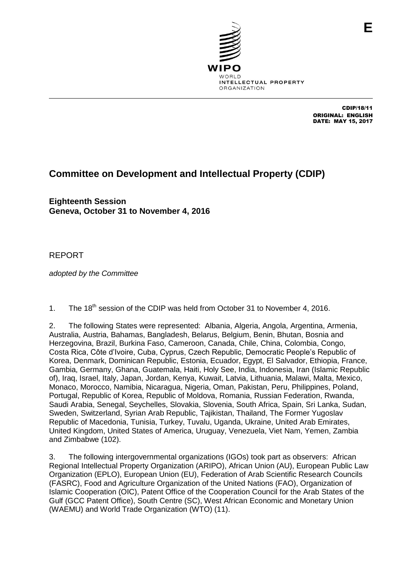

CDIP/18/11 ORIGINAL: ENGLISH DATE: MAY 15, 2017

# **Committee on Development and Intellectual Property (CDIP)**

**Eighteenth Session Geneva, October 31 to November 4, 2016**

# REPORT

*adopted by the Committee* 

1. The 18<sup>th</sup> session of the CDIP was held from October 31 to November 4, 2016.

2. The following States were represented: Albania, Algeria, Angola, Argentina, Armenia, Australia, Austria, Bahamas, Bangladesh, Belarus, Belgium, Benin, Bhutan, Bosnia and Herzegovina, Brazil, Burkina Faso, Cameroon, Canada, Chile, China, Colombia, Congo, Costa Rica, Côte d'Ivoire, Cuba, Cyprus, Czech Republic, Democratic People's Republic of Korea, Denmark, Dominican Republic, Estonia, Ecuador, Egypt, El Salvador, Ethiopia, France, Gambia, Germany, Ghana, Guatemala, Haiti, Holy See, India, Indonesia, Iran (Islamic Republic of), Iraq, Israel, Italy, Japan, Jordan, Kenya, Kuwait, Latvia, Lithuania, Malawi, Malta, Mexico, Monaco, Morocco, Namibia, Nicaragua, Nigeria, Oman, Pakistan, Peru, Philippines, Poland, Portugal, Republic of Korea, Republic of Moldova, Romania, Russian Federation, Rwanda, Saudi Arabia, Senegal, Seychelles, Slovakia, Slovenia, South Africa, Spain, Sri Lanka, Sudan, Sweden, Switzerland, Syrian Arab Republic, Tajikistan, Thailand, The Former Yugoslav Republic of Macedonia, Tunisia, Turkey, Tuvalu, Uganda, Ukraine, United Arab Emirates, United Kingdom, United States of America, Uruguay, Venezuela, Viet Nam, Yemen, Zambia and Zimbabwe (102).

3. The following intergovernmental organizations (IGOs) took part as observers: African Regional Intellectual Property Organization (ARIPO), African Union (AU), European Public Law Organization (EPLO), European Union (EU), Federation of Arab Scientific Research Councils (FASRC), Food and Agriculture Organization of the United Nations (FAO), Organization of Islamic Cooperation (OIC), Patent Office of the Cooperation Council for the Arab States of the Gulf (GCC Patent Office), South Centre (SC), West African Economic and Monetary Union (WAEMU) and World Trade Organization (WTO) (11).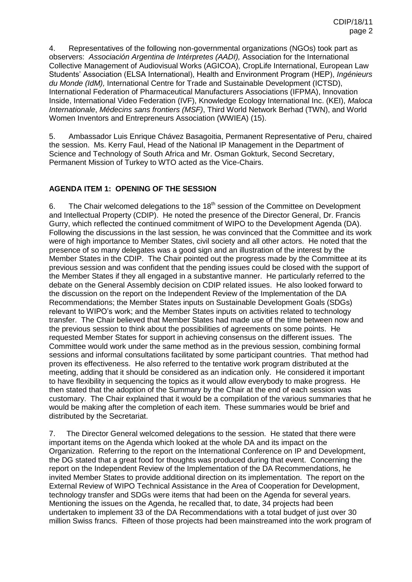4. Representatives of the following non-governmental organizations (NGOs) took part as observers: *Associación Argentina de Intérpretes (AADI),* Association for the International Collective Management of Audiovisual Works (AGICOA), CropLife International, European Law Students' Association (ELSA International), Health and Environment Program (HEP), *Ingénieurs du Monde (IdM),* International Centre for Trade and Sustainable Development (ICTSD), International Federation of Pharmaceutical Manufacturers Associations (IFPMA), Innovation Inside, International Video Federation (IVF), Knowledge Ecology International Inc. (KEI), *Maloca Internationale*, *Médecins sans frontiers (MSF)*, Third World Network Berhad (TWN), and World Women Inventors and Entrepreneurs Association (WWIEA) (15).

5. Ambassador Luis Enrique Chávez Basagoitia, Permanent Representative of Peru, chaired the session. Ms. Kerry Faul, Head of the National IP Management in the Department of Science and Technology of South Africa and Mr. Osman Gokturk, Second Secretary, Permanent Mission of Turkey to WTO acted as the Vice-Chairs.

# **AGENDA ITEM 1: OPENING OF THE SESSION**

6. The Chair welcomed delegations to the  $18<sup>th</sup>$  session of the Committee on Development and Intellectual Property (CDIP). He noted the presence of the Director General, Dr. Francis Gurry, which reflected the continued commitment of WIPO to the Development Agenda (DA). Following the discussions in the last session, he was convinced that the Committee and its work were of high importance to Member States, civil society and all other actors. He noted that the presence of so many delegates was a good sign and an illustration of the interest by the Member States in the CDIP. The Chair pointed out the progress made by the Committee at its previous session and was confident that the pending issues could be closed with the support of the Member States if they all engaged in a substantive manner. He particularly referred to the debate on the General Assembly decision on CDIP related issues. He also looked forward to the discussion on the report on the Independent Review of the Implementation of the DA Recommendations; the Member States inputs on Sustainable Development Goals (SDGs) relevant to WIPO's work; and the Member States inputs on activities related to technology transfer. The Chair believed that Member States had made use of the time between now and the previous session to think about the possibilities of agreements on some points. He requested Member States for support in achieving consensus on the different issues. The Committee would work under the same method as in the previous session, combining formal sessions and informal consultations facilitated by some participant countries. That method had proven its effectiveness. He also referred to the tentative work program distributed at the meeting, adding that it should be considered as an indication only. He considered it important to have flexibility in sequencing the topics as it would allow everybody to make progress. He then stated that the adoption of the Summary by the Chair at the end of each session was customary. The Chair explained that it would be a compilation of the various summaries that he would be making after the completion of each item. These summaries would be brief and distributed by the Secretariat.

7. The Director General welcomed delegations to the session. He stated that there were important items on the Agenda which looked at the whole DA and its impact on the Organization. Referring to the report on the International Conference on IP and Development, the DG stated that a great food for thoughts was produced during that event. Concerning the report on the Independent Review of the Implementation of the DA Recommendations, he invited Member States to provide additional direction on its implementation. The report on the External Review of WIPO Technical Assistance in the Area of Cooperation for Development, technology transfer and SDGs were items that had been on the Agenda for several years. Mentioning the issues on the Agenda, he recalled that, to date, 34 projects had been undertaken to implement 33 of the DA Recommendations with a total budget of just over 30 million Swiss francs. Fifteen of those projects had been mainstreamed into the work program of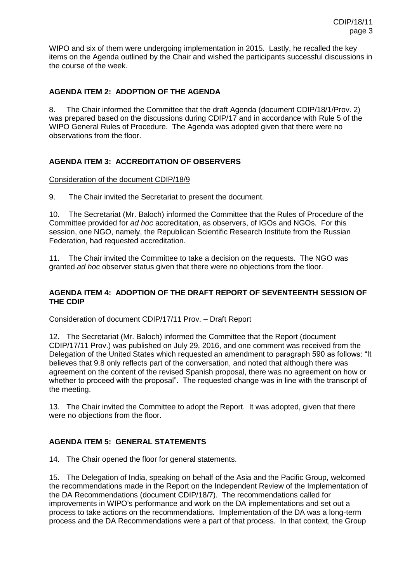WIPO and six of them were undergoing implementation in 2015. Lastly, he recalled the key items on the Agenda outlined by the Chair and wished the participants successful discussions in the course of the week.

# **AGENDA ITEM 2: ADOPTION OF THE AGENDA**

8. The Chair informed the Committee that the draft Agenda (document CDIP/18/1/Prov. 2) was prepared based on the discussions during CDIP/17 and in accordance with Rule 5 of the WIPO General Rules of Procedure. The Agenda was adopted given that there were no observations from the floor.

# **AGENDA ITEM 3: ACCREDITATION OF OBSERVERS**

#### Consideration of the document CDIP/18/9

9. The Chair invited the Secretariat to present the document.

10. The Secretariat (Mr. Baloch) informed the Committee that the Rules of Procedure of the Committee provided for *ad hoc* accreditation, as observers, of IGOs and NGOs. For this session, one NGO, namely, the Republican Scientific Research Institute from the Russian Federation, had requested accreditation.

11. The Chair invited the Committee to take a decision on the requests. The NGO was granted *ad hoc* observer status given that there were no objections from the floor.

### **AGENDA ITEM 4: ADOPTION OF THE DRAFT REPORT OF SEVENTEENTH SESSION OF THE CDIP**

#### Consideration of document CDIP/17/11 Prov. – Draft Report

12. The Secretariat (Mr. Baloch) informed the Committee that the Report (document CDIP/17/11 Prov.) was published on July 29, 2016, and one comment was received from the Delegation of the United States which requested an amendment to paragraph 590 as follows: "It believes that 9.8 only reflects part of the conversation, and noted that although there was agreement on the content of the revised Spanish proposal, there was no agreement on how or whether to proceed with the proposal". The requested change was in line with the transcript of the meeting.

13. The Chair invited the Committee to adopt the Report. It was adopted, given that there were no objections from the floor.

### **AGENDA ITEM 5: GENERAL STATEMENTS**

14. The Chair opened the floor for general statements.

15. The Delegation of India, speaking on behalf of the Asia and the Pacific Group, welcomed the recommendations made in the Report on the Independent Review of the Implementation of the DA Recommendations (document CDIP/18/7). The recommendations called for improvements in WIPO's performance and work on the DA implementations and set out a process to take actions on the recommendations. Implementation of the DA was a long-term process and the DA Recommendations were a part of that process. In that context, the Group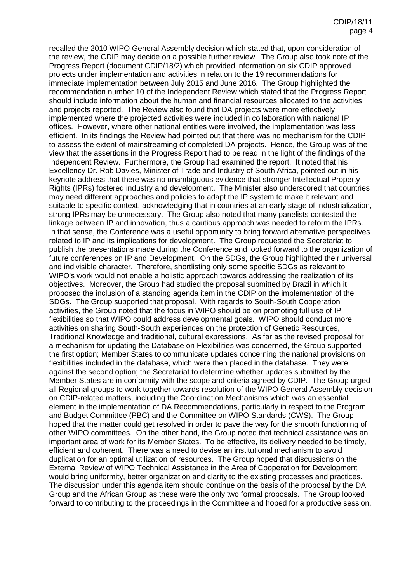recalled the 2010 WIPO General Assembly decision which stated that, upon consideration of the review, the CDIP may decide on a possible further review. The Group also took note of the Progress Report (document CDIP/18/2) which provided information on six CDIP approved projects under implementation and activities in relation to the 19 recommendations for immediate implementation between July 2015 and June 2016. The Group highlighted the recommendation number 10 of the Independent Review which stated that the Progress Report should include information about the human and financial resources allocated to the activities and projects reported. The Review also found that DA projects were more effectively implemented where the projected activities were included in collaboration with national IP offices. However, where other national entities were involved, the implementation was less efficient. In its findings the Review had pointed out that there was no mechanism for the CDIP to assess the extent of mainstreaming of completed DA projects. Hence, the Group was of the view that the assertions in the Progress Report had to be read in the light of the findings of the Independent Review. Furthermore, the Group had examined the report. It noted that his Excellency Dr. Rob Davies, Minister of Trade and Industry of South Africa, pointed out in his keynote address that there was no unambiguous evidence that stronger Intellectual Property Rights (IPRs) fostered industry and development. The Minister also underscored that countries may need different approaches and policies to adapt the IP system to make it relevant and suitable to specific context, acknowledging that in countries at an early stage of industrialization, strong IPRs may be unnecessary. The Group also noted that many panelists contested the linkage between IP and innovation, thus a cautious approach was needed to reform the IPRs. In that sense, the Conference was a useful opportunity to bring forward alternative perspectives related to IP and its implications for development. The Group requested the Secretariat to publish the presentations made during the Conference and looked forward to the organization of future conferences on IP and Development. On the SDGs, the Group highlighted their universal and indivisible character. Therefore, shortlisting only some specific SDGs as relevant to WIPO's work would not enable a holistic approach towards addressing the realization of its objectives. Moreover, the Group had studied the proposal submitted by Brazil in which it proposed the inclusion of a standing agenda item in the CDIP on the implementation of the SDGs. The Group supported that proposal. With regards to South-South Cooperation activities, the Group noted that the focus in WIPO should be on promoting full use of IP flexibilities so that WIPO could address developmental goals. WIPO should conduct more activities on sharing South-South experiences on the protection of Genetic Resources, Traditional Knowledge and traditional, cultural expressions. As far as the revised proposal for a mechanism for updating the Database on Flexibilities was concerned, the Group supported the first option; Member States to communicate updates concerning the national provisions on flexibilities included in the database, which were then placed in the database. They were against the second option; the Secretariat to determine whether updates submitted by the Member States are in conformity with the scope and criteria agreed by CDIP. The Group urged all Regional groups to work together towards resolution of the WIPO General Assembly decision on CDIP-related matters, including the Coordination Mechanisms which was an essential element in the implementation of DA Recommendations, particularly in respect to the Program and Budget Committee (PBC) and the Committee on WIPO Standards (CWS). The Group hoped that the matter could get resolved in order to pave the way for the smooth functioning of other WIPO committees. On the other hand, the Group noted that technical assistance was an important area of work for its Member States. To be effective, its delivery needed to be timely, efficient and coherent. There was a need to devise an institutional mechanism to avoid duplication for an optimal utilization of resources. The Group hoped that discussions on the External Review of WIPO Technical Assistance in the Area of Cooperation for Development would bring uniformity, better organization and clarity to the existing processes and practices. The discussion under this agenda item should continue on the basis of the proposal by the DA Group and the African Group as these were the only two formal proposals. The Group looked forward to contributing to the proceedings in the Committee and hoped for a productive session.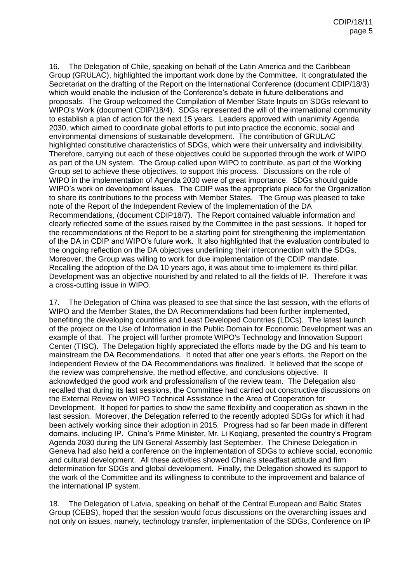16. The Delegation of Chile, speaking on behalf of the Latin America and the Caribbean Group (GRULAC), highlighted the important work done by the Committee. It congratulated the Secretariat on the drafting of the Report on the International Conference (document CDIP/18/3) which would enable the inclusion of the Conference's debate in future deliberations and proposals. The Group welcomed the Compilation of Member State Inputs on SDGs relevant to WIPO's Work (document CDIP/18/4). SDGs represented the will of the international community to establish a plan of action for the next 15 years. Leaders approved with unanimity Agenda 2030, which aimed to coordinate global efforts to put into practice the economic, social and environmental dimensions of sustainable development. The contribution of GRULAC highlighted constitutive characteristics of SDGs, which were their universality and indivisibility. Therefore, carrying out each of these objectives could be supported through the work of WIPO as part of the UN system. The Group called upon WIPO to contribute, as part of the Working Group set to achieve these objectives, to support this process. Discussions on the role of WIPO in the implementation of Agenda 2030 were of great importance. SDGs should guide WIPO's work on development issues. The CDIP was the appropriate place for the Organization to share its contributions to the process with Member States. The Group was pleased to take note of the Report of the Independent Review of the Implementation of the DA Recommendations, (document CDIP18/7). The Report contained valuable information and clearly reflected some of the issues raised by the Committee in the past sessions. It hoped for the recommendations of the Report to be a starting point for strengthening the implementation of the DA in CDIP and WIPO's future work. It also highlighted that the evaluation contributed to the ongoing reflection on the DA objectives underlining their interconnection with the SDGs. Moreover, the Group was willing to work for due implementation of the CDIP mandate. Recalling the adoption of the DA 10 years ago, it was about time to implement its third pillar. Development was an objective nourished by and related to all the fields of IP. Therefore it was a cross-cutting issue in WIPO.

17. The Delegation of China was pleased to see that since the last session, with the efforts of WIPO and the Member States, the DA Recommendations had been further implemented, benefiting the developing countries and Least Developed Countries (LDCs). The latest launch of the project on the Use of Information in the Public Domain for Economic Development was an example of that. The project will further promote WIPO's Technology and Innovation Support Center (TISC). The Delegation highly appreciated the efforts made by the DG and his team to mainstream the DA Recommendations. It noted that after one year's efforts, the Report on the Independent Review of the DA Recommendations was finalized. It believed that the scope of the review was comprehensive, the method effective, and conclusions objective. It acknowledged the good work and professionalism of the review team. The Delegation also recalled that during its last sessions, the Committee had carried out constructive discussions on the External Review on WIPO Technical Assistance in the Area of Cooperation for Development. It hoped for parties to show the same flexibility and cooperation as shown in the last session. Moreover, the Delegation referred to the recently adopted SDGs for which it had been actively working since their adoption in 2015. Progress had so far been made in different domains, including IP. China's Prime Minister, Mr. Li Keqiang, presented the country's Program Agenda 2030 during the UN General Assembly last September. The Chinese Delegation in Geneva had also held a conference on the implementation of SDGs to achieve social, economic and cultural development. All these activities showed China's steadfast attitude and firm determination for SDGs and global development. Finally, the Delegation showed its support to the work of the Committee and its willingness to contribute to the improvement and balance of the international IP system.

18. The Delegation of Latvia, speaking on behalf of the Central European and Baltic States Group (CEBS), hoped that the session would focus discussions on the overarching issues and not only on issues, namely, technology transfer, implementation of the SDGs, Conference on IP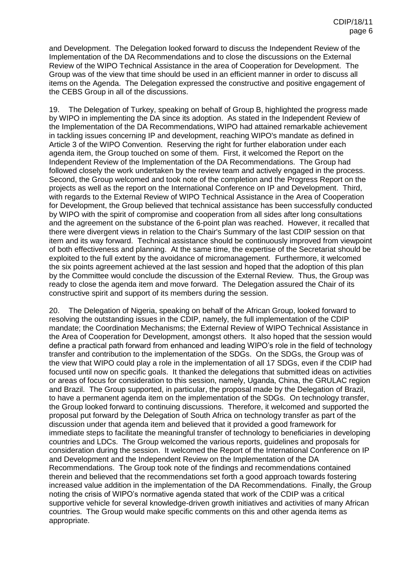and Development. The Delegation looked forward to discuss the Independent Review of the Implementation of the DA Recommendations and to close the discussions on the External Review of the WIPO Technical Assistance in the area of Cooperation for Development. The Group was of the view that time should be used in an efficient manner in order to discuss all items on the Agenda. The Delegation expressed the constructive and positive engagement of the CEBS Group in all of the discussions.

19. The Delegation of Turkey, speaking on behalf of Group B, highlighted the progress made by WIPO in implementing the DA since its adoption. As stated in the Independent Review of the Implementation of the DA Recommendations, WIPO had attained remarkable achievement in tackling issues concerning IP and development, reaching WIPO's mandate as defined in Article 3 of the WIPO Convention. Reserving the right for further elaboration under each agenda item, the Group touched on some of them. First, it welcomed the Report on the Independent Review of the Implementation of the DA Recommendations. The Group had followed closely the work undertaken by the review team and actively engaged in the process. Second, the Group welcomed and took note of the completion and the Progress Report on the projects as well as the report on the International Conference on IP and Development. Third, with regards to the External Review of WIPO Technical Assistance in the Area of Cooperation for Development, the Group believed that technical assistance has been successfully conducted by WIPO with the spirit of compromise and cooperation from all sides after long consultations and the agreement on the substance of the 6-point plan was reached. However, it recalled that there were divergent views in relation to the Chair's Summary of the last CDIP session on that item and its way forward. Technical assistance should be continuously improved from viewpoint of both effectiveness and planning. At the same time, the expertise of the Secretariat should be exploited to the full extent by the avoidance of micromanagement. Furthermore, it welcomed the six points agreement achieved at the last session and hoped that the adoption of this plan by the Committee would conclude the discussion of the External Review. Thus, the Group was ready to close the agenda item and move forward. The Delegation assured the Chair of its constructive spirit and support of its members during the session.

20. The Delegation of Nigeria, speaking on behalf of the African Group, looked forward to resolving the outstanding issues in the CDIP, namely, the full implementation of the CDIP mandate; the Coordination Mechanisms; the External Review of WIPO Technical Assistance in the Area of Cooperation for Development, amongst others. It also hoped that the session would define a practical path forward from enhanced and leading WIPO's role in the field of technology transfer and contribution to the implementation of the SDGs. On the SDGs, the Group was of the view that WIPO could play a role in the implementation of all 17 SDGs, even if the CDIP had focused until now on specific goals. It thanked the delegations that submitted ideas on activities or areas of focus for consideration to this session, namely, Uganda, China, the GRULAC region and Brazil. The Group supported, in particular, the proposal made by the Delegation of Brazil, to have a permanent agenda item on the implementation of the SDGs. On technology transfer, the Group looked forward to continuing discussions. Therefore, it welcomed and supported the proposal put forward by the Delegation of South Africa on technology transfer as part of the discussion under that agenda item and believed that it provided a good framework for immediate steps to facilitate the meaningful transfer of technology to beneficiaries in developing countries and LDCs. The Group welcomed the various reports, guidelines and proposals for consideration during the session. It welcomed the Report of the International Conference on IP and Development and the Independent Review on the Implementation of the DA Recommendations. The Group took note of the findings and recommendations contained therein and believed that the recommendations set forth a good approach towards fostering increased value addition in the implementation of the DA Recommendations. Finally, the Group noting the crisis of WIPO's normative agenda stated that work of the CDIP was a critical supportive vehicle for several knowledge-driven growth initiatives and activities of many African countries. The Group would make specific comments on this and other agenda items as appropriate.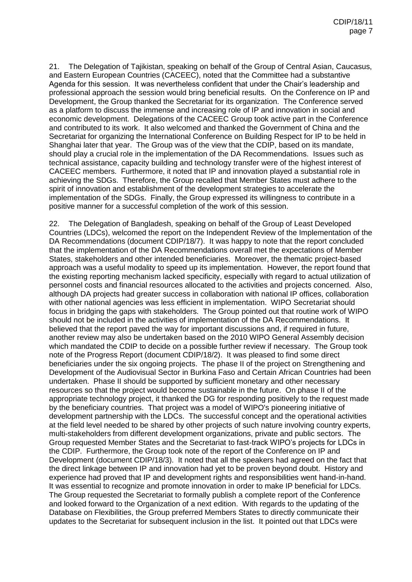21. The Delegation of Tajikistan, speaking on behalf of the Group of Central Asian, Caucasus, and Eastern European Countries (CACEEC), noted that the Committee had a substantive Agenda for this session. It was nevertheless confident that under the Chair's leadership and professional approach the session would bring beneficial results. On the Conference on IP and Development, the Group thanked the Secretariat for its organization. The Conference served as a platform to discuss the immense and increasing role of IP and innovation in social and economic development. Delegations of the CACEEC Group took active part in the Conference and contributed to its work. It also welcomed and thanked the Government of China and the Secretariat for organizing the International Conference on Building Respect for IP to be held in Shanghai later that year. The Group was of the view that the CDIP, based on its mandate, should play a crucial role in the implementation of the DA Recommendations. Issues such as technical assistance, capacity building and technology transfer were of the highest interest of CACEEC members. Furthermore, it noted that IP and innovation played a substantial role in achieving the SDGs. Therefore, the Group recalled that Member States must adhere to the spirit of innovation and establishment of the development strategies to accelerate the implementation of the SDGs. Finally, the Group expressed its willingness to contribute in a positive manner for a successful completion of the work of this session.

22. The Delegation of Bangladesh, speaking on behalf of the Group of Least Developed Countries (LDCs), welcomed the report on the Independent Review of the Implementation of the DA Recommendations (document CDIP/18/7). It was happy to note that the report concluded that the implementation of the DA Recommendations overall met the expectations of Member States, stakeholders and other intended beneficiaries. Moreover, the thematic project-based approach was a useful modality to speed up its implementation. However, the report found that the existing reporting mechanism lacked specificity, especially with regard to actual utilization of personnel costs and financial resources allocated to the activities and projects concerned. Also, although DA projects had greater success in collaboration with national IP offices, collaboration with other national agencies was less efficient in implementation. WIPO Secretariat should focus in bridging the gaps with stakeholders. The Group pointed out that routine work of WIPO should not be included in the activities of implementation of the DA Recommendations. It believed that the report paved the way for important discussions and, if required in future, another review may also be undertaken based on the 2010 WIPO General Assembly decision which mandated the CDIP to decide on a possible further review if necessary. The Group took note of the Progress Report (document CDIP/18/2). It was pleased to find some direct beneficiaries under the six ongoing projects. The phase II of the project on Strengthening and Development of the Audiovisual Sector in Burkina Faso and Certain African Countries had been undertaken. Phase II should be supported by sufficient monetary and other necessary resources so that the project would become sustainable in the future. On phase II of the appropriate technology project, it thanked the DG for responding positively to the request made by the beneficiary countries. That project was a model of WIPO's pioneering initiative of development partnership with the LDCs. The successful concept and the operational activities at the field level needed to be shared by other projects of such nature involving country experts, multi-stakeholders from different development organizations, private and public sectors. The Group requested Member States and the Secretariat to fast-track WIPO's projects for LDCs in the CDIP. Furthermore, the Group took note of the report of the Conference on IP and Development (document CDIP/18/3). It noted that all the speakers had agreed on the fact that the direct linkage between IP and innovation had yet to be proven beyond doubt. History and experience had proved that IP and development rights and responsibilities went hand-in-hand. It was essential to recognize and promote innovation in order to make IP beneficial for LDCs. The Group requested the Secretariat to formally publish a complete report of the Conference and looked forward to the Organization of a next edition. With regards to the updating of the Database on Flexibilities, the Group preferred Members States to directly communicate their updates to the Secretariat for subsequent inclusion in the list. It pointed out that LDCs were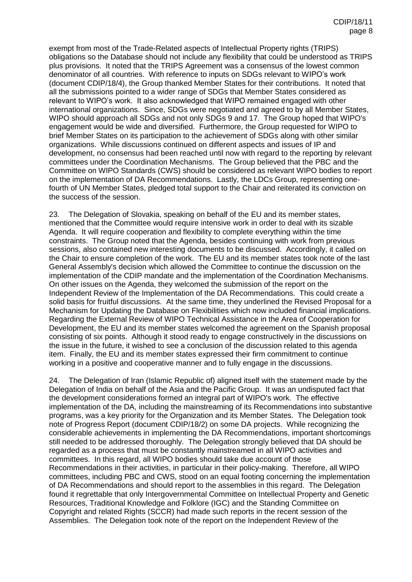exempt from most of the Trade-Related aspects of Intellectual Property rights (TRIPS) obligations so the Database should not include any flexibility that could be understood as TRIPS plus provisions. It noted that the TRIPS Agreement was a consensus of the lowest common denominator of all countries. With reference to inputs on SDGs relevant to WIPO's work (document CDIP/18/4), the Group thanked Member States for their contributions. It noted that all the submissions pointed to a wider range of SDGs that Member States considered as relevant to WIPO's work. It also acknowledged that WIPO remained engaged with other international organizations. Since, SDGs were negotiated and agreed to by all Member States, WIPO should approach all SDGs and not only SDGs 9 and 17. The Group hoped that WIPO's engagement would be wide and diversified. Furthermore, the Group requested for WIPO to brief Member States on its participation to the achievement of SDGs along with other similar organizations. While discussions continued on different aspects and issues of IP and development, no consensus had been reached until now with regard to the reporting by relevant committees under the Coordination Mechanisms. The Group believed that the PBC and the Committee on WIPO Standards (CWS) should be considered as relevant WIPO bodies to report on the implementation of DA Recommendations. Lastly, the LDCs Group, representing onefourth of UN Member States, pledged total support to the Chair and reiterated its conviction on the success of the session.

23. The Delegation of Slovakia, speaking on behalf of the EU and its member states, mentioned that the Committee would require intensive work in order to deal with its sizable Agenda. It will require cooperation and flexibility to complete everything within the time constraints. The Group noted that the Agenda, besides continuing with work from previous sessions, also contained new interesting documents to be discussed. Accordingly, it called on the Chair to ensure completion of the work. The EU and its member states took note of the last General Assembly's decision which allowed the Committee to continue the discussion on the implementation of the CDIP mandate and the implementation of the Coordination Mechanisms. On other issues on the Agenda, they welcomed the submission of the report on the Independent Review of the Implementation of the DA Recommendations. This could create a solid basis for fruitful discussions. At the same time, they underlined the Revised Proposal for a Mechanism for Updating the Database on Flexibilities which now included financial implications. Regarding the External Review of WIPO Technical Assistance in the Area of Cooperation for Development, the EU and its member states welcomed the agreement on the Spanish proposal consisting of six points. Although it stood ready to engage constructively in the discussions on the issue in the future, it wished to see a conclusion of the discussion related to this agenda item. Finally, the EU and its member states expressed their firm commitment to continue working in a positive and cooperative manner and to fully engage in the discussions.

24. The Delegation of Iran (Islamic Republic of) aligned itself with the statement made by the Delegation of India on behalf of the Asia and the Pacific Group. It was an undisputed fact that the development considerations formed an integral part of WIPO's work. The effective implementation of the DA, including the mainstreaming of its Recommendations into substantive programs, was a key priority for the Organization and its Member States. The Delegation took note of Progress Report (document CDIP/18/2) on some DA projects. While recognizing the considerable achievements in implementing the DA Recommendations, important shortcomings still needed to be addressed thoroughly. The Delegation strongly believed that DA should be regarded as a process that must be constantly mainstreamed in all WIPO activities and committees. In this regard, all WIPO bodies should take due account of those Recommendations in their activities, in particular in their policy-making. Therefore, all WIPO committees, including PBC and CWS, stood on an equal footing concerning the implementation of DA Recommendations and should report to the assemblies in this regard. The Delegation found it regrettable that only Intergovernmental Committee on Intellectual Property and Genetic Resources, Traditional Knowledge and Folklore (IGC) and the Standing Committee on Copyright and related Rights (SCCR) had made such reports in the recent session of the Assemblies. The Delegation took note of the report on the Independent Review of the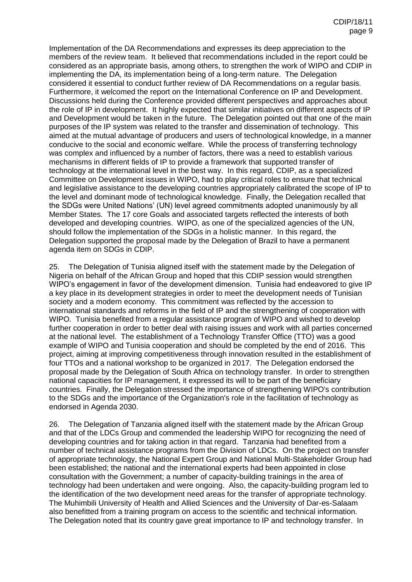Implementation of the DA Recommendations and expresses its deep appreciation to the members of the review team. It believed that recommendations included in the report could be considered as an appropriate basis, among others, to strengthen the work of WIPO and CDIP in implementing the DA, its implementation being of a long-term nature. The Delegation considered it essential to conduct further review of DA Recommendations on a regular basis. Furthermore, it welcomed the report on the International Conference on IP and Development. Discussions held during the Conference provided different perspectives and approaches about the role of IP in development. It highly expected that similar initiatives on different aspects of IP and Development would be taken in the future. The Delegation pointed out that one of the main purposes of the IP system was related to the transfer and dissemination of technology. This aimed at the mutual advantage of producers and users of technological knowledge, in a manner conducive to the social and economic welfare. While the process of transferring technology was complex and influenced by a number of factors, there was a need to establish various mechanisms in different fields of IP to provide a framework that supported transfer of technology at the international level in the best way. In this regard, CDIP, as a specialized Committee on Development issues in WIPO, had to play critical roles to ensure that technical and legislative assistance to the developing countries appropriately calibrated the scope of IP to the level and dominant mode of technological knowledge. Finally, the Delegation recalled that the SDGs were United Nations' (UN) level agreed commitments adopted unanimously by all Member States. The 17 core Goals and associated targets reflected the interests of both developed and developing countries. WIPO, as one of the specialized agencies of the UN, should follow the implementation of the SDGs in a holistic manner. In this regard, the Delegation supported the proposal made by the Delegation of Brazil to have a permanent agenda item on SDGs in CDIP.

25. The Delegation of Tunisia aligned itself with the statement made by the Delegation of Nigeria on behalf of the African Group and hoped that this CDIP session would strengthen WIPO's engagement in favor of the development dimension. Tunisia had endeavored to give IP a key place in its development strategies in order to meet the development needs of Tunisian society and a modern economy. This commitment was reflected by the accession to international standards and reforms in the field of IP and the strengthening of cooperation with WIPO. Tunisia benefited from a regular assistance program of WIPO and wished to develop further cooperation in order to better deal with raising issues and work with all parties concerned at the national level. The establishment of a Technology Transfer Office (TTO) was a good example of WIPO and Tunisia cooperation and should be completed by the end of 2016. This project, aiming at improving competitiveness through innovation resulted in the establishment of four TTOs and a national workshop to be organized in 2017. The Delegation endorsed the proposal made by the Delegation of South Africa on technology transfer. In order to strengthen national capacities for IP management, it expressed its will to be part of the beneficiary countries. Finally, the Delegation stressed the importance of strengthening WIPO's contribution to the SDGs and the importance of the Organization's role in the facilitation of technology as endorsed in Agenda 2030.

26. The Delegation of Tanzania aligned itself with the statement made by the African Group and that of the LDCs Group and commended the leadership WIPO for recognizing the need of developing countries and for taking action in that regard. Tanzania had benefited from a number of technical assistance programs from the Division of LDCs. On the project on transfer of appropriate technology, the National Expert Group and National Multi-Stakeholder Group had been established; the national and the international experts had been appointed in close consultation with the Government; a number of capacity-building trainings in the area of technology had been undertaken and were ongoing. Also, the capacity-building program led to the identification of the two development need areas for the transfer of appropriate technology. The Muhimbili University of Health and Allied Sciences and the University of Dar-es-Salaam also benefitted from a training program on access to the scientific and technical information. The Delegation noted that its country gave great importance to IP and technology transfer. In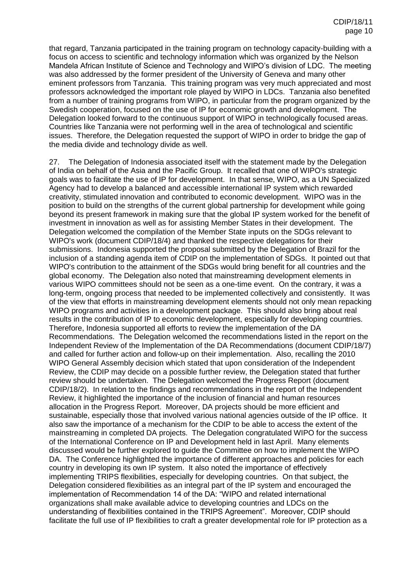that regard, Tanzania participated in the training program on technology capacity-building with a focus on access to scientific and technology information which was organized by the Nelson Mandela African Institute of Science and Technology and WIPO's division of LDC. The meeting was also addressed by the former president of the University of Geneva and many other eminent professors from Tanzania. This training program was very much appreciated and most professors acknowledged the important role played by WIPO in LDCs. Tanzania also benefited from a number of training programs from WIPO, in particular from the program organized by the Swedish cooperation, focused on the use of IP for economic growth and development. The Delegation looked forward to the continuous support of WIPO in technologically focused areas. Countries like Tanzania were not performing well in the area of technological and scientific issues. Therefore, the Delegation requested the support of WIPO in order to bridge the gap of the media divide and technology divide as well.

27. The Delegation of Indonesia associated itself with the statement made by the Delegation of India on behalf of the Asia and the Pacific Group. It recalled that one of WIPO's strategic goals was to facilitate the use of IP for development. In that sense, WIPO, as a UN Specialized Agency had to develop a balanced and accessible international IP system which rewarded creativity, stimulated innovation and contributed to economic development. WIPO was in the position to build on the strengths of the current global partnership for development while going beyond its present framework in making sure that the global IP system worked for the benefit of investment in innovation as well as for assisting Member States in their development. The Delegation welcomed the compilation of the Member State inputs on the SDGs relevant to WIPO's work (document CDIP/18/4) and thanked the respective delegations for their submissions. Indonesia supported the proposal submitted by the Delegation of Brazil for the inclusion of a standing agenda item of CDIP on the implementation of SDGs. It pointed out that WIPO's contribution to the attainment of the SDGs would bring benefit for all countries and the global economy. The Delegation also noted that mainstreaming development elements in various WIPO committees should not be seen as a one-time event. On the contrary, it was a long-term, ongoing process that needed to be implemented collectively and consistently. It was of the view that efforts in mainstreaming development elements should not only mean repacking WIPO programs and activities in a development package. This should also bring about real results in the contribution of IP to economic development, especially for developing countries. Therefore, Indonesia supported all efforts to review the implementation of the DA Recommendations. The Delegation welcomed the recommendations listed in the report on the Independent Review of the Implementation of the DA Recommendations (document CDIP/18/7) and called for further action and follow-up on their implementation. Also, recalling the 2010 WIPO General Assembly decision which stated that upon consideration of the Independent Review, the CDIP may decide on a possible further review, the Delegation stated that further review should be undertaken. The Delegation welcomed the Progress Report (document CDIP/18/2). In relation to the findings and recommendations in the report of the Independent Review, it highlighted the importance of the inclusion of financial and human resources allocation in the Progress Report. Moreover, DA projects should be more efficient and sustainable, especially those that involved various national agencies outside of the IP office. It also saw the importance of a mechanism for the CDIP to be able to access the extent of the mainstreaming in completed DA projects. The Delegation congratulated WIPO for the success of the International Conference on IP and Development held in last April. Many elements discussed would be further explored to guide the Committee on how to implement the WIPO DA. The Conference highlighted the importance of different approaches and policies for each country in developing its own IP system. It also noted the importance of effectively implementing TRIPS flexibilities, especially for developing countries. On that subject, the Delegation considered flexibilities as an integral part of the IP system and encouraged the implementation of Recommendation 14 of the DA: "WIPO and related international organizations shall make available advice to developing countries and LDCs on the understanding of flexibilities contained in the TRIPS Agreement". Moreover, CDIP should facilitate the full use of IP flexibilities to craft a greater developmental role for IP protection as a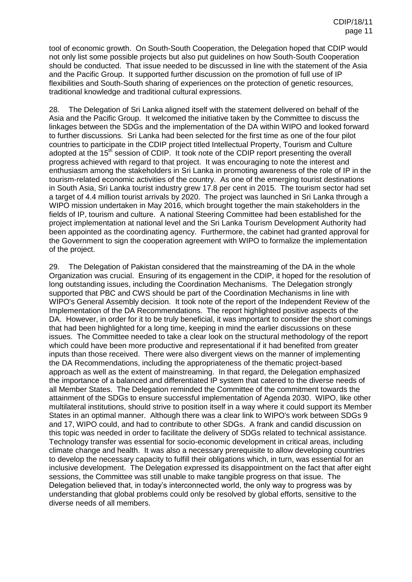tool of economic growth. On South-South Cooperation, the Delegation hoped that CDIP would not only list some possible projects but also put guidelines on how South-South Cooperation should be conducted. That issue needed to be discussed in line with the statement of the Asia and the Pacific Group. It supported further discussion on the promotion of full use of IP flexibilities and South-South sharing of experiences on the protection of genetic resources, traditional knowledge and traditional cultural expressions.

28. The Delegation of Sri Lanka aligned itself with the statement delivered on behalf of the Asia and the Pacific Group. It welcomed the initiative taken by the Committee to discuss the linkages between the SDGs and the implementation of the DA within WIPO and looked forward to further discussions. Sri Lanka had been selected for the first time as one of the four pilot countries to participate in the CDIP project titled Intellectual Property, Tourism and Culture adopted at the 15<sup>th</sup> session of CDIP. It took note of the CDIP report presenting the overall progress achieved with regard to that project. It was encouraging to note the interest and enthusiasm among the stakeholders in Sri Lanka in promoting awareness of the role of IP in the tourism-related economic activities of the country. As one of the emerging tourist destinations in South Asia, Sri Lanka tourist industry grew 17.8 per cent in 2015. The tourism sector had set a target of 4.4 million tourist arrivals by 2020. The project was launched in Sri Lanka through a WIPO mission undertaken in May 2016, which brought together the main stakeholders in the fields of IP, tourism and culture. A national Steering Committee had been established for the project implementation at national level and the Sri Lanka Tourism Development Authority had been appointed as the coordinating agency. Furthermore, the cabinet had granted approval for the Government to sign the cooperation agreement with WIPO to formalize the implementation of the project.

29. The Delegation of Pakistan considered that the mainstreaming of the DA in the whole Organization was crucial. Ensuring of its engagement in the CDIP, it hoped for the resolution of long outstanding issues, including the Coordination Mechanisms. The Delegation strongly supported that PBC and CWS should be part of the Coordination Mechanisms in line with WIPO's General Assembly decision. It took note of the report of the Independent Review of the Implementation of the DA Recommendations. The report highlighted positive aspects of the DA. However, in order for it to be truly beneficial, it was important to consider the short comings that had been highlighted for a long time, keeping in mind the earlier discussions on these issues. The Committee needed to take a clear look on the structural methodology of the report which could have been more productive and representational if it had benefited from greater inputs than those received. There were also divergent views on the manner of implementing the DA Recommendations, including the appropriateness of the thematic project-based approach as well as the extent of mainstreaming. In that regard, the Delegation emphasized the importance of a balanced and differentiated IP system that catered to the diverse needs of all Member States. The Delegation reminded the Committee of the commitment towards the attainment of the SDGs to ensure successful implementation of Agenda 2030. WIPO, like other multilateral institutions, should strive to position itself in a way where it could support its Member States in an optimal manner. Although there was a clear link to WIPO's work between SDGs 9 and 17, WIPO could, and had to contribute to other SDGs. A frank and candid discussion on this topic was needed in order to facilitate the delivery of SDGs related to technical assistance. Technology transfer was essential for socio-economic development in critical areas, including climate change and health. It was also a necessary prerequisite to allow developing countries to develop the necessary capacity to fulfill their obligations which, in turn, was essential for an inclusive development. The Delegation expressed its disappointment on the fact that after eight sessions, the Committee was still unable to make tangible progress on that issue. The Delegation believed that, in today's interconnected world, the only way to progress was by understanding that global problems could only be resolved by global efforts, sensitive to the diverse needs of all members.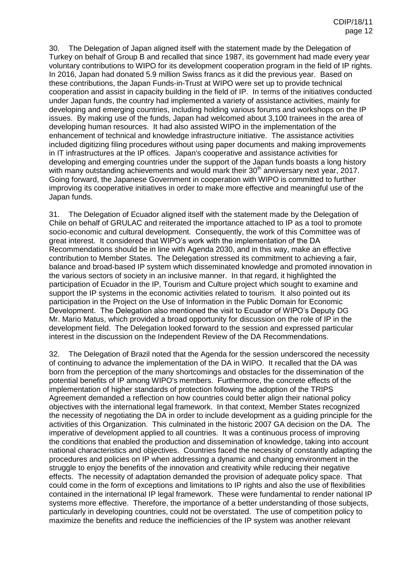30. The Delegation of Japan aligned itself with the statement made by the Delegation of Turkey on behalf of Group B and recalled that since 1987, its government had made every year voluntary contributions to WIPO for its development cooperation program in the field of IP rights. In 2016, Japan had donated 5.9 million Swiss francs as it did the previous year. Based on these contributions, the Japan Funds-in-Trust at WIPO were set up to provide technical cooperation and assist in capacity building in the field of IP. In terms of the initiatives conducted under Japan funds, the country had implemented a variety of assistance activities, mainly for developing and emerging countries, including holding various forums and workshops on the IP issues. By making use of the funds, Japan had welcomed about 3,100 trainees in the area of developing human resources. It had also assisted WIPO in the implementation of the enhancement of technical and knowledge infrastructure initiative. The assistance activities included digitizing filing procedures without using paper documents and making improvements in IT infrastructures at the IP offices. Japan's cooperative and assistance activities for developing and emerging countries under the support of the Japan funds boasts a long history with many outstanding achievements and would mark their  $30<sup>th</sup>$  anniversary next year, 2017. Going forward, the Japanese Government in cooperation with WIPO is committed to further improving its cooperative initiatives in order to make more effective and meaningful use of the Japan funds.

31. The Delegation of Ecuador aligned itself with the statement made by the Delegation of Chile on behalf of GRULAC and reiterated the importance attached to IP as a tool to promote socio-economic and cultural development. Consequently, the work of this Committee was of great interest. It considered that WIPO's work with the implementation of the DA Recommendations should be in line with Agenda 2030, and in this way, make an effective contribution to Member States. The Delegation stressed its commitment to achieving a fair, balance and broad-based IP system which disseminated knowledge and promoted innovation in the various sectors of society in an inclusive manner. In that regard, it highlighted the participation of Ecuador in the IP, Tourism and Culture project which sought to examine and support the IP systems in the economic activities related to tourism. It also pointed out its participation in the Project on the Use of Information in the Public Domain for Economic Development. The Delegation also mentioned the visit to Ecuador of WIPO's Deputy DG Mr. Mario Matus, which provided a broad opportunity for discussion on the role of IP in the development field. The Delegation looked forward to the session and expressed particular interest in the discussion on the Independent Review of the DA Recommendations.

32. The Delegation of Brazil noted that the Agenda for the session underscored the necessity of continuing to advance the implementation of the DA in WIPO. It recalled that the DA was born from the perception of the many shortcomings and obstacles for the dissemination of the potential benefits of IP among WIPO's members. Furthermore, the concrete effects of the implementation of higher standards of protection following the adoption of the TRIPS Agreement demanded a reflection on how countries could better align their national policy objectives with the international legal framework. In that context, Member States recognized the necessity of negotiating the DA in order to include development as a guiding principle for the activities of this Organization. This culminated in the historic 2007 GA decision on the DA. The imperative of development applied to all countries. It was a continuous process of improving the conditions that enabled the production and dissemination of knowledge, taking into account national characteristics and objectives. Countries faced the necessity of constantly adapting the procedures and policies on IP when addressing a dynamic and changing environment in the struggle to enjoy the benefits of the innovation and creativity while reducing their negative effects. The necessity of adaptation demanded the provision of adequate policy space. That could come in the form of exceptions and limitations to IP rights and also the use of flexibilities contained in the international IP legal framework. These were fundamental to render national IP systems more effective. Therefore, the importance of a better understanding of those subjects, particularly in developing countries, could not be overstated. The use of competition policy to maximize the benefits and reduce the inefficiencies of the IP system was another relevant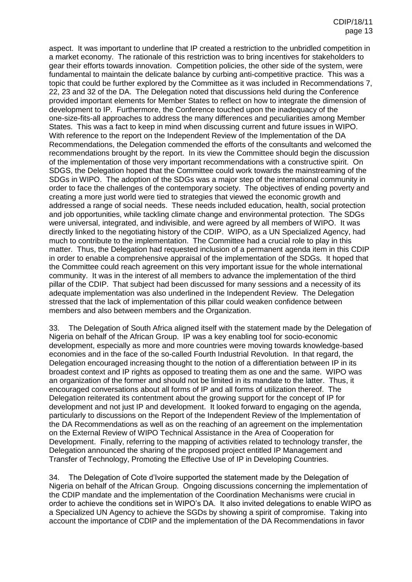aspect. It was important to underline that IP created a restriction to the unbridled competition in a market economy. The rationale of this restriction was to bring incentives for stakeholders to gear their efforts towards innovation. Competition policies, the other side of the system, were fundamental to maintain the delicate balance by curbing anti-competitive practice. This was a topic that could be further explored by the Committee as it was included in Recommendations 7, 22, 23 and 32 of the DA. The Delegation noted that discussions held during the Conference provided important elements for Member States to reflect on how to integrate the dimension of development to IP. Furthermore, the Conference touched upon the inadequacy of the one-size-fits-all approaches to address the many differences and peculiarities among Member States. This was a fact to keep in mind when discussing current and future issues in WIPO. With reference to the report on the Independent Review of the Implementation of the DA Recommendations, the Delegation commended the efforts of the consultants and welcomed the recommendations brought by the report. In its view the Committee should begin the discussion of the implementation of those very important recommendations with a constructive spirit. On SDGS, the Delegation hoped that the Committee could work towards the mainstreaming of the SDGs in WIPO. The adoption of the SDGs was a major step of the international community in order to face the challenges of the contemporary society. The objectives of ending poverty and creating a more just world were tied to strategies that viewed the economic growth and addressed a range of social needs. These needs included education, health, social protection and job opportunities, while tackling climate change and environmental protection. The SDGs were universal, integrated, and indivisible, and were agreed by all members of WIPO. It was directly linked to the negotiating history of the CDIP. WIPO, as a UN Specialized Agency, had much to contribute to the implementation. The Committee had a crucial role to play in this matter. Thus, the Delegation had requested inclusion of a permanent agenda item in this CDIP in order to enable a comprehensive appraisal of the implementation of the SDGs. It hoped that the Committee could reach agreement on this very important issue for the whole international community. It was in the interest of all members to advance the implementation of the third pillar of the CDIP. That subject had been discussed for many sessions and a necessity of its adequate implementation was also underlined in the Independent Review. The Delegation stressed that the lack of implementation of this pillar could weaken confidence between members and also between members and the Organization.

33. The Delegation of South Africa aligned itself with the statement made by the Delegation of Nigeria on behalf of the African Group. IP was a key enabling tool for socio-economic development, especially as more and more countries were moving towards knowledge-based economies and in the face of the so-called Fourth Industrial Revolution. In that regard, the Delegation encouraged increasing thought to the notion of a differentiation between IP in its broadest context and IP rights as opposed to treating them as one and the same. WIPO was an organization of the former and should not be limited in its mandate to the latter. Thus, it encouraged conversations about all forms of IP and all forms of utilization thereof. The Delegation reiterated its contentment about the growing support for the concept of IP for development and not just IP and development. It looked forward to engaging on the agenda, particularly to discussions on the Report of the Independent Review of the Implementation of the DA Recommendations as well as on the reaching of an agreement on the implementation on the External Review of WIPO Technical Assistance in the Area of Cooperation for Development. Finally, referring to the mapping of activities related to technology transfer, the Delegation announced the sharing of the proposed project entitled IP Management and Transfer of Technology, Promoting the Effective Use of IP in Developing Countries.

34. The Delegation of Cote d'Ivoire supported the statement made by the Delegation of Nigeria on behalf of the African Group. Ongoing discussions concerning the implementation of the CDIP mandate and the implementation of the Coordination Mechanisms were crucial in order to achieve the conditions set in WIPO's DA. It also invited delegations to enable WIPO as a Specialized UN Agency to achieve the SGDs by showing a spirit of compromise. Taking into account the importance of CDIP and the implementation of the DA Recommendations in favor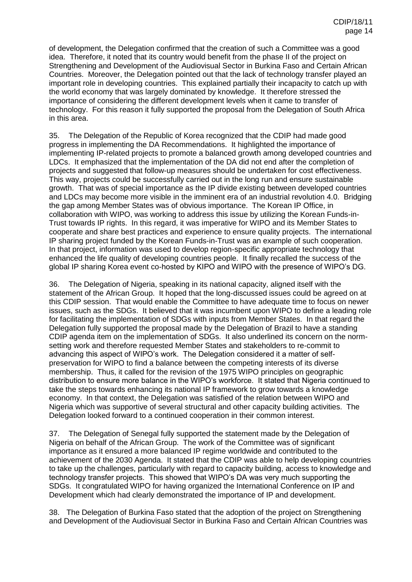of development, the Delegation confirmed that the creation of such a Committee was a good idea. Therefore, it noted that its country would benefit from the phase II of the project on [Strengthening and Development of the Audiovisual Sector in Burkina](http://www.wipo.int/meetings/en/doc_details.jsp?doc_id=202139) Faso and Certain African [Countries.](http://www.wipo.int/meetings/en/doc_details.jsp?doc_id=202139) Moreover, the Delegation pointed out that the lack of technology transfer played an important role in developing countries. This explained partially their incapacity to catch up with the world economy that was largely dominated by knowledge. It therefore stressed the importance of considering the different development levels when it came to transfer of technology. For this reason it fully supported the proposal from the Delegation of South Africa in this area.

35. The Delegation of the Republic of Korea recognized that the CDIP had made good progress in implementing the DA Recommendations. It highlighted the importance of implementing IP-related projects to promote a balanced growth among developed countries and LDCs. It emphasized that the implementation of the DA did not end after the completion of projects and suggested that follow-up measures should be undertaken for cost effectiveness. This way, projects could be successfully carried out in the long run and ensure sustainable growth. That was of special importance as the IP divide existing between developed countries and LDCs may become more visible in the imminent era of an industrial revolution 4.0. Bridging the gap among Member States was of obvious importance. The Korean IP Office, in collaboration with WIPO, was working to address this issue by utilizing the Korean Funds-in-Trust towards IP rights. In this regard, it was imperative for WIPO and its Member States to cooperate and share best practices and experience to ensure quality projects. The international IP sharing project funded by the Korean Funds-in-Trust was an example of such cooperation. In that project, information was used to develop region-specific appropriate technology that enhanced the life quality of developing countries people. It finally recalled the success of the global IP sharing Korea event co-hosted by KIPO and WIPO with the presence of WIPO's DG.

36. The Delegation of Nigeria, speaking in its national capacity, aligned itself with the statement of the African Group. It hoped that the long-discussed issues could be agreed on at this CDIP session. That would enable the Committee to have adequate time to focus on newer issues, such as the SDGs. It believed that it was incumbent upon WIPO to define a leading role for facilitating the implementation of SDGs with inputs from Member States. In that regard the Delegation fully supported the proposal made by the Delegation of Brazil to have a standing CDIP agenda item on the implementation of SDGs. It also underlined its concern on the normsetting work and therefore requested Member States and stakeholders to re-commit to advancing this aspect of WIPO's work. The Delegation considered it a matter of selfpreservation for WIPO to find a balance between the competing interests of its diverse membership. Thus, it called for the revision of the 1975 WIPO principles on geographic distribution to ensure more balance in the WIPO's workforce. It stated that Nigeria continued to take the steps towards enhancing its national IP framework to grow towards a knowledge economy. In that context, the Delegation was satisfied of the relation between WIPO and Nigeria which was supportive of several structural and other capacity building activities. The Delegation looked forward to a continued cooperation in their common interest.

37. The Delegation of Senegal fully supported the statement made by the Delegation of Nigeria on behalf of the African Group. The work of the Committee was of significant importance as it ensured a more balanced IP regime worldwide and contributed to the achievement of the 2030 Agenda. It stated that the CDIP was able to help developing countries to take up the challenges, particularly with regard to capacity building, access to knowledge and technology transfer projects. This showed that WIPO's DA was very much supporting the SDGs. It congratulated WIPO for having organized the International Conference on IP and Development which had clearly demonstrated the importance of IP and development.

38. The Delegation of Burkina Faso stated that the adoption of the project on Strengthening and Development of the Audiovisual Sector in Burkina Faso and Certain African Countries was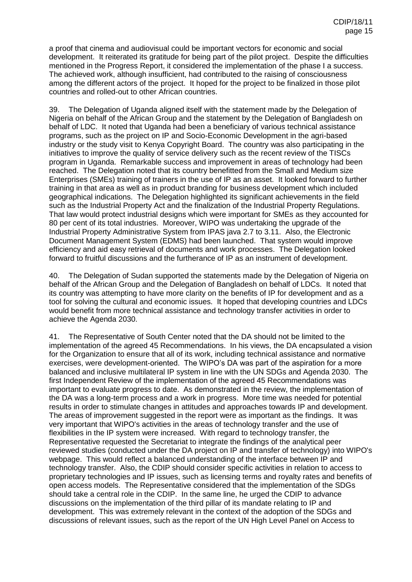a proof that cinema and audiovisual could be important vectors for economic and social development. It reiterated its gratitude for being part of the pilot project. Despite the difficulties mentioned in the Progress Report, it considered the implementation of the phase I a success. The achieved work, although insufficient, had contributed to the raising of consciousness among the different actors of the project. It hoped for the project to be finalized in those pilot countries and rolled-out to other African countries.

39. The Delegation of Uganda aligned itself with the statement made by the Delegation of Nigeria on behalf of the African Group and the statement by the Delegation of Bangladesh on behalf of LDC. It noted that Uganda had been a beneficiary of various technical assistance programs, such as the project on IP and Socio-Economic Development in the agri-based industry or the study visit to Kenya Copyright Board. The country was also participating in the initiatives to improve the quality of service delivery such as the recent review of the TISCs program in Uganda. Remarkable success and improvement in areas of technology had been reached. The Delegation noted that its country benefitted from the Small and Medium size Enterprises (SMEs) training of trainers in the use of IP as an asset. It looked forward to further training in that area as well as in product branding for business development which included geographical indications. The Delegation highlighted its significant achievements in the field such as the Industrial Property Act and the finalization of the Industrial Property Regulations. That law would protect industrial designs which were important for SMEs as they accounted for 80 per cent of its total industries. Moreover, WIPO was undertaking the upgrade of the Industrial Property Administrative System from IPAS java 2.7 to 3.11. Also, the Electronic Document Management System (EDMS) had been launched. That system would improve efficiency and aid easy retrieval of documents and work processes. The Delegation looked forward to fruitful discussions and the furtherance of IP as an instrument of development.

40. The Delegation of Sudan supported the statements made by the Delegation of Nigeria on behalf of the African Group and the Delegation of Bangladesh on behalf of LDCs. It noted that its country was attempting to have more clarity on the benefits of IP for development and as a tool for solving the cultural and economic issues. It hoped that developing countries and LDCs would benefit from more technical assistance and technology transfer activities in order to achieve the Agenda 2030.

41. The Representative of South Center noted that the DA should not be limited to the implementation of the agreed 45 Recommendations. In his views, the DA encapsulated a vision for the Organization to ensure that all of its work, including technical assistance and normative exercises, were development-oriented. The WIPO's DA was part of the aspiration for a more balanced and inclusive multilateral IP system in line with the UN SDGs and Agenda 2030. The first Independent Review of the implementation of the agreed 45 Recommendations was important to evaluate progress to date. As demonstrated in the review, the implementation of the DA was a long-term process and a work in progress. More time was needed for potential results in order to stimulate changes in attitudes and approaches towards IP and development. The areas of improvement suggested in the report were as important as the findings. It was very important that WIPO's activities in the areas of technology transfer and the use of flexibilities in the IP system were increased. With regard to technology transfer, the Representative requested the Secretariat to integrate the findings of the analytical peer reviewed studies (conducted under the DA project on IP and transfer of technology) into WIPO's webpage. This would reflect a balanced understanding of the interface between IP and technology transfer. Also, the CDIP should consider specific activities in relation to access to proprietary technologies and IP issues, such as licensing terms and royalty rates and benefits of open access models. The Representative considered that the implementation of the SDGs should take a central role in the CDIP. In the same line, he urged the CDIP to advance discussions on the implementation of the third pillar of its mandate relating to IP and development. This was extremely relevant in the context of the adoption of the SDGs and discussions of relevant issues, such as the report of the UN High Level Panel on Access to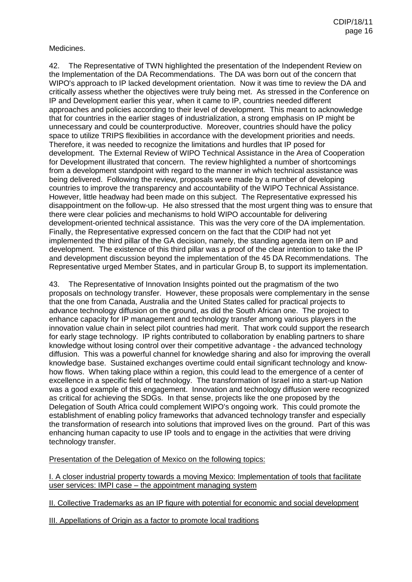#### Medicines.

42. The Representative of TWN highlighted the presentation of the Independent Review on the Implementation of the DA Recommendations. The DA was born out of the concern that WIPO's approach to IP lacked development orientation. Now it was time to review the DA and critically assess whether the objectives were truly being met. As stressed in the Conference on IP and Development earlier this year, when it came to IP, countries needed different approaches and policies according to their level of development. This meant to acknowledge that for countries in the earlier stages of industrialization, a strong emphasis on IP might be unnecessary and could be counterproductive. Moreover, countries should have the policy space to utilize TRIPS flexibilities in accordance with the development priorities and needs. Therefore, it was needed to recognize the limitations and hurdles that IP posed for development. The External Review of WIPO Technical Assistance in the Area of Cooperation for Development illustrated that concern. The review highlighted a number of shortcomings from a development standpoint with regard to the manner in which technical assistance was being delivered. Following the review, proposals were made by a number of developing countries to improve the transparency and accountability of the WIPO Technical Assistance. However, little headway had been made on this subject. The Representative expressed his disappointment on the follow-up. He also stressed that the most urgent thing was to ensure that there were clear policies and mechanisms to hold WIPO accountable for delivering development-oriented technical assistance. This was the very core of the DA implementation. Finally, the Representative expressed concern on the fact that the CDIP had not yet implemented the third pillar of the GA decision, namely, the standing agenda item on IP and development. The existence of this third pillar was a proof of the clear intention to take the IP and development discussion beyond the implementation of the 45 DA Recommendations. The Representative urged Member States, and in particular Group B, to support its implementation.

43. The Representative of Innovation Insights pointed out the pragmatism of the two proposals on technology transfer. However, these proposals were complementary in the sense that the one from Canada, Australia and the United States called for practical projects to advance technology diffusion on the ground, as did the South African one. The project to enhance capacity for IP management and technology transfer among various players in the innovation value chain in select pilot countries had merit. That work could support the research for early stage technology. IP rights contributed to collaboration by enabling partners to share knowledge without losing control over their competitive advantage - the advanced technology diffusion. This was a powerful channel for knowledge sharing and also for improving the overall knowledge base. Sustained exchanges overtime could entail significant technology and knowhow flows. When taking place within a region, this could lead to the emergence of a center of excellence in a specific field of technology. The transformation of Israel into a start-up Nation was a good example of this engagement. Innovation and technology diffusion were recognized as critical for achieving the SDGs. In that sense, projects like the one proposed by the Delegation of South Africa could complement WIPO's ongoing work. This could promote the establishment of enabling policy frameworks that advanced technology transfer and especially the transformation of research into solutions that improved lives on the ground. Part of this was enhancing human capacity to use IP tools and to engage in the activities that were driving technology transfer.

Presentation of the Delegation of Mexico on the following topics:

I. A closer industrial property towards a moving Mexico: Implementation of tools that facilitate user services: IMPI case – the appointment managing system

II. Collective Trademarks as an IP figure with potential for economic and social development

III. Appellations of Origin as a factor to promote local traditions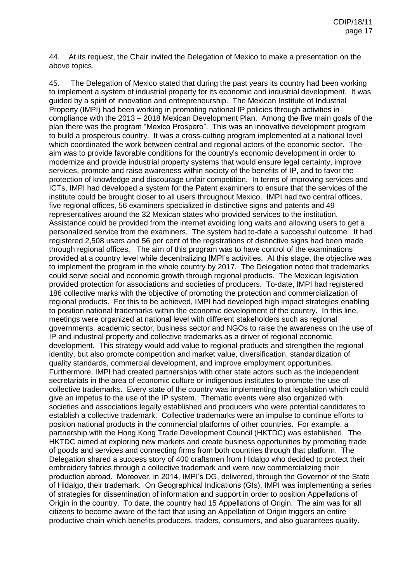44. At its request, the Chair invited the Delegation of Mexico to make a presentation on the above topics.

45. The Delegation of Mexico stated that during the past years its country had been working to implement a system of industrial property for its economic and industrial development. It was guided by a spirit of innovation and entrepreneurship. The Mexican Institute of Industrial Property (IMPI) had been working in promoting national IP policies through activities in compliance with the 2013 – 2018 Mexican Development Plan. Among the five main goals of the plan there was the program "Mexico Prospero". This was an innovative development program to build a prosperous country. It was a cross-cutting program implemented at a national level which coordinated the work between central and regional actors of the economic sector. The aim was to provide favorable conditions for the country's economic development in order to modernize and provide industrial property systems that would ensure legal certainty, improve services, promote and raise awareness within society of the benefits of IP, and to favor the protection of knowledge and discourage unfair competition. In terms of improving services and ICTs, IMPI had developed a system for the Patent examiners to ensure that the services of the institute could be brought closer to all users throughout Mexico. IMPI had two central offices, five regional offices, 56 examiners specialized in distinctive signs and patents and 49 representatives around the 32 Mexican states who provided services to the institution. Assistance could be provided from the internet avoiding long waits and allowing users to get a personalized service from the examiners. The system had to-date a successful outcome. It had registered 2,508 users and 56 per cent of the registrations of distinctive signs had been made through regional offices. The aim of this program was to have control of the examinations provided at a country level while decentralizing IMPI's activities. At this stage, the objective was to implement the program in the whole country by 2017. The Delegation noted that trademarks could serve social and economic growth through regional products. The Mexican legislation provided protection for associations and societies of producers. To-date, IMPI had registered 186 collective marks with the objective of promoting the protection and commercialization of regional products. For this to be achieved, IMPI had developed high impact strategies enabling to position national trademarks within the economic development of the country. In this line, meetings were organized at national level with different stakeholders such as regional governments, academic sector, business sector and NGOs to raise the awareness on the use of IP and industrial property and collective trademarks as a driver of regional economic development. This strategy would add value to regional products and strengthen the regional identity, but also promote competition and market value, diversification, standardization of quality standards, commercial development, and improve employment opportunities. Furthermore, IMPI had created partnerships with other state actors such as the independent secretariats in the area of economic culture or indigenous institutes to promote the use of collective trademarks. Every state of the country was implementing that legislation which could give an impetus to the use of the IP system. Thematic events were also organized with societies and associations legally established and producers who were potential candidates to establish a collective trademark. Collective trademarks were an impulse to continue efforts to position national products in the commercial platforms of other countries. For example, a partnership with the Hong Kong Trade Development Council (HKTDC) was established. The HKTDC aimed at exploring new markets and create business opportunities by promoting trade of goods and services and connecting firms from both countries through that platform. The Delegation shared a success story of 400 craftsmen from Hidalgo who decided to protect their embroidery fabrics through a collective trademark and were now commercializing their production abroad. Moreover, in 2014, IMPI's DG, delivered, through the Governor of the State of Hidalgo, their trademark. On Geographical Indications (GIs), IMPI was implementing a series of strategies for dissemination of information and support in order to position Appellations of Origin in the country. To date, the country had 15 Appellations of Origin. The aim was for all citizens to become aware of the fact that using an Appellation of Origin triggers an entire productive chain which benefits producers, traders, consumers, and also guarantees quality.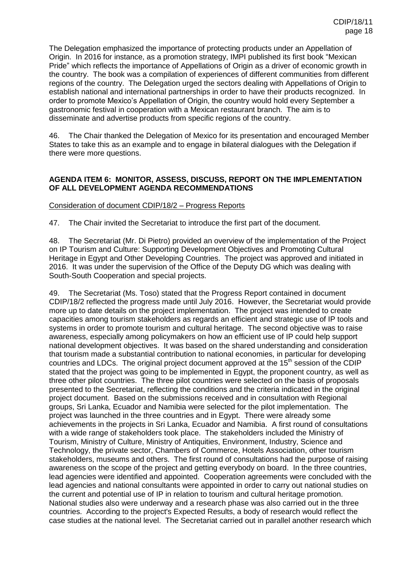The Delegation emphasized the importance of protecting products under an Appellation of Origin. In 2016 for instance, as a promotion strategy, IMPI published its first book "Mexican Pride" which reflects the importance of Appellations of Origin as a driver of economic growth in the country. The book was a compilation of experiences of different communities from different regions of the country. The Delegation urged the sectors dealing with Appellations of Origin to establish national and international partnerships in order to have their products recognized. In order to promote Mexico's Appellation of Origin, the country would hold every September a gastronomic festival in cooperation with a Mexican restaurant branch. The aim is to disseminate and advertise products from specific regions of the country.

46. The Chair thanked the Delegation of Mexico for its presentation and encouraged Member States to take this as an example and to engage in bilateral dialogues with the Delegation if there were more questions.

## **AGENDA ITEM 6: MONITOR, ASSESS, DISCUSS, REPORT ON THE IMPLEMENTATION OF ALL DEVELOPMENT AGENDA RECOMMENDATIONS**

### Consideration of document CDIP/18/2 – Progress Reports

47. The Chair invited the Secretariat to introduce the first part of the document.

48. The Secretariat (Mr. Di Pietro) provided an overview of the implementation of the Project on IP Tourism and Culture: Supporting Development Objectives and Promoting Cultural Heritage in Egypt and Other Developing Countries. The project was approved and initiated in 2016. It was under the supervision of the Office of the Deputy DG which was dealing with South-South Cooperation and special projects.

49. The Secretariat (Ms. Toso) stated that the Progress Report contained in document CDIP/18/2 reflected the progress made until July 2016. However, the Secretariat would provide more up to date details on the project implementation. The project was intended to create capacities among tourism stakeholders as regards an efficient and strategic use of IP tools and systems in order to promote tourism and cultural heritage. The second objective was to raise awareness, especially among policymakers on how an efficient use of IP could help support national development objectives. It was based on the shared understanding and consideration that tourism made a substantial contribution to national economies, in particular for developing countries and LDCs. The original project document approved at the 15<sup>th</sup> session of the CDIP stated that the project was going to be implemented in Egypt, the proponent country, as well as three other pilot countries. The three pilot countries were selected on the basis of proposals presented to the Secretariat, reflecting the conditions and the criteria indicated in the original project document. Based on the submissions received and in consultation with Regional groups, Sri Lanka, Ecuador and Namibia were selected for the pilot implementation. The project was launched in the three countries and in Egypt. There were already some achievements in the projects in Sri Lanka, Ecuador and Namibia. A first round of consultations with a wide range of stakeholders took place. The stakeholders included the Ministry of Tourism, Ministry of Culture, Ministry of Antiquities, Environment, Industry, Science and Technology, the private sector, Chambers of Commerce, Hotels Association, other tourism stakeholders, museums and others. The first round of consultations had the purpose of raising awareness on the scope of the project and getting everybody on board. In the three countries, lead agencies were identified and appointed. Cooperation agreements were concluded with the lead agencies and national consultants were appointed in order to carry out national studies on the current and potential use of IP in relation to tourism and cultural heritage promotion. National studies also were underway and a research phase was also carried out in the three countries. According to the project's Expected Results, a body of research would reflect the case studies at the national level. The Secretariat carried out in parallel another research which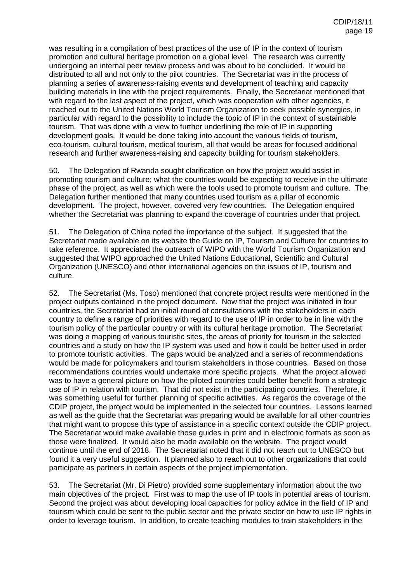was resulting in a compilation of best practices of the use of IP in the context of tourism promotion and cultural heritage promotion on a global level. The research was currently undergoing an internal peer review process and was about to be concluded. It would be distributed to all and not only to the pilot countries. The Secretariat was in the process of planning a series of awareness-raising events and development of teaching and capacity building materials in line with the project requirements. Finally, the Secretariat mentioned that with regard to the last aspect of the project, which was cooperation with other agencies, it reached out to the United Nations World Tourism Organization to seek possible synergies, in particular with regard to the possibility to include the topic of IP in the context of sustainable tourism. That was done with a view to further underlining the role of IP in supporting development goals. It would be done taking into account the various fields of tourism, eco-tourism, cultural tourism, medical tourism, all that would be areas for focused additional research and further awareness-raising and capacity building for tourism stakeholders.

50. The Delegation of Rwanda sought clarification on how the project would assist in promoting tourism and culture; what the countries would be expecting to receive in the ultimate phase of the project, as well as which were the tools used to promote tourism and culture. The Delegation further mentioned that many countries used tourism as a pillar of economic development. The project, however, covered very few countries. The Delegation enquired whether the Secretariat was planning to expand the coverage of countries under that project.

51. The Delegation of China noted the importance of the subject. It suggested that the Secretariat made available on its website the Guide on IP, Tourism and Culture for countries to take reference. It appreciated the outreach of WIPO with the World Tourism Organization and suggested that WIPO approached the United Nations Educational, Scientific and Cultural Organization (UNESCO) and other international agencies on the issues of IP, tourism and culture.

52. The Secretariat (Ms. Toso) mentioned that concrete project results were mentioned in the project outputs contained in the project document. Now that the project was initiated in four countries, the Secretariat had an initial round of consultations with the stakeholders in each country to define a range of priorities with regard to the use of IP in order to be in line with the tourism policy of the particular country or with its cultural heritage promotion. The Secretariat was doing a mapping of various touristic sites, the areas of priority for tourism in the selected countries and a study on how the IP system was used and how it could be better used in order to promote touristic activities. The gaps would be analyzed and a series of recommendations would be made for policymakers and tourism stakeholders in those countries. Based on those recommendations countries would undertake more specific projects. What the project allowed was to have a general picture on how the piloted countries could better benefit from a strategic use of IP in relation with tourism. That did not exist in the participating countries. Therefore, it was something useful for further planning of specific activities. As regards the coverage of the CDIP project, the project would be implemented in the selected four countries. Lessons learned as well as the guide that the Secretariat was preparing would be available for all other countries that might want to propose this type of assistance in a specific context outside the CDIP project. The Secretariat would make available those guides in print and in electronic formats as soon as those were finalized. It would also be made available on the website. The project would continue until the end of 2018. The Secretariat noted that it did not reach out to UNESCO but found it a very useful suggestion. It planned also to reach out to other organizations that could participate as partners in certain aspects of the project implementation.

53. The Secretariat (Mr. Di Pietro) provided some supplementary information about the two main objectives of the project. First was to map the use of IP tools in potential areas of tourism. Second the project was about developing local capacities for policy advice in the field of IP and tourism which could be sent to the public sector and the private sector on how to use IP rights in order to leverage tourism. In addition, to create teaching modules to train stakeholders in the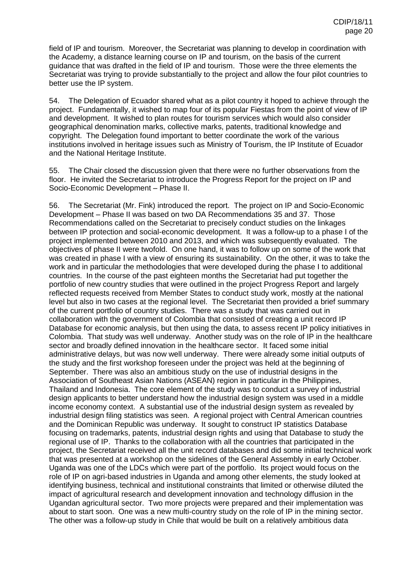field of IP and tourism. Moreover, the Secretariat was planning to develop in coordination with the Academy, a distance learning course on IP and tourism, on the basis of the current guidance that was drafted in the field of IP and tourism. Those were the three elements the Secretariat was trying to provide substantially to the project and allow the four pilot countries to better use the IP system.

54. The Delegation of Ecuador shared what as a pilot country it hoped to achieve through the project. Fundamentally, it wished to map four of its popular Fiestas from the point of view of IP and development. It wished to plan routes for tourism services which would also consider geographical denomination marks, collective marks, patents, traditional knowledge and copyright. The Delegation found important to better coordinate the work of the various institutions involved in heritage issues such as Ministry of Tourism, the IP Institute of Ecuador and the National Heritage Institute.

55. The Chair closed the discussion given that there were no further observations from the floor. He invited the Secretariat to introduce the Progress Report for the project on IP and Socio-Economic Development – Phase II.

56. The Secretariat (Mr. Fink) introduced the report. The project on IP and Socio-Economic Development – Phase II was based on two DA Recommendations 35 and 37. Those Recommendations called on the Secretariat to precisely conduct studies on the linkages between IP protection and social-economic development. It was a follow-up to a phase I of the project implemented between 2010 and 2013, and which was subsequently evaluated. The objectives of phase II were twofold. On one hand, it was to follow up on some of the work that was created in phase I with a view of ensuring its sustainability. On the other, it was to take the work and in particular the methodologies that were developed during the phase I to additional countries. In the course of the past eighteen months the Secretariat had put together the portfolio of new country studies that were outlined in the project Progress Report and largely reflected requests received from Member States to conduct study work, mostly at the national level but also in two cases at the regional level. The Secretariat then provided a brief summary of the current portfolio of country studies. There was a study that was carried out in collaboration with the government of Colombia that consisted of creating a unit record IP Database for economic analysis, but then using the data, to assess recent IP policy initiatives in Colombia. That study was well underway. Another study was on the role of IP in the healthcare sector and broadly defined innovation in the healthcare sector. It faced some initial administrative delays, but was now well underway. There were already some initial outputs of the study and the first workshop foreseen under the project was held at the beginning of September. There was also an ambitious study on the use of industrial designs in the Association of Southeast Asian Nations (ASEAN) region in particular in the Philippines, Thailand and Indonesia. The core element of the study was to conduct a survey of industrial design applicants to better understand how the industrial design system was used in a middle income economy context. A substantial use of the industrial design system as revealed by industrial design filing statistics was seen. A regional project with Central American countries and the Dominican Republic was underway. It sought to construct IP statistics Database focusing on trademarks, patents, industrial design rights and using that Database to study the regional use of IP. Thanks to the collaboration with all the countries that participated in the project, the Secretariat received all the unit record databases and did some initial technical work that was presented at a workshop on the sidelines of the General Assembly in early October. Uganda was one of the LDCs which were part of the portfolio. Its project would focus on the role of IP on agri-based industries in Uganda and among other elements, the study looked at identifying business, technical and institutional constraints that limited or otherwise diluted the impact of agricultural research and development innovation and technology diffusion in the Ugandan agricultural sector. Two more projects were prepared and their implementation was about to start soon. One was a new multi-country study on the role of IP in the mining sector. The other was a follow-up study in Chile that would be built on a relatively ambitious data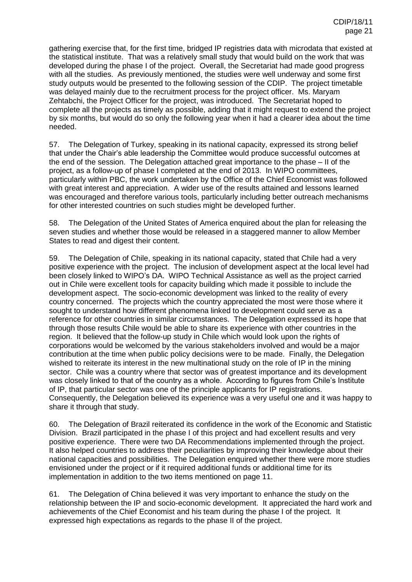gathering exercise that, for the first time, bridged IP registries data with microdata that existed at the statistical institute. That was a relatively small study that would build on the work that was developed during the phase I of the project. Overall, the Secretariat had made good progress with all the studies. As previously mentioned, the studies were well underway and some first study outputs would be presented to the following session of the CDIP. The project timetable was delayed mainly due to the recruitment process for the project officer. Ms. Maryam Zehtabchi, the Project Officer for the project, was introduced. The Secretariat hoped to complete all the projects as timely as possible, adding that it might request to extend the project by six months, but would do so only the following year when it had a clearer idea about the time needed.

57. The Delegation of Turkey, speaking in its national capacity, expressed its strong belief that under the Chair's able leadership the Committee would produce successful outcomes at the end of the session. The Delegation attached great importance to the phase – II of the project, as a follow-up of phase I completed at the end of 2013. In WIPO committees, particularly within PBC, the work undertaken by the Office of the Chief Economist was followed with great interest and appreciation. A wider use of the results attained and lessons learned was encouraged and therefore various tools, particularly including better outreach mechanisms for other interested countries on such studies might be developed further.

58. The Delegation of the United States of America enquired about the plan for releasing the seven studies and whether those would be released in a staggered manner to allow Member States to read and digest their content.

59. The Delegation of Chile, speaking in its national capacity, stated that Chile had a very positive experience with the project. The inclusion of development aspect at the local level had been closely linked to WIPO's DA. WIPO Technical Assistance as well as the project carried out in Chile were excellent tools for capacity building which made it possible to include the development aspect. The socio-economic development was linked to the reality of every country concerned. The projects which the country appreciated the most were those where it sought to understand how different phenomena linked to development could serve as a reference for other countries in similar circumstances. The Delegation expressed its hope that through those results Chile would be able to share its experience with other countries in the region. It believed that the follow-up study in Chile which would look upon the rights of corporations would be welcomed by the various stakeholders involved and would be a major contribution at the time when public policy decisions were to be made. Finally, the Delegation wished to reiterate its interest in the new multinational study on the role of IP in the mining sector. Chile was a country where that sector was of greatest importance and its development was closely linked to that of the country as a whole. According to figures from Chile's Institute of IP, that particular sector was one of the principle applicants for IP registrations. Consequently, the Delegation believed its experience was a very useful one and it was happy to share it through that study.

60. The Delegation of Brazil reiterated its confidence in the work of the Economic and Statistic Division. Brazil participated in the phase I of this project and had excellent results and very positive experience. There were two DA Recommendations implemented through the project. It also helped countries to address their peculiarities by improving their knowledge about their national capacities and possibilities. The Delegation enquired whether there were more studies envisioned under the project or if it required additional funds or additional time for its implementation in addition to the two items mentioned on page 11.

61. The Delegation of China believed it was very important to enhance the study on the relationship between the IP and socio-economic development. It appreciated the hard work and achievements of the Chief Economist and his team during the phase I of the project. It expressed high expectations as regards to the phase II of the project.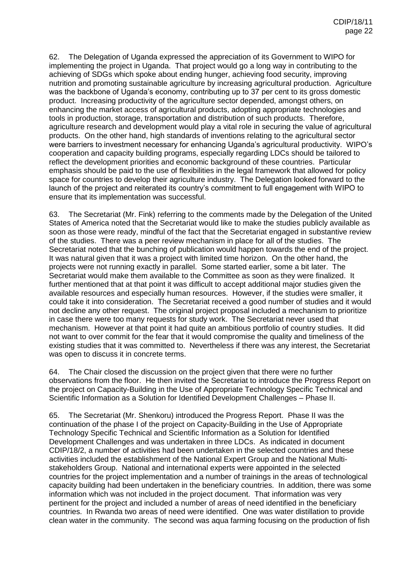62. The Delegation of Uganda expressed the appreciation of its Government to WIPO for implementing the project in Uganda. That project would go a long way in contributing to the achieving of SDGs which spoke about ending hunger, achieving food security, improving nutrition and promoting sustainable agriculture by increasing agricultural production. Agriculture was the backbone of Uganda's economy, contributing up to 37 per cent to its gross domestic product. Increasing productivity of the agriculture sector depended, amongst others, on enhancing the market access of agricultural products, adopting appropriate technologies and tools in production, storage, transportation and distribution of such products. Therefore, agriculture research and development would play a vital role in securing the value of agricultural products. On the other hand, high standards of inventions relating to the agricultural sector were barriers to investment necessary for enhancing Uganda's agricultural productivity. WIPO's cooperation and capacity building programs, especially regarding LDCs should be tailored to reflect the development priorities and economic background of these countries. Particular emphasis should be paid to the use of flexibilities in the legal framework that allowed for policy space for countries to develop their agriculture industry. The Delegation looked forward to the launch of the project and reiterated its country's commitment to full engagement with WIPO to ensure that its implementation was successful.

63. The Secretariat (Mr. Fink) referring to the comments made by the Delegation of the United States of America noted that the Secretariat would like to make the studies publicly available as soon as those were ready, mindful of the fact that the Secretariat engaged in substantive review of the studies. There was a peer review mechanism in place for all of the studies. The Secretariat noted that the bunching of publication would happen towards the end of the project. It was natural given that it was a project with limited time horizon. On the other hand, the projects were not running exactly in parallel. Some started earlier, some a bit later. The Secretariat would make them available to the Committee as soon as they were finalized. It further mentioned that at that point it was difficult to accept additional major studies given the available resources and especially human resources. However, if the studies were smaller, it could take it into consideration. The Secretariat received a good number of studies and it would not decline any other request. The original project proposal included a mechanism to prioritize in case there were too many requests for study work. The Secretariat never used that mechanism. However at that point it had quite an ambitious portfolio of country studies. It did not want to over commit for the fear that it would compromise the quality and timeliness of the existing studies that it was committed to. Nevertheless if there was any interest, the Secretariat was open to discuss it in concrete terms.

64. The Chair closed the discussion on the project given that there were no further observations from the floor. He then invited the Secretariat to introduce the Progress Report on the project on Capacity-Building in the Use of Appropriate Technology Specific Technical and Scientific Information as a Solution for Identified Development Challenges – Phase II.

65. The Secretariat (Mr. Shenkoru) introduced the Progress Report. Phase II was the continuation of the phase I of the project on Capacity-Building in the Use of Appropriate Technology Specific Technical and Scientific Information as a Solution for Identified Development Challenges and was undertaken in three LDCs. As indicated in document CDIP/18/2, a number of activities had been undertaken in the selected countries and these activities included the establishment of the National Expert Group and the National Multistakeholders Group. National and international experts were appointed in the selected countries for the project implementation and a number of trainings in the areas of technological capacity building had been undertaken in the beneficiary countries. In addition, there was some information which was not included in the project document. That information was very pertinent for the project and included a number of areas of need identified in the beneficiary countries. In Rwanda two areas of need were identified. One was water distillation to provide clean water in the community. The second was aqua farming focusing on the production of fish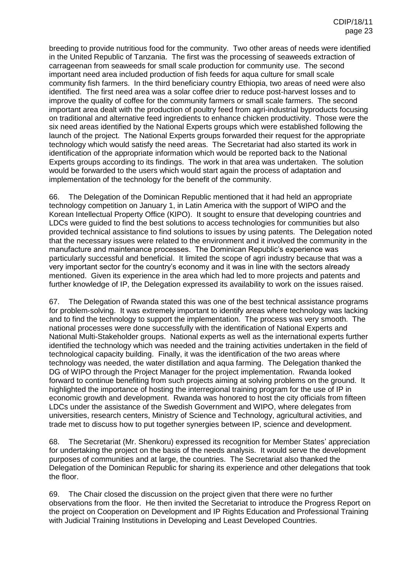breeding to provide nutritious food for the community. Two other areas of needs were identified in the United Republic of Tanzania. The first was the processing of seaweeds extraction of carrageenan from seaweeds for small scale production for community use. The second important need area included production of fish feeds for aqua culture for small scale community fish farmers. In the third beneficiary country Ethiopia, two areas of need were also identified. The first need area was a solar coffee drier to reduce post-harvest losses and to improve the quality of coffee for the community farmers or small scale farmers. The second important area dealt with the production of poultry feed from agri-industrial byproducts focusing on traditional and alternative feed ingredients to enhance chicken productivity. Those were the six need areas identified by the National Experts groups which were established following the launch of the project. The National Experts groups forwarded their request for the appropriate technology which would satisfy the need areas. The Secretariat had also started its work in identification of the appropriate information which would be reported back to the National Experts groups according to its findings. The work in that area was undertaken. The solution would be forwarded to the users which would start again the process of adaptation and implementation of the technology for the benefit of the community.

66. The Delegation of the Dominican Republic mentioned that it had held an appropriate technology competition on January 1, in Latin America with the support of WIPO and the Korean Intellectual Property Office (KIPO). It sought to ensure that developing countries and LDCs were guided to find the best solutions to access technologies for communities but also provided technical assistance to find solutions to issues by using patents. The Delegation noted that the necessary issues were related to the environment and it involved the community in the manufacture and maintenance processes. The Dominican Republic's experience was particularly successful and beneficial. It limited the scope of agri industry because that was a very important sector for the country's economy and it was in line with the sectors already mentioned. Given its experience in the area which had led to more projects and patents and further knowledge of IP, the Delegation expressed its availability to work on the issues raised.

67. The Delegation of Rwanda stated this was one of the best technical assistance programs for problem-solving. It was extremely important to identify areas where technology was lacking and to find the technology to support the implementation. The process was very smooth. The national processes were done successfully with the identification of National Experts and National Multi-Stakeholder groups. National experts as well as the international experts further identified the technology which was needed and the training activities undertaken in the field of technological capacity building. Finally, it was the identification of the two areas where technology was needed, the water distillation and aqua farming. The Delegation thanked the DG of WIPO through the Project Manager for the project implementation. Rwanda looked forward to continue benefiting from such projects aiming at solving problems on the ground. It highlighted the importance of hosting the interregional training program for the use of IP in economic growth and development. Rwanda was honored to host the city officials from fifteen LDCs under the assistance of the Swedish Government and WIPO, where delegates from universities, research centers, Ministry of Science and Technology, agricultural activities, and trade met to discuss how to put together synergies between IP, science and development.

68. The Secretariat (Mr. Shenkoru) expressed its recognition for Member States' appreciation for undertaking the project on the basis of the needs analysis. It would serve the development purposes of communities and at large, the countries. The Secretariat also thanked the Delegation of the Dominican Republic for sharing its experience and other delegations that took the floor.

69. The Chair closed the discussion on the project given that there were no further observations from the floor. He then invited the Secretariat to introduce the Progress Report on the project on Cooperation on Development and IP Rights Education and Professional Training with Judicial Training Institutions in Developing and Least Developed Countries.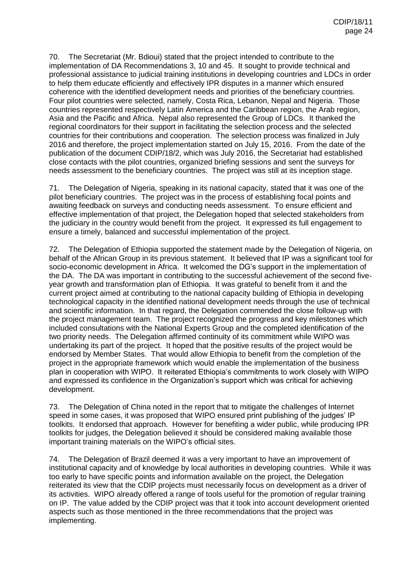70. The Secretariat (Mr. Bdioui) stated that the project intended to contribute to the implementation of DA Recommendations 3, 10 and 45. It sought to provide technical and professional assistance to judicial training institutions in developing countries and LDCs in order to help them educate efficiently and effectively IPR disputes in a manner which ensured coherence with the identified development needs and priorities of the beneficiary countries. Four pilot countries were selected, namely, Costa Rica, Lebanon, Nepal and Nigeria. Those countries represented respectively Latin America and the Caribbean region, the Arab region, Asia and the Pacific and Africa. Nepal also represented the Group of LDCs. It thanked the regional coordinators for their support in facilitating the selection process and the selected countries for their contributions and cooperation. The selection process was finalized in July 2016 and therefore, the project implementation started on July 15, 2016. From the date of the publication of the document CDIP/18/2, which was July 2016, the Secretariat had established close contacts with the pilot countries, organized briefing sessions and sent the surveys for needs assessment to the beneficiary countries. The project was still at its inception stage.

71. The Delegation of Nigeria, speaking in its national capacity, stated that it was one of the pilot beneficiary countries. The project was in the process of establishing focal points and awaiting feedback on surveys and conducting needs assessment. To ensure efficient and effective implementation of that project, the Delegation hoped that selected stakeholders from the judiciary in the country would benefit from the project. It expressed its full engagement to ensure a timely, balanced and successful implementation of the project.

72. The Delegation of Ethiopia supported the statement made by the Delegation of Nigeria, on behalf of the African Group in its previous statement. It believed that IP was a significant tool for socio-economic development in Africa. It welcomed the DG's support in the implementation of the DA. The DA was important in contributing to the successful achievement of the second fiveyear growth and transformation plan of Ethiopia. It was grateful to benefit from it and the current project aimed at contributing to the national capacity building of Ethiopia in developing technological capacity in the identified national development needs through the use of technical and scientific information. In that regard, the Delegation commended the close follow-up with the project management team. The project recognized the progress and key milestones which included consultations with the National Experts Group and the completed identification of the two priority needs. The Delegation affirmed continuity of its commitment while WIPO was undertaking its part of the project. It hoped that the positive results of the project would be endorsed by Member States. That would allow Ethiopia to benefit from the completion of the project in the appropriate framework which would enable the implementation of the business plan in cooperation with WIPO. It reiterated Ethiopia's commitments to work closely with WIPO and expressed its confidence in the Organization's support which was critical for achieving development.

73. The Delegation of China noted in the report that to mitigate the challenges of Internet speed in some cases, it was proposed that WIPO ensured print publishing of the judges' IP toolkits. It endorsed that approach. However for benefiting a wider public, while producing IPR toolkits for judges, the Delegation believed it should be considered making available those important training materials on the WIPO's official sites.

74. The Delegation of Brazil deemed it was a very important to have an improvement of institutional capacity and of knowledge by local authorities in developing countries. While it was too early to have specific points and information available on the project, the Delegation reiterated its view that the CDIP projects must necessarily focus on development as a driver of its activities. WIPO already offered a range of tools useful for the promotion of regular training on IP. The value added by the CDIP project was that it took into account development oriented aspects such as those mentioned in the three recommendations that the project was implementing.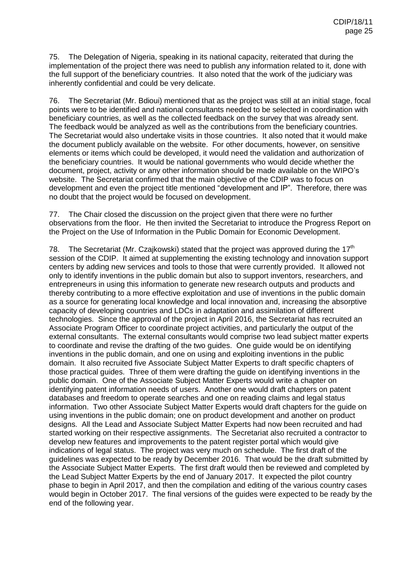75. The Delegation of Nigeria, speaking in its national capacity, reiterated that during the implementation of the project there was need to publish any information related to it, done with the full support of the beneficiary countries. It also noted that the work of the judiciary was inherently confidential and could be very delicate.

76. The Secretariat (Mr. Bdioui) mentioned that as the project was still at an initial stage, focal points were to be identified and national consultants needed to be selected in coordination with beneficiary countries, as well as the collected feedback on the survey that was already sent. The feedback would be analyzed as well as the contributions from the beneficiary countries. The Secretariat would also undertake visits in those countries. It also noted that it would make the document publicly available on the website. For other documents, however, on sensitive elements or items which could be developed, it would need the validation and authorization of the beneficiary countries. It would be national governments who would decide whether the document, project, activity or any other information should be made available on the WIPO's website. The Secretariat confirmed that the main objective of the CDIP was to focus on development and even the project title mentioned "development and IP". Therefore, there was no doubt that the project would be focused on development.

77. The Chair closed the discussion on the project given that there were no further observations from the floor. He then invited the Secretariat to introduce the Progress Report on the Project on the Use of Information in the Public Domain for Economic Development.

78. The Secretariat (Mr. Czajkowski) stated that the project was approved during the  $17<sup>th</sup>$ session of the CDIP. It aimed at supplementing the existing technology and innovation support centers by adding new services and tools to those that were currently provided. It allowed not only to identify inventions in the public domain but also to support inventors, researchers, and entrepreneurs in using this information to generate new research outputs and products and thereby contributing to a more effective exploitation and use of inventions in the public domain as a source for generating local knowledge and local innovation and, increasing the absorptive capacity of developing countries and LDCs in adaptation and assimilation of different technologies. Since the approval of the project in April 2016, the Secretariat has recruited an Associate Program Officer to coordinate project activities, and particularly the output of the external consultants. The external consultants would comprise two lead subject matter experts to coordinate and revise the drafting of the two guides. One guide would be on identifying inventions in the public domain, and one on using and exploiting inventions in the public domain. It also recruited five Associate Subject Matter Experts to draft specific chapters of those practical guides. Three of them were drafting the guide on identifying inventions in the public domain. One of the Associate Subject Matter Experts would write a chapter on identifying patent information needs of users. Another one would draft chapters on patent databases and freedom to operate searches and one on reading claims and legal status information. Two other Associate Subject Matter Experts would draft chapters for the guide on using inventions in the public domain; one on product development and another on product designs. All the Lead and Associate Subject Matter Experts had now been recruited and had started working on their respective assignments. The Secretariat also recruited a contractor to develop new features and improvements to the patent register portal which would give indications of legal status. The project was very much on schedule. The first draft of the guidelines was expected to be ready by December 2016. That would be the draft submitted by the Associate Subject Matter Experts. The first draft would then be reviewed and completed by the Lead Subject Matter Experts by the end of January 2017. It expected the pilot country phase to begin in April 2017, and then the compilation and editing of the various country cases would begin in October 2017. The final versions of the guides were expected to be ready by the end of the following year.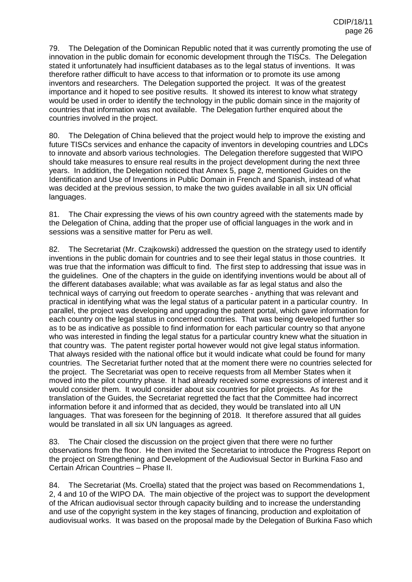79. The Delegation of the Dominican Republic noted that it was currently promoting the use of innovation in the public domain for economic development through the TISCs. The Delegation stated it unfortunately had insufficient databases as to the legal status of inventions. It was therefore rather difficult to have access to that information or to promote its use among inventors and researchers. The Delegation supported the project. It was of the greatest importance and it hoped to see positive results. It showed its interest to know what strategy would be used in order to identify the technology in the public domain since in the majority of countries that information was not available. The Delegation further enquired about the countries involved in the project.

80. The Delegation of China believed that the project would help to improve the existing and future TISCs services and enhance the capacity of inventors in developing countries and LDCs to innovate and absorb various technologies. The Delegation therefore suggested that WIPO should take measures to ensure real results in the project development during the next three years. In addition, the Delegation noticed that Annex 5, page 2, mentioned Guides on the Identification and Use of Inventions in Public Domain in French and Spanish, instead of what was decided at the previous session, to make the two guides available in all six UN official languages.

81. The Chair expressing the views of his own country agreed with the statements made by the Delegation of China, adding that the proper use of official languages in the work and in sessions was a sensitive matter for Peru as well.

82. The Secretariat (Mr. Czajkowski) addressed the question on the strategy used to identify inventions in the public domain for countries and to see their legal status in those countries. It was true that the information was difficult to find. The first step to addressing that issue was in the guidelines. One of the chapters in the guide on identifying inventions would be about all of the different databases available; what was available as far as legal status and also the technical ways of carrying out freedom to operate searches - anything that was relevant and practical in identifying what was the legal status of a particular patent in a particular country. In parallel, the project was developing and upgrading the patent portal, which gave information for each country on the legal status in concerned countries. That was being developed further so as to be as indicative as possible to find information for each particular country so that anyone who was interested in finding the legal status for a particular country knew what the situation in that country was. The patent register portal however would not give legal status information. That always resided with the national office but it would indicate what could be found for many countries. The Secretariat further noted that at the moment there were no countries selected for the project. The Secretariat was open to receive requests from all Member States when it moved into the pilot country phase. It had already received some expressions of interest and it would consider them. It would consider about six countries for pilot projects. As for the translation of the Guides, the Secretariat regretted the fact that the Committee had incorrect information before it and informed that as decided, they would be translated into all UN languages. That was foreseen for the beginning of 2018. It therefore assured that all guides would be translated in all six UN languages as agreed.

83. The Chair closed the discussion on the project given that there were no further observations from the floor. He then invited the Secretariat to introduce the Progress Report on the project on Strengthening and Development of the Audiovisual Sector in Burkina Faso and Certain African Countries – Phase II.

84. The Secretariat (Ms. Croella) stated that the project was based on Recommendations 1, 2, 4 and 10 of the WIPO DA. The main objective of the project was to support the development of the African audiovisual sector through capacity building and to increase the understanding and use of the copyright system in the key stages of financing, production and exploitation of audiovisual works. It was based on the proposal made by the Delegation of Burkina Faso which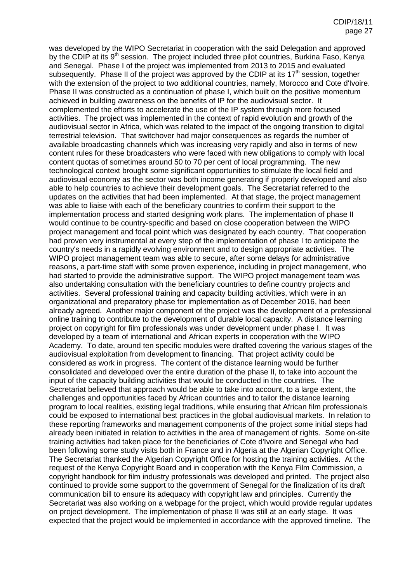was developed by the WIPO Secretariat in cooperation with the said Delegation and approved by the CDIP at its 9<sup>th</sup> session. The project included three pilot countries, Burkina Faso, Kenya and Senegal. Phase I of the project was implemented from 2013 to 2015 and evaluated subsequently. Phase II of the project was approved by the CDIP at its  $17<sup>th</sup>$  session, together with the extension of the project to two additional countries, namely, Morocco and Cote d'Ivoire. Phase II was constructed as a continuation of phase I, which built on the positive momentum achieved in building awareness on the benefits of IP for the audiovisual sector. It complemented the efforts to accelerate the use of the IP system through more focused activities. The project was implemented in the context of rapid evolution and growth of the audiovisual sector in Africa, which was related to the impact of the ongoing transition to digital terrestrial television. That switchover had major consequences as regards the number of available broadcasting channels which was increasing very rapidly and also in terms of new content rules for these broadcasters who were faced with new obligations to comply with local content quotas of sometimes around 50 to 70 per cent of local programming. The new technological context brought some significant opportunities to stimulate the local field and audiovisual economy as the sector was both income generating if properly developed and also able to help countries to achieve their development goals. The Secretariat referred to the updates on the activities that had been implemented. At that stage, the project management was able to liaise with each of the beneficiary countries to confirm their support to the implementation process and started designing work plans. The implementation of phase II would continue to be country-specific and based on close cooperation between the WIPO project management and focal point which was designated by each country. That cooperation had proven very instrumental at every step of the implementation of phase I to anticipate the country's needs in a rapidly evolving environment and to design appropriate activities. The WIPO project management team was able to secure, after some delays for administrative reasons, a part-time staff with some proven experience, including in project management, who had started to provide the administrative support. The WIPO project management team was also undertaking consultation with the beneficiary countries to define country projects and activities. Several professional training and capacity building activities, which were in an organizational and preparatory phase for implementation as of December 2016, had been already agreed. Another major component of the project was the development of a professional online training to contribute to the development of durable local capacity. A distance learning project on copyright for film professionals was under development under phase I. It was developed by a team of international and African experts in cooperation with the WIPO Academy. To date, around ten specific modules were drafted covering the various stages of the audiovisual exploitation from development to financing. That project activity could be considered as work in progress. The content of the distance learning would be further consolidated and developed over the entire duration of the phase II, to take into account the input of the capacity building activities that would be conducted in the countries. The Secretariat believed that approach would be able to take into account, to a large extent, the challenges and opportunities faced by African countries and to tailor the distance learning program to local realities, existing legal traditions, while ensuring that African film professionals could be exposed to international best practices in the global audiovisual markets. In relation to these reporting frameworks and management components of the project some initial steps had already been initiated in relation to activities in the area of management of rights. Some on-site training activities had taken place for the beneficiaries of Cote d'Ivoire and Senegal who had been following some study visits both in France and in Algeria at the Algerian Copyright Office. The Secretariat thanked the Algerian Copyright Office for hosting the training activities. At the request of the Kenya Copyright Board and in cooperation with the Kenya Film Commission, a copyright handbook for film industry professionals was developed and printed. The project also continued to provide some support to the government of Senegal for the finalization of its draft communication bill to ensure its adequacy with copyright law and principles. Currently the Secretariat was also working on a webpage for the project, which would provide regular updates on project development. The implementation of phase II was still at an early stage. It was expected that the project would be implemented in accordance with the approved timeline. The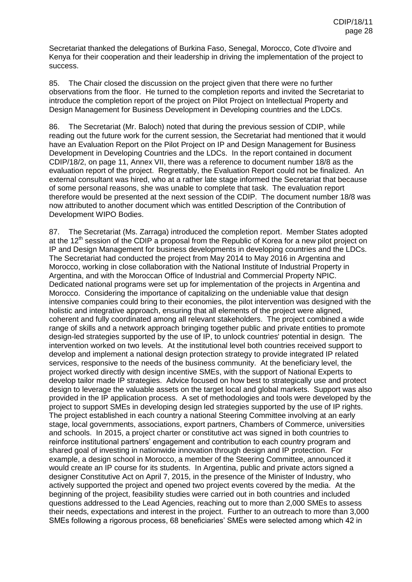Secretariat thanked the delegations of Burkina Faso, Senegal, Morocco, Cote d'Ivoire and Kenya for their cooperation and their leadership in driving the implementation of the project to success.

85. The Chair closed the discussion on the project given that there were no further observations from the floor. He turned to the completion reports and invited the Secretariat to introduce the completion report of the project on Pilot Project on Intellectual Property and Design Management for Business Development in Developing countries and the LDCs.

86. The Secretariat (Mr. Baloch) noted that during the previous session of CDIP, while reading out the future work for the current session, the Secretariat had mentioned that it would have an Evaluation Report on the Pilot Project on IP and Design Management for Business Development in Developing Countries and the LDCs. In the report contained in document CDIP/18/2, on page 11, Annex VII, there was a reference to document number 18/8 as the evaluation report of the project. Regrettably, the Evaluation Report could not be finalized. An external consultant was hired, who at a rather late stage informed the Secretariat that because of some personal reasons, she was unable to complete that task. The evaluation report therefore would be presented at the next session of the CDIP. The document number 18/8 was now attributed to another document which was entitled Description of the Contribution of Development WIPO Bodies.

87. The Secretariat (Ms. Zarraga) introduced the completion report. Member States adopted at the  $12<sup>th</sup>$  session of the CDIP a proposal from the Republic of Korea for a new pilot project on IP and Design Management for business developments in developing countries and the LDCs. The Secretariat had conducted the project from May 2014 to May 2016 in Argentina and Morocco, working in close collaboration with the National Institute of Industrial Property in Argentina, and with the Moroccan Office of Industrial and Commercial Property NPIC. Dedicated national programs were set up for implementation of the projects in Argentina and Morocco. Considering the importance of capitalizing on the undeniable value that design intensive companies could bring to their economies, the pilot intervention was designed with the holistic and integrative approach, ensuring that all elements of the project were aligned, coherent and fully coordinated among all relevant stakeholders. The project combined a wide range of skills and a network approach bringing together public and private entities to promote design-led strategies supported by the use of IP, to unlock countries' potential in design. The intervention worked on two levels. At the institutional level both countries received support to develop and implement a national design protection strategy to provide integrated IP related services, responsive to the needs of the business community. At the beneficiary level, the project worked directly with design incentive SMEs, with the support of National Experts to develop tailor made IP strategies. Advice focused on how best to strategically use and protect design to leverage the valuable assets on the target local and global markets. Support was also provided in the IP application process. A set of methodologies and tools were developed by the project to support SMEs in developing design led strategies supported by the use of IP rights. The project established in each country a national Steering Committee involving at an early stage, local governments, associations, export partners, Chambers of Commerce, universities and schools. In 2015, a project charter or constitutive act was signed in both countries to reinforce institutional partners' engagement and contribution to each country program and shared goal of investing in nationwide innovation through design and IP protection. For example, a design school in Morocco, a member of the Steering Committee, announced it would create an IP course for its students. In Argentina, public and private actors signed a designer Constitutive Act on April 7, 2015, in the presence of the Minister of Industry, who actively supported the project and opened two project events covered by the media. At the beginning of the project, feasibility studies were carried out in both countries and included questions addressed to the Lead Agencies, reaching out to more than 2,000 SMEs to assess their needs, expectations and interest in the project. Further to an outreach to more than 3,000 SMEs following a rigorous process, 68 beneficiaries' SMEs were selected among which 42 in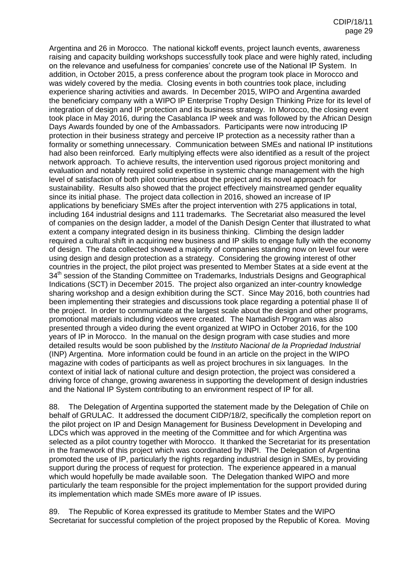Argentina and 26 in Morocco. The national kickoff events, project launch events, awareness raising and capacity building workshops successfully took place and were highly rated, including on the relevance and usefulness for companies' concrete use of the National IP System. In addition, in October 2015, a press conference about the program took place in Morocco and was widely covered by the media. Closing events in both countries took place, including experience sharing activities and awards. In December 2015, WIPO and Argentina awarded the beneficiary company with a WIPO IP Enterprise Trophy Design Thinking Prize for its level of integration of design and IP protection and its business strategy. In Morocco, the closing event took place in May 2016, during the Casablanca IP week and was followed by the African Design Days Awards founded by one of the Ambassadors. Participants were now introducing IP protection in their business strategy and perceive IP protection as a necessity rather than a formality or something unnecessary. Communication between SMEs and national IP institutions had also been reinforced. Early multiplying effects were also identified as a result of the project network approach. To achieve results, the intervention used rigorous project monitoring and evaluation and notably required solid expertise in systemic change management with the high level of satisfaction of both pilot countries about the project and its novel approach for sustainability. Results also showed that the project effectively mainstreamed gender equality since its initial phase. The project data collection in 2016, showed an increase of IP applications by beneficiary SMEs after the project intervention with 275 applications in total, including 164 industrial designs and 111 trademarks. The Secretariat also measured the level of companies on the design ladder, a model of the Danish Design Center that illustrated to what extent a company integrated design in its business thinking. Climbing the design ladder required a cultural shift in acquiring new business and IP skills to engage fully with the economy of design. The data collected showed a majority of companies standing now on level four were using design and design protection as a strategy. Considering the growing interest of other countries in the project, the pilot project was presented to Member States at a side event at the 34<sup>th</sup> session of the Standing Committee on Trademarks, Industrials Designs and Geographical Indications (SCT) in December 2015. The project also organized an inter-country knowledge sharing workshop and a design exhibition during the SCT. Since May 2016, both countries had been implementing their strategies and discussions took place regarding a potential phase II of the project. In order to communicate at the largest scale about the design and other programs, promotional materials including videos were created. The Namadish Program was also presented through a video during the event organized at WIPO in October 2016, for the 100 years of IP in Morocco. In the manual on the design program with case studies and more detailed results would be soon published by the *Instituto Nacional de la Propriedad Industrial* (INP) Argentina. More information could be found in an article on the project in the WIPO magazine with codes of participants as well as project brochures in six languages. In the context of initial lack of national culture and design protection, the project was considered a driving force of change, growing awareness in supporting the development of design industries and the National IP System contributing to an environment respect of IP for all.

88. The Delegation of Argentina supported the statement made by the Delegation of Chile on behalf of GRULAC. It addressed the document CIDP/18/2, specifically the completion report on the pilot project on IP and Design Management for Business Development in Developing and LDCs which was approved in the meeting of the Committee and for which Argentina was selected as a pilot country together with Morocco. It thanked the Secretariat for its presentation in the framework of this project which was coordinated by INPI. The Delegation of Argentina promoted the use of IP, particularly the rights regarding industrial design in SMEs, by providing support during the process of request for protection. The experience appeared in a manual which would hopefully be made available soon. The Delegation thanked WIPO and more particularly the team responsible for the project implementation for the support provided during its implementation which made SMEs more aware of IP issues.

89. The Republic of Korea expressed its gratitude to Member States and the WIPO Secretariat for successful completion of the project proposed by the Republic of Korea. Moving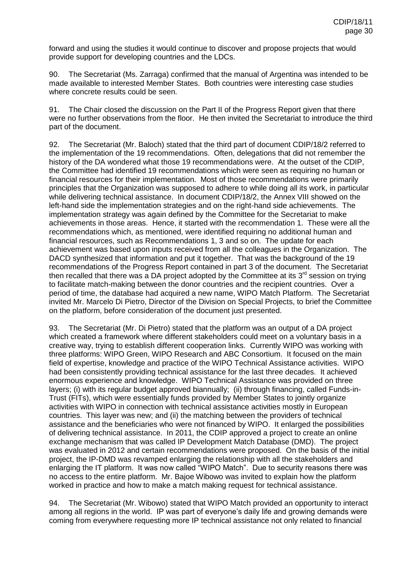forward and using the studies it would continue to discover and propose projects that would provide support for developing countries and the LDCs.

90. The Secretariat (Ms. Zarraga) confirmed that the manual of Argentina was intended to be made available to interested Member States. Both countries were interesting case studies where concrete results could be seen.

91. The Chair closed the discussion on the Part II of the Progress Report given that there were no further observations from the floor. He then invited the Secretariat to introduce the third part of the document.

92. The Secretariat (Mr. Baloch) stated that the third part of document CDIP/18/2 referred to the implementation of the 19 recommendations. Often, delegations that did not remember the history of the DA wondered what those 19 recommendations were. At the outset of the CDIP, the Committee had identified 19 recommendations which were seen as requiring no human or financial resources for their implementation. Most of those recommendations were primarily principles that the Organization was supposed to adhere to while doing all its work, in particular while delivering technical assistance. In document CDIP/18/2, the Annex VIII showed on the left-hand side the implementation strategies and on the right-hand side achievements. The implementation strategy was again defined by the Committee for the Secretariat to make achievements in those areas. Hence, it started with the recommendation 1. These were all the recommendations which, as mentioned, were identified requiring no additional human and financial resources, such as Recommendations 1, 3 and so on. The update for each achievement was based upon inputs received from all the colleagues in the Organization. The DACD synthesized that information and put it together. That was the background of the 19 recommendations of the Progress Report contained in part 3 of the document. The Secretariat then recalled that there was a DA project adopted by the Committee at its 3<sup>rd</sup> session on trying to facilitate match-making between the donor countries and the recipient countries. Over a period of time, the database had acquired a new name, WIPO Match Platform. The Secretariat invited Mr. Marcelo Di Pietro, Director of the Division on Special Projects, to brief the Committee on the platform, before consideration of the document just presented.

93. The Secretariat (Mr. Di Pietro) stated that the platform was an output of a DA project which created a framework where different stakeholders could meet on a voluntary basis in a creative way, trying to establish different cooperation links. Currently WIPO was working with three platforms: WIPO Green, WIPO Research and ABC Consortium. It focused on the main field of expertise, knowledge and practice of the WIPO Technical Assistance activities. WIPO had been consistently providing technical assistance for the last three decades. It achieved enormous experience and knowledge. WIPO Technical Assistance was provided on three layers; (i) with its regular budget approved biannually; (ii) through financing, called Funds-in-Trust (FITs), which were essentially funds provided by Member States to jointly organize activities with WIPO in connection with technical assistance activities mostly in European countries. This layer was new; and (ii) the matching between the providers of technical assistance and the beneficiaries who were not financed by WIPO. It enlarged the possibilities of delivering technical assistance. In 2011, the CDIP approved a project to create an online exchange mechanism that was called IP Development Match Database (DMD). The project was evaluated in 2012 and certain recommendations were proposed. On the basis of the initial project, the IP-DMD was revamped enlarging the relationship with all the stakeholders and enlarging the IT platform. It was now called "WIPO Match". Due to security reasons there was no access to the entire platform. Mr. Bajoe Wibowo was invited to explain how the platform worked in practice and how to make a match making request for technical assistance.

94. The Secretariat (Mr. Wibowo) stated that WIPO Match provided an opportunity to interact among all regions in the world. IP was part of everyone's daily life and growing demands were coming from everywhere requesting more IP technical assistance not only related to financial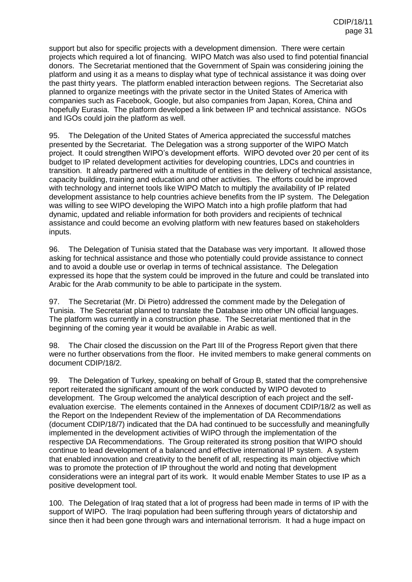support but also for specific projects with a development dimension. There were certain projects which required a lot of financing. WIPO Match was also used to find potential financial donors. The Secretariat mentioned that the Government of Spain was considering joining the platform and using it as a means to display what type of technical assistance it was doing over the past thirty years. The platform enabled interaction between regions. The Secretariat also planned to organize meetings with the private sector in the United States of America with companies such as Facebook, Google, but also companies from Japan, Korea, China and hopefully Eurasia. The platform developed a link between IP and technical assistance. NGOs and IGOs could join the platform as well.

95. The Delegation of the United States of America appreciated the successful matches presented by the Secretariat. The Delegation was a strong supporter of the WIPO Match project. It could strengthen WIPO's development efforts. WIPO devoted over 20 per cent of its budget to IP related development activities for developing countries, LDCs and countries in transition. It already partnered with a multitude of entities in the delivery of technical assistance, capacity building, training and education and other activities. The efforts could be improved with technology and internet tools like WIPO Match to multiply the availability of IP related development assistance to help countries achieve benefits from the IP system. The Delegation was willing to see WIPO developing the WIPO Match into a high profile platform that had dynamic, updated and reliable information for both providers and recipients of technical assistance and could become an evolving platform with new features based on stakeholders inputs.

96. The Delegation of Tunisia stated that the Database was very important. It allowed those asking for technical assistance and those who potentially could provide assistance to connect and to avoid a double use or overlap in terms of technical assistance. The Delegation expressed its hope that the system could be improved in the future and could be translated into Arabic for the Arab community to be able to participate in the system.

97. The Secretariat (Mr. Di Pietro) addressed the comment made by the Delegation of Tunisia. The Secretariat planned to translate the Database into other UN official languages. The platform was currently in a construction phase. The Secretariat mentioned that in the beginning of the coming year it would be available in Arabic as well.

98. The Chair closed the discussion on the Part III of the Progress Report given that there were no further observations from the floor. He invited members to make general comments on document CDIP/18/2.

99. The Delegation of Turkey, speaking on behalf of Group B, stated that the comprehensive report reiterated the significant amount of the work conducted by WIPO devoted to development. The Group welcomed the analytical description of each project and the selfevaluation exercise. The elements contained in the Annexes of document CDIP/18/2 as well as the Report on the Independent Review of the implementation of DA Recommendations (document CDIP/18/7) indicated that the DA had continued to be successfully and meaningfully implemented in the development activities of WIPO through the implementation of the respective DA Recommendations. The Group reiterated its strong position that WIPO should continue to lead development of a balanced and effective international IP system. A system that enabled innovation and creativity to the benefit of all, respecting its main objective which was to promote the protection of IP throughout the world and noting that development considerations were an integral part of its work. It would enable Member States to use IP as a positive development tool.

100. The Delegation of Iraq stated that a lot of progress had been made in terms of IP with the support of WIPO. The Iraqi population had been suffering through years of dictatorship and since then it had been gone through wars and international terrorism. It had a huge impact on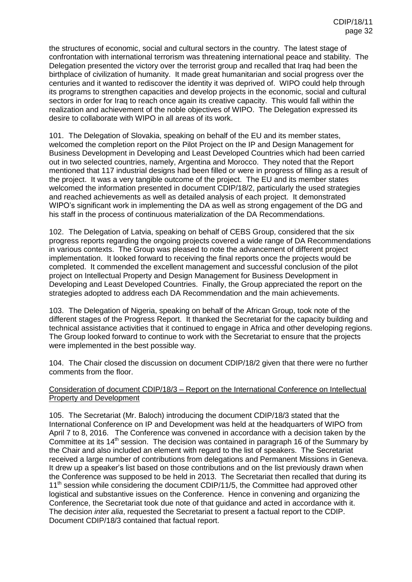the structures of economic, social and cultural sectors in the country. The latest stage of confrontation with international terrorism was threatening international peace and stability. The Delegation presented the victory over the terrorist group and recalled that Iraq had been the birthplace of civilization of humanity. It made great humanitarian and social progress over the centuries and it wanted to rediscover the identity it was deprived of. WIPO could help through its programs to strengthen capacities and develop projects in the economic, social and cultural sectors in order for Iraq to reach once again its creative capacity. This would fall within the realization and achievement of the noble objectives of WIPO. The Delegation expressed its desire to collaborate with WIPO in all areas of its work.

101. The Delegation of Slovakia, speaking on behalf of the EU and its member states, welcomed the completion report on the Pilot Project on the IP and Design Management for Business Development in Developing and Least Developed Countries which had been carried out in two selected countries, namely, Argentina and Morocco. They noted that the Report mentioned that 117 industrial designs had been filled or were in progress of filling as a result of the project. It was a very tangible outcome of the project. The EU and its member states welcomed the information presented in document CDIP/18/2, particularly the used strategies and reached achievements as well as detailed analysis of each project. It demonstrated WIPO's significant work in implementing the DA as well as strong engagement of the DG and his staff in the process of continuous materialization of the DA Recommendations.

102. The Delegation of Latvia, speaking on behalf of CEBS Group, considered that the six progress reports regarding the ongoing projects covered a wide range of DA Recommendations in various contexts. The Group was pleased to note the advancement of different project implementation. It looked forward to receiving the final reports once the projects would be completed. It commended the excellent management and successful conclusion of the pilot project on Intellectual Property and Design Management for Business Development in Developing and Least Developed Countries. Finally, the Group appreciated the report on the strategies adopted to address each DA Recommendation and the main achievements.

103. The Delegation of Nigeria, speaking on behalf of the African Group, took note of the different stages of the Progress Report. It thanked the Secretariat for the capacity building and technical assistance activities that it continued to engage in Africa and other developing regions. The Group looked forward to continue to work with the Secretariat to ensure that the projects were implemented in the best possible way.

104. The Chair closed the discussion on document CDIP/18/2 given that there were no further comments from the floor.

## Consideration of document CDIP/18/3 – Report on the International Conference on Intellectual Property and Development

105. The Secretariat (Mr. Baloch) introducing the document CDIP/18/3 stated that the International Conference on IP and Development was held at the headquarters of WIPO from April 7 to 8, 2016. The Conference was convened in accordance with a decision taken by the Committee at its  $14<sup>th</sup>$  session. The decision was contained in paragraph 16 of the Summary by the Chair and also included an element with regard to the list of speakers. The Secretariat received a large number of contributions from delegations and Permanent Missions in Geneva. It drew up a speaker's list based on those contributions and on the list previously drawn when the Conference was supposed to be held in 2013. The Secretariat then recalled that during its 11<sup>th</sup> session while considering the document CDIP/11/5, the Committee had approved other logistical and substantive issues on the Conference. Hence in convening and organizing the Conference, the Secretariat took due note of that guidance and acted in accordance with it. The decision *inter alia*, requested the Secretariat to present a factual report to the CDIP. Document CDIP/18/3 contained that factual report.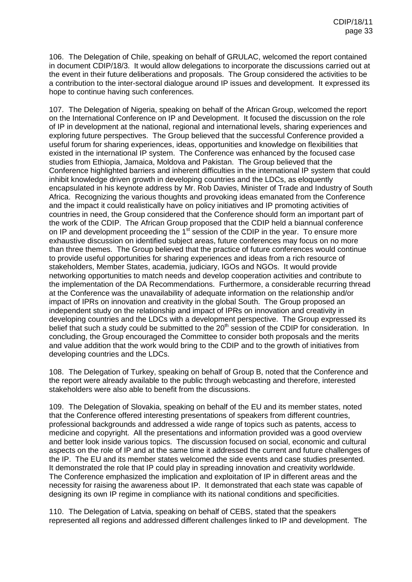106. The Delegation of Chile, speaking on behalf of GRULAC, welcomed the report contained in document CDIP/18/3. It would allow delegations to incorporate the discussions carried out at the event in their future deliberations and proposals. The Group considered the activities to be a contribution to the inter-sectoral dialogue around IP issues and development. It expressed its hope to continue having such conferences.

107. The Delegation of Nigeria, speaking on behalf of the African Group, welcomed the report on the International Conference on IP and Development. It focused the discussion on the role of IP in development at the national, regional and international levels, sharing experiences and exploring future perspectives. The Group believed that the successful Conference provided a useful forum for sharing experiences, ideas, opportunities and knowledge on flexibilities that existed in the international IP system. The Conference was enhanced by the focused case studies from Ethiopia, Jamaica, Moldova and Pakistan. The Group believed that the Conference highlighted barriers and inherent difficulties in the international IP system that could inhibit knowledge driven growth in developing countries and the LDCs, as eloquently encapsulated in his keynote address by Mr. Rob Davies, Minister of Trade and Industry of South Africa. Recognizing the various thoughts and provoking ideas emanated from the Conference and the impact it could realistically have on policy initiatives and IP promoting activities of countries in need, the Group considered that the Conference should form an important part of the work of the CDIP. The African Group proposed that the CDIP held a biannual conference on IP and development proceeding the 1<sup>st</sup> session of the CDIP in the year. To ensure more exhaustive discussion on identified subject areas, future conferences may focus on no more than three themes. The Group believed that the practice of future conferences would continue to provide useful opportunities for sharing experiences and ideas from a rich resource of stakeholders, Member States, academia, judiciary, IGOs and NGOs. It would provide networking opportunities to match needs and develop cooperation activities and contribute to the implementation of the DA Recommendations. Furthermore, a considerable recurring thread at the Conference was the unavailability of adequate information on the relationship and/or impact of IPRs on innovation and creativity in the global South. The Group proposed an independent study on the relationship and impact of IPRs on innovation and creativity in developing countries and the LDCs with a development perspective. The Group expressed its belief that such a study could be submitted to the 20<sup>th</sup> session of the CDIP for consideration. In concluding, the Group encouraged the Committee to consider both proposals and the merits and value addition that the work would bring to the CDIP and to the growth of initiatives from developing countries and the LDCs.

108. The Delegation of Turkey, speaking on behalf of Group B, noted that the Conference and the report were already available to the public through webcasting and therefore, interested stakeholders were also able to benefit from the discussions.

109. The Delegation of Slovakia, speaking on behalf of the EU and its member states, noted that the Conference offered interesting presentations of speakers from different countries, professional backgrounds and addressed a wide range of topics such as patents, access to medicine and copyright. All the presentations and information provided was a good overview and better look inside various topics. The discussion focused on social, economic and cultural aspects on the role of IP and at the same time it addressed the current and future challenges of the IP. The EU and its member states welcomed the side events and case studies presented. It demonstrated the role that IP could play in spreading innovation and creativity worldwide. The Conference emphasized the implication and exploitation of IP in different areas and the necessity for raising the awareness about IP. It demonstrated that each state was capable of designing its own IP regime in compliance with its national conditions and specificities.

110. The Delegation of Latvia, speaking on behalf of CEBS, stated that the speakers represented all regions and addressed different challenges linked to IP and development. The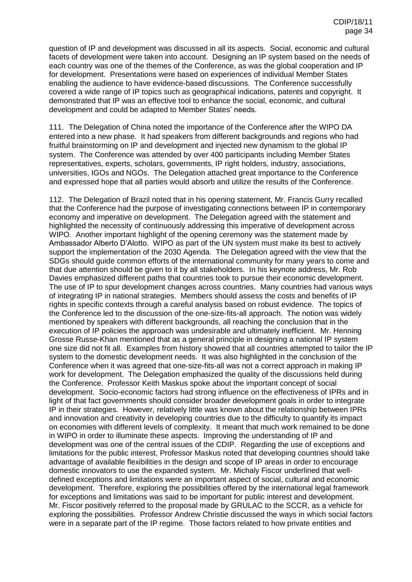question of IP and development was discussed in all its aspects. Social, economic and cultural facets of development were taken into account. Designing an IP system based on the needs of each country was one of the themes of the Conference, as was the global cooperation and IP for development. Presentations were based on experiences of individual Member States enabling the audience to have evidence-based discussions. The Conference successfully covered a wide range of IP topics such as geographical indications, patents and copyright. It demonstrated that IP was an effective tool to enhance the social, economic, and cultural development and could be adapted to Member States' needs.

111. The Delegation of China noted the importance of the Conference after the WIPO DA entered into a new phase. It had speakers from different backgrounds and regions who had fruitful brainstorming on IP and development and injected new dynamism to the global IP system. The Conference was attended by over 400 participants including Member States representatives, experts, scholars, governments, IP right holders, industry, associations, universities, IGOs and NGOs. The Delegation attached great importance to the Conference and expressed hope that all parties would absorb and utilize the results of the Conference.

112. The Delegation of Brazil noted that in his opening statement, Mr. Francis Gurry recalled that the Conference had the purpose of investigating connections between IP in contemporary economy and imperative on development. The Delegation agreed with the statement and highlighted the necessity of continuously addressing this imperative of development across WIPO. Another important highlight of the opening ceremony was the statement made by Ambassador Alberto D'Alotto. WIPO as part of the UN system must make its best to actively support the implementation of the 2030 Agenda. The Delegation agreed with the view that the SDGs should guide common efforts of the international community for many years to come and that due attention should be given to it by all stakeholders. In his keynote address, Mr. Rob Davies emphasized different paths that countries took to pursue their economic development. The use of IP to spur development changes across countries. Many countries had various ways of integrating IP in national strategies. Members should assess the costs and benefits of IP rights in specific contexts through a careful analysis based on robust evidence. The topics of the Conference led to the discussion of the one-size-fits-all approach. The notion was widely mentioned by speakers with different backgrounds, all reaching the conclusion that in the execution of IP policies the approach was undesirable and ultimately inefficient. Mr. Henning Grosse Russe-Khan mentioned that as a general principle in designing a national IP system one size did not fit all. Examples from history showed that all countries attempted to tailor the IP system to the domestic development needs. It was also highlighted in the conclusion of the Conference when it was agreed that one-size-fits-all was not a correct approach in making IP work for development. The Delegation emphasized the quality of the discussions held during the Conference. Professor Keith Maskus spoke about the important concept of social development. Socio-economic factors had strong influence on the effectiveness of IPRs and in light of that fact governments should consider broader development goals in order to integrate IP in their strategies. However, relatively little was known about the relationship between IPRs and innovation and creativity in developing countries due to the difficulty to quantify its impact on economies with different levels of complexity. It meant that much work remained to be done in WIPO in order to illuminate these aspects. Improving the understanding of IP and development was one of the central issues of the CDIP. Regarding the use of exceptions and limitations for the public interest, Professor Maskus noted that developing countries should take advantage of available flexibilities in the design and scope of IP areas in order to encourage domestic innovators to use the expanded system. Mr. Michaly Fiscor underlined that welldefined exceptions and limitations were an important aspect of social, cultural and economic development. Therefore, exploring the possibilities offered by the international legal framework for exceptions and limitations was said to be important for public interest and development. Mr. Fiscor positively referred to the proposal made by GRULAC to the SCCR, as a vehicle for exploring the possibilities. Professor Andrew Christie discussed the ways in which social factors were in a separate part of the IP regime. Those factors related to how private entities and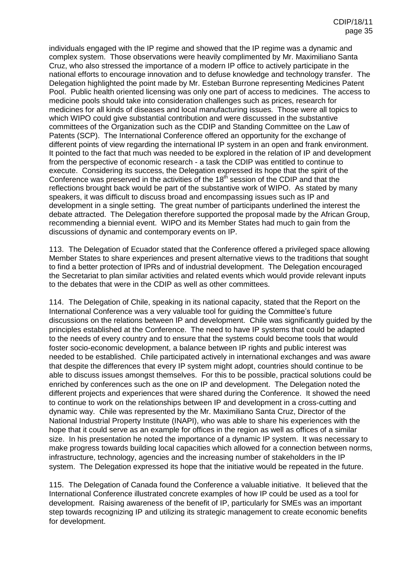individuals engaged with the IP regime and showed that the IP regime was a dynamic and complex system. Those observations were heavily complimented by Mr. Maximiliano Santa Cruz, who also stressed the importance of a modern IP office to actively participate in the national efforts to encourage innovation and to defuse knowledge and technology transfer. The Delegation highlighted the point made by Mr. Esteban Burrone representing Medicines Patent Pool. Public health oriented licensing was only one part of access to medicines. The access to medicine pools should take into consideration challenges such as prices, research for medicines for all kinds of diseases and local manufacturing issues. Those were all topics to which WIPO could give substantial contribution and were discussed in the substantive committees of the Organization such as the CDIP and Standing Committee on the Law of Patents (SCP). The International Conference offered an opportunity for the exchange of different points of view regarding the international IP system in an open and frank environment. It pointed to the fact that much was needed to be explored in the relation of IP and development from the perspective of economic research - a task the CDIP was entitled to continue to execute. Considering its success, the Delegation expressed its hope that the spirit of the Conference was preserved in the activities of the  $18<sup>th</sup>$  session of the CDIP and that the reflections brought back would be part of the substantive work of WIPO. As stated by many speakers, it was difficult to discuss broad and encompassing issues such as IP and development in a single setting. The great number of participants underlined the interest the debate attracted. The Delegation therefore supported the proposal made by the African Group, recommending a biennial event. WIPO and its Member States had much to gain from the discussions of dynamic and contemporary events on IP.

113. The Delegation of Ecuador stated that the Conference offered a privileged space allowing Member States to share experiences and present alternative views to the traditions that sought to find a better protection of IPRs and of industrial development. The Delegation encouraged the Secretariat to plan similar activities and related events which would provide relevant inputs to the debates that were in the CDIP as well as other committees.

114. The Delegation of Chile, speaking in its national capacity, stated that the Report on the International Conference was a very valuable tool for guiding the Committee's future discussions on the relations between IP and development. Chile was significantly guided by the principles established at the Conference. The need to have IP systems that could be adapted to the needs of every country and to ensure that the systems could become tools that would foster socio-economic development, a balance between IP rights and public interest was needed to be established. Chile participated actively in international exchanges and was aware that despite the differences that every IP system might adopt, countries should continue to be able to discuss issues amongst themselves. For this to be possible, practical solutions could be enriched by conferences such as the one on IP and development. The Delegation noted the different projects and experiences that were shared during the Conference. It showed the need to continue to work on the relationships between IP and development in a cross-cutting and dynamic way. Chile was represented by the Mr. Maximiliano Santa Cruz, Director of the National Industrial Property Institute (INAPI), who was able to share his experiences with the hope that it could serve as an example for offices in the region as well as offices of a similar size. In his presentation he noted the importance of a dynamic IP system. It was necessary to make progress towards building local capacities which allowed for a connection between norms, infrastructure, technology, agencies and the increasing number of stakeholders in the IP system. The Delegation expressed its hope that the initiative would be repeated in the future.

115. The Delegation of Canada found the Conference a valuable initiative. It believed that the International Conference illustrated concrete examples of how IP could be used as a tool for development. Raising awareness of the benefit of IP, particularly for SMEs was an important step towards recognizing IP and utilizing its strategic management to create economic benefits for development.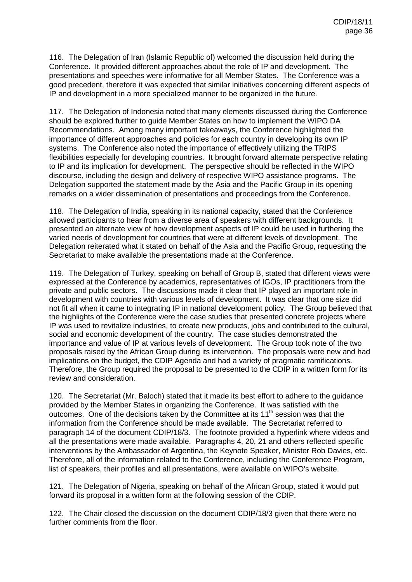116. The Delegation of Iran (Islamic Republic of) welcomed the discussion held during the Conference. It provided different approaches about the role of IP and development. The presentations and speeches were informative for all Member States. The Conference was a good precedent, therefore it was expected that similar initiatives concerning different aspects of IP and development in a more specialized manner to be organized in the future.

117. The Delegation of Indonesia noted that many elements discussed during the Conference should be explored further to guide Member States on how to implement the WIPO DA Recommendations. Among many important takeaways, the Conference highlighted the importance of different approaches and policies for each country in developing its own IP systems. The Conference also noted the importance of effectively utilizing the TRIPS flexibilities especially for developing countries. It brought forward alternate perspective relating to IP and its implication for development. The perspective should be reflected in the WIPO discourse, including the design and delivery of respective WIPO assistance programs. The Delegation supported the statement made by the Asia and the Pacific Group in its opening remarks on a wider dissemination of presentations and proceedings from the Conference.

118. The Delegation of India, speaking in its national capacity, stated that the Conference allowed participants to hear from a diverse area of speakers with different backgrounds. It presented an alternate view of how development aspects of IP could be used in furthering the varied needs of development for countries that were at different levels of development. The Delegation reiterated what it stated on behalf of the Asia and the Pacific Group, requesting the Secretariat to make available the presentations made at the Conference.

119. The Delegation of Turkey, speaking on behalf of Group B, stated that different views were expressed at the Conference by academics, representatives of IGOs, IP practitioners from the private and public sectors. The discussions made it clear that IP played an important role in development with countries with various levels of development. It was clear that one size did not fit all when it came to integrating IP in national development policy. The Group believed that the highlights of the Conference were the case studies that presented concrete projects where IP was used to revitalize industries, to create new products, jobs and contributed to the cultural, social and economic development of the country. The case studies demonstrated the importance and value of IP at various levels of development. The Group took note of the two proposals raised by the African Group during its intervention. The proposals were new and had implications on the budget, the CDIP Agenda and had a variety of pragmatic ramifications. Therefore, the Group required the proposal to be presented to the CDIP in a written form for its review and consideration.

120. The Secretariat (Mr. Baloch) stated that it made its best effort to adhere to the guidance provided by the Member States in organizing the Conference. It was satisfied with the outcomes. One of the decisions taken by the Committee at its  $11<sup>th</sup>$  session was that the information from the Conference should be made available. The Secretariat referred to paragraph 14 of the document CDIP/18/3. The footnote provided a hyperlink where videos and all the presentations were made available. Paragraphs 4, 20, 21 and others reflected specific interventions by the Ambassador of Argentina, the Keynote Speaker, Minister Rob Davies, etc. Therefore, all of the information related to the Conference, including the Conference Program, list of speakers, their profiles and all presentations, were available on WIPO's website.

121. The Delegation of Nigeria, speaking on behalf of the African Group, stated it would put forward its proposal in a written form at the following session of the CDIP.

122. The Chair closed the discussion on the document CDIP/18/3 given that there were no further comments from the floor.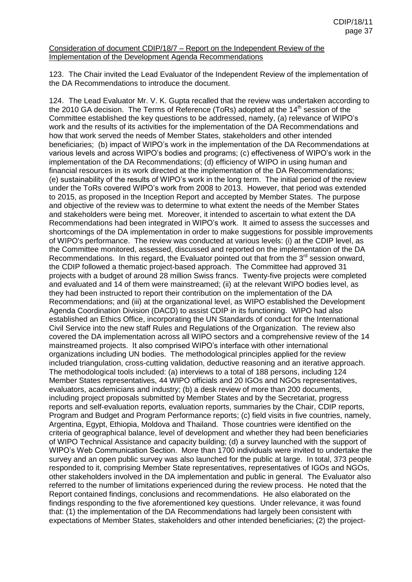### Consideration of document CDIP/18/7 – Report on the Independent Review of the Implementation of the Development Agenda Recommendations

123. The Chair invited the Lead Evaluator of the Independent Review of the implementation of the DA Recommendations to introduce the document.

124. The Lead Evaluator Mr. V. K. Gupta recalled that the review was undertaken according to the 2010 GA decision. The Terms of Reference (ToRs) adopted at the  $14<sup>th</sup>$  session of the Committee established the key questions to be addressed, namely, (a) relevance of WIPO's work and the results of its activities for the implementation of the DA Recommendations and how that work served the needs of Member States, stakeholders and other intended beneficiaries; (b) impact of WIPO's work in the implementation of the DA Recommendations at various levels and across WIPO's bodies and programs; (c) effectiveness of WIPO's work in the implementation of the DA Recommendations; (d) efficiency of WIPO in using human and financial resources in its work directed at the implementation of the DA Recommendations; (e) sustainability of the results of WIPO's work in the long term. The initial period of the review under the ToRs covered WIPO's work from 2008 to 2013. However, that period was extended to 2015, as proposed in the Inception Report and accepted by Member States. The purpose and objective of the review was to determine to what extent the needs of the Member States and stakeholders were being met. Moreover, it intended to ascertain to what extent the DA Recommendations had been integrated in WIPO's work. It aimed to assess the successes and shortcomings of the DA implementation in order to make suggestions for possible improvements of WIPO's performance. The review was conducted at various levels: (i) at the CDIP level, as the Committee monitored, assessed, discussed and reported on the implementation of the DA Recommendations. In this regard, the Evaluator pointed out that from the  $3<sup>rd</sup>$  session onward, the CDIP followed a thematic project-based approach. The Committee had approved 31 projects with a budget of around 28 million Swiss francs. Twenty-five projects were completed and evaluated and 14 of them were mainstreamed; (ii) at the relevant WIPO bodies level, as they had been instructed to report their contribution on the implementation of the DA Recommendations; and (iii) at the organizational level, as WIPO established the Development Agenda Coordination Division (DACD) to assist CDIP in its functioning. WIPO had also established an Ethics Office, incorporating the UN Standards of conduct for the International Civil Service into the new staff Rules and Regulations of the Organization. The review also covered the DA implementation across all WIPO sectors and a comprehensive review of the 14 mainstreamed projects. It also comprised WIPO's interface with other international organizations including UN bodies. The methodological principles applied for the review included triangulation, cross-cutting validation, deductive reasoning and an iterative approach. The methodological tools included: (a) interviews to a total of 188 persons, including 124 Member States representatives, 44 WIPO officials and 20 IGOs and NGOs representatives, evaluators, academicians and industry; (b) a desk review of more than 200 documents, including project proposals submitted by Member States and by the Secretariat, progress reports and self-evaluation reports, evaluation reports, summaries by the Chair, CDIP reports, Program and Budget and Program Performance reports; (c) field visits in five countries, namely, Argentina, Egypt, Ethiopia, Moldova and Thailand. Those countries were identified on the criteria of geographical balance, level of development and whether they had been beneficiaries of WIPO Technical Assistance and capacity building; (d) a survey launched with the support of WIPO's Web Communication Section. More than 1700 individuals were invited to undertake the survey and an open public survey was also launched for the public at large. In total, 373 people responded to it, comprising Member State representatives, representatives of IGOs and NGOs, other stakeholders involved in the DA implementation and public in general. The Evaluator also referred to the number of limitations experienced during the review process. He noted that the Report contained findings, conclusions and recommendations. He also elaborated on the findings responding to the five aforementioned key questions. Under relevance, it was found that: (1) the implementation of the DA Recommendations had largely been consistent with expectations of Member States, stakeholders and other intended beneficiaries; (2) the project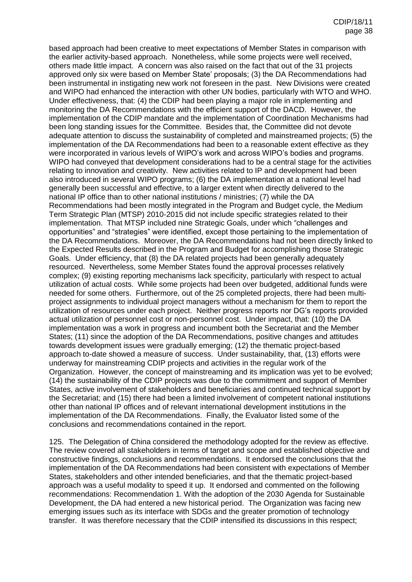based approach had been creative to meet expectations of Member States in comparison with the earlier activity-based approach. Nonetheless, while some projects were well received, others made little impact. A concern was also raised on the fact that out of the 31 projects approved only six were based on Member State' proposals; (3) the DA Recommendations had been instrumental in instigating new work not foreseen in the past. New Divisions were created and WIPO had enhanced the interaction with other UN bodies, particularly with WTO and WHO. Under effectiveness, that: (4) the CDIP had been playing a major role in implementing and monitoring the DA Recommendations with the efficient support of the DACD. However, the implementation of the CDIP mandate and the implementation of Coordination Mechanisms had been long standing issues for the Committee. Besides that, the Committee did not devote adequate attention to discuss the sustainability of completed and mainstreamed projects; (5) the implementation of the DA Recommendations had been to a reasonable extent effective as they were incorporated in various levels of WIPO's work and across WIPO's bodies and programs. WIPO had conveyed that development considerations had to be a central stage for the activities relating to innovation and creativity. New activities related to IP and development had been also introduced in several WIPO programs; (6) the DA implementation at a national level had generally been successful and effective, to a larger extent when directly delivered to the national IP office than to other national institutions / ministries; (7) while the DA Recommendations had been mostly integrated in the Program and Budget cycle, the Medium Term Strategic Plan (MTSP) 2010-2015 did not include specific strategies related to their implementation. That MTSP included nine Strategic Goals, under which "challenges and opportunities" and "strategies" were identified, except those pertaining to the implementation of the DA Recommendations. Moreover, the DA Recommendations had not been directly linked to the Expected Results described in the Program and Budget for accomplishing those Strategic Goals. Under efficiency, that (8) the DA related projects had been generally adequately resourced. Nevertheless, some Member States found the approval processes relatively complex; (9) existing reporting mechanisms lack specificity, particularly with respect to actual utilization of actual costs. While some projects had been over budgeted, additional funds were needed for some others. Furthermore, out of the 25 completed projects, there had been multiproject assignments to individual project managers without a mechanism for them to report the utilization of resources under each project. Neither progress reports nor DG's reports provided actual utilization of personnel cost or non-personnel cost. Under impact, that: (10) the DA implementation was a work in progress and incumbent both the Secretariat and the Member States; (11) since the adoption of the DA Recommendations, positive changes and attitudes towards development issues were gradually emerging; (12) the thematic project-based approach to-date showed a measure of success. Under sustainability, that, (13) efforts were underway for mainstreaming CDIP projects and activities in the regular work of the Organization. However, the concept of mainstreaming and its implication was yet to be evolved; (14) the sustainability of the CDIP projects was due to the commitment and support of Member States, active involvement of stakeholders and beneficiaries and continued technical support by the Secretariat; and (15) there had been a limited involvement of competent national institutions other than national IP offices and of relevant international development institutions in the implementation of the DA Recommendations. Finally, the Evaluator listed some of the conclusions and recommendations contained in the report.

125. The Delegation of China considered the methodology adopted for the review as effective. The review covered all stakeholders in terms of target and scope and established objective and constructive findings, conclusions and recommendations. It endorsed the conclusions that the implementation of the DA Recommendations had been consistent with expectations of Member States, stakeholders and other intended beneficiaries, and that the thematic project-based approach was a useful modality to speed it up. It endorsed and commented on the following recommendations: Recommendation 1. With the adoption of the 2030 Agenda for Sustainable Development, the DA had entered a new historical period. The Organization was facing new emerging issues such as its interface with SDGs and the greater promotion of technology transfer. It was therefore necessary that the CDIP intensified its discussions in this respect;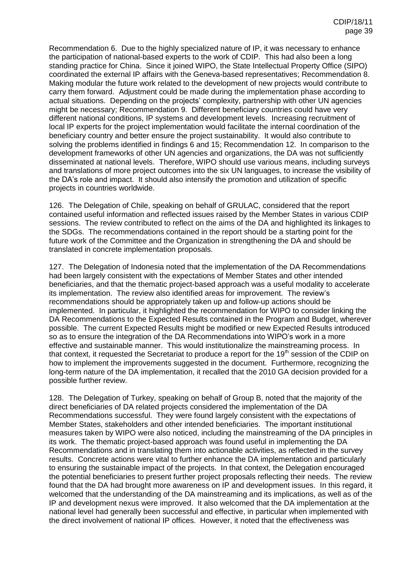Recommendation 6. Due to the highly specialized nature of IP, it was necessary to enhance the participation of national-based experts to the work of CDIP. This had also been a long standing practice for China. Since it joined WIPO, the State Intellectual Property Office (SIPO) coordinated the external IP affairs with the Geneva-based representatives; Recommendation 8. Making modular the future work related to the development of new projects would contribute to carry them forward. Adjustment could be made during the implementation phase according to actual situations. Depending on the projects' complexity, partnership with other UN agencies might be necessary; Recommendation 9. Different beneficiary countries could have very different national conditions, IP systems and development levels. Increasing recruitment of local IP experts for the project implementation would facilitate the internal coordination of the beneficiary country and better ensure the project sustainability. It would also contribute to solving the problems identified in findings 6 and 15; Recommendation 12. In comparison to the development frameworks of other UN agencies and organizations, the DA was not sufficiently disseminated at national levels. Therefore, WIPO should use various means, including surveys and translations of more project outcomes into the six UN languages, to increase the visibility of the DA's role and impact. It should also intensify the promotion and utilization of specific projects in countries worldwide.

126. The Delegation of Chile, speaking on behalf of GRULAC, considered that the report contained useful information and reflected issues raised by the Member States in various CDIP sessions. The review contributed to reflect on the aims of the DA and highlighted its linkages to the SDGs. The recommendations contained in the report should be a starting point for the future work of the Committee and the Organization in strengthening the DA and should be translated in concrete implementation proposals.

127. The Delegation of Indonesia noted that the implementation of the DA Recommendations had been largely consistent with the expectations of Member States and other intended beneficiaries, and that the thematic project-based approach was a useful modality to accelerate its implementation. The review also identified areas for improvement. The review's recommendations should be appropriately taken up and follow-up actions should be implemented. In particular, it highlighted the recommendation for WIPO to consider linking the DA Recommendations to the Expected Results contained in the Program and Budget, wherever possible. The current Expected Results might be modified or new Expected Results introduced so as to ensure the integration of the DA Recommendations into WIPO's work in a more effective and sustainable manner. This would institutionalize the mainstreaming process. In that context, it requested the Secretariat to produce a report for the 19<sup>th</sup> session of the CDIP on how to implement the improvements suggested in the document. Furthermore, recognizing the long-term nature of the DA implementation, it recalled that the 2010 GA decision provided for a possible further review.

128. The Delegation of Turkey, speaking on behalf of Group B, noted that the majority of the direct beneficiaries of DA related projects considered the implementation of the DA Recommendations successful. They were found largely consistent with the expectations of Member States, stakeholders and other intended beneficiaries. The important institutional measures taken by WIPO were also noticed, including the mainstreaming of the DA principles in its work. The thematic project-based approach was found useful in implementing the DA Recommendations and in translating them into actionable activities, as reflected in the survey results. Concrete actions were vital to further enhance the DA implementation and particularly to ensuring the sustainable impact of the projects. In that context, the Delegation encouraged the potential beneficiaries to present further project proposals reflecting their needs. The review found that the DA had brought more awareness on IP and development issues. In this regard, it welcomed that the understanding of the DA mainstreaming and its implications, as well as of the IP and development nexus were improved. It also welcomed that the DA implementation at the national level had generally been successful and effective, in particular when implemented with the direct involvement of national IP offices. However, it noted that the effectiveness was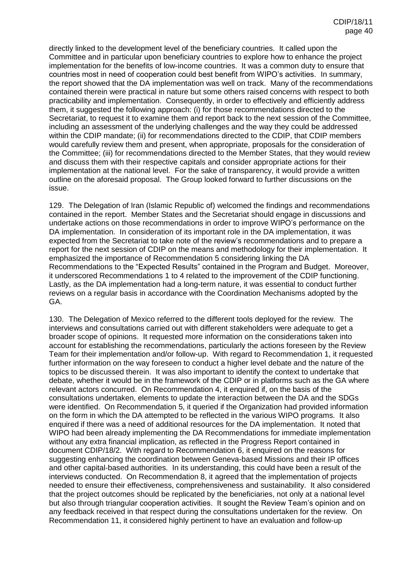directly linked to the development level of the beneficiary countries. It called upon the Committee and in particular upon beneficiary countries to explore how to enhance the project implementation for the benefits of low-income countries. It was a common duty to ensure that countries most in need of cooperation could best benefit from WIPO's activities. In summary, the report showed that the DA implementation was well on track. Many of the recommendations contained therein were practical in nature but some others raised concerns with respect to both practicability and implementation. Consequently, in order to effectively and efficiently address them, it suggested the following approach: (i) for those recommendations directed to the Secretariat, to request it to examine them and report back to the next session of the Committee, including an assessment of the underlying challenges and the way they could be addressed within the CDIP mandate; (ii) for recommendations directed to the CDIP, that CDIP members would carefully review them and present, when appropriate, proposals for the consideration of the Committee; (iii) for recommendations directed to the Member States, that they would review and discuss them with their respective capitals and consider appropriate actions for their implementation at the national level. For the sake of transparency, it would provide a written outline on the aforesaid proposal. The Group looked forward to further discussions on the issue.

129. The Delegation of Iran (Islamic Republic of) welcomed the findings and recommendations contained in the report. Member States and the Secretariat should engage in discussions and undertake actions on those recommendations in order to improve WIPO's performance on the DA implementation. In consideration of its important role in the DA implementation, it was expected from the Secretariat to take note of the review's recommendations and to prepare a report for the next session of CDIP on the means and methodology for their implementation. It emphasized the importance of Recommendation 5 considering linking the DA Recommendations to the "Expected Results" contained in the Program and Budget. Moreover, it underscored Recommendations 1 to 4 related to the improvement of the CDIP functioning. Lastly, as the DA implementation had a long-term nature, it was essential to conduct further reviews on a regular basis in accordance with the Coordination Mechanisms adopted by the GA.

130. The Delegation of Mexico referred to the different tools deployed for the review. The interviews and consultations carried out with different stakeholders were adequate to get a broader scope of opinions. It requested more information on the considerations taken into account for establishing the recommendations, particularly the actions foreseen by the Review Team for their implementation and/or follow-up. With regard to Recommendation 1, it requested further information on the way foreseen to conduct a higher level debate and the nature of the topics to be discussed therein. It was also important to identify the context to undertake that debate, whether it would be in the framework of the CDIP or in platforms such as the GA where relevant actors concurred. On Recommendation 4, it enquired if, on the basis of the consultations undertaken, elements to update the interaction between the DA and the SDGs were identified. On Recommendation 5, it queried if the Organization had provided information on the form in which the DA attempted to be reflected in the various WIPO programs. It also enquired if there was a need of additional resources for the DA implementation. It noted that WIPO had been already implementing the DA Recommendations for immediate implementation without any extra financial implication, as reflected in the Progress Report contained in document CDIP/18/2. With regard to Recommendation 6, it enquired on the reasons for suggesting enhancing the coordination between Geneva-based Missions and their IP offices and other capital-based authorities. In its understanding, this could have been a result of the interviews conducted. On Recommendation 8, it agreed that the implementation of projects needed to ensure their effectiveness, comprehensiveness and sustainability. It also considered that the project outcomes should be replicated by the beneficiaries, not only at a national level but also through triangular cooperation activities. It sought the Review Team's opinion and on any feedback received in that respect during the consultations undertaken for the review. On Recommendation 11, it considered highly pertinent to have an evaluation and follow-up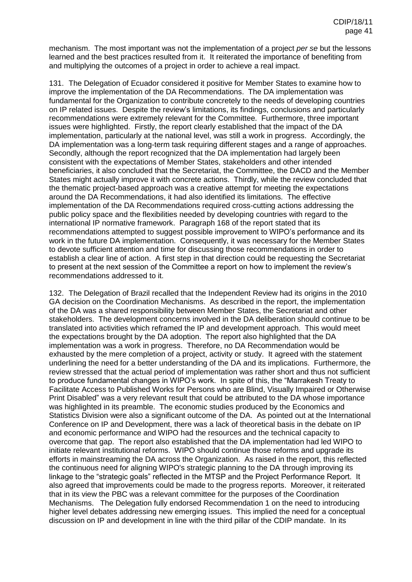mechanism. The most important was not the implementation of a project *per se* but the lessons learned and the best practices resulted from it. It reiterated the importance of benefiting from and multiplying the outcomes of a project in order to achieve a real impact.

131. The Delegation of Ecuador considered it positive for Member States to examine how to improve the implementation of the DA Recommendations. The DA implementation was fundamental for the Organization to contribute concretely to the needs of developing countries on IP related issues. Despite the review's limitations, its findings, conclusions and particularly recommendations were extremely relevant for the Committee. Furthermore, three important issues were highlighted. Firstly, the report clearly established that the impact of the DA implementation, particularly at the national level, was still a work in progress. Accordingly, the DA implementation was a long-term task requiring different stages and a range of approaches. Secondly, although the report recognized that the DA implementation had largely been consistent with the expectations of Member States, stakeholders and other intended beneficiaries, it also concluded that the Secretariat, the Committee, the DACD and the Member States might actually improve it with concrete actions. Thirdly, while the review concluded that the thematic project-based approach was a creative attempt for meeting the expectations around the DA Recommendations, it had also identified its limitations. The effective implementation of the DA Recommendations required cross-cutting actions addressing the public policy space and the flexibilities needed by developing countries with regard to the international IP normative framework. Paragraph 168 of the report stated that its recommendations attempted to suggest possible improvement to WIPO's performance and its work in the future DA implementation. Consequently, it was necessary for the Member States to devote sufficient attention and time for discussing those recommendations in order to establish a clear line of action. A first step in that direction could be requesting the Secretariat to present at the next session of the Committee a report on how to implement the review's recommendations addressed to it.

132. The Delegation of Brazil recalled that the Independent Review had its origins in the 2010 GA decision on the Coordination Mechanisms. As described in the report, the implementation of the DA was a shared responsibility between Member States, the Secretariat and other stakeholders. The development concerns involved in the DA deliberation should continue to be translated into activities which reframed the IP and development approach. This would meet the expectations brought by the DA adoption. The report also highlighted that the DA implementation was a work in progress. Therefore, no DA Recommendation would be exhausted by the mere completion of a project, activity or study. It agreed with the statement underlining the need for a better understanding of the DA and its implications. Furthermore, the review stressed that the actual period of implementation was rather short and thus not sufficient to produce fundamental changes in WIPO's work. In spite of this, the "Marrakesh Treaty to Facilitate Access to Published Works for Persons who are Blind, Visually Impaired or Otherwise Print Disabled" was a very relevant result that could be attributed to the DA whose importance was highlighted in its preamble. The economic studies produced by the Economics and Statistics Division were also a significant outcome of the DA. As pointed out at the International Conference on IP and Development, there was a lack of theoretical basis in the debate on IP and economic performance and WIPO had the resources and the technical capacity to overcome that gap. The report also established that the DA implementation had led WIPO to initiate relevant institutional reforms. WIPO should continue those reforms and upgrade its efforts in mainstreaming the DA across the Organization. As raised in the report, this reflected the continuous need for aligning WIPO's strategic planning to the DA through improving its linkage to the "strategic goals" reflected in the MTSP and the Project Performance Report. It also agreed that improvements could be made to the progress reports. Moreover, it reiterated that in its view the PBC was a relevant committee for the purposes of the Coordination Mechanisms. The Delegation fully endorsed Recommendation 1 on the need to introducing higher level debates addressing new emerging issues. This implied the need for a conceptual discussion on IP and development in line with the third pillar of the CDIP mandate. In its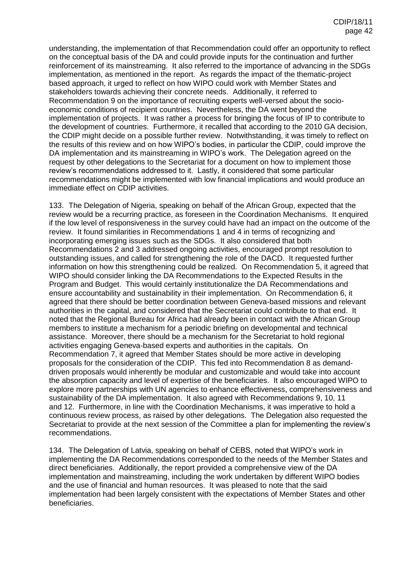understanding, the implementation of that Recommendation could offer an opportunity to reflect on the conceptual basis of the DA and could provide inputs for the continuation and further reinforcement of its mainstreaming. It also referred to the importance of advancing in the SDGs implementation, as mentioned in the report. As regards the impact of the thematic-project based approach, it urged to reflect on how WIPO could work with Member States and stakeholders towards achieving their concrete needs. Additionally, it referred to Recommendation 9 on the importance of recruiting experts well-versed about the socioeconomic conditions of recipient countries. Nevertheless, the DA went beyond the implementation of projects. It was rather a process for bringing the focus of IP to contribute to the development of countries. Furthermore, it recalled that according to the 2010 GA decision, the CDIP might decide on a possible further review. Notwithstanding, it was timely to reflect on the results of this review and on how WIPO's bodies, in particular the CDIP, could improve the DA implementation and its mainstreaming in WIPO's work. The Delegation agreed on the request by other delegations to the Secretariat for a document on how to implement those review's recommendations addressed to it. Lastly, it considered that some particular recommendations might be implemented with low financial implications and would produce an immediate effect on CDIP activities.

133. The Delegation of Nigeria, speaking on behalf of the African Group, expected that the review would be a recurring practice, as foreseen in the Coordination Mechanisms. It enquired if the low level of responsiveness in the survey could have had an impact on the outcome of the review. It found similarities in Recommendations 1 and 4 in terms of recognizing and incorporating emerging issues such as the SDGs. It also considered that both Recommendations 2 and 3 addressed ongoing activities, encouraged prompt resolution to outstanding issues, and called for strengthening the role of the DACD. It requested further information on how this strengthening could be realized. On Recommendation 5, it agreed that WIPO should consider linking the DA Recommendations to the Expected Results in the Program and Budget. This would certainly institutionalize the DA Recommendations and ensure accountability and sustainability in their implementation. On Recommendation 6, it agreed that there should be better coordination between Geneva-based missions and relevant authorities in the capital, and considered that the Secretariat could contribute to that end. It noted that the Regional Bureau for Africa had already been in contact with the African Group members to institute a mechanism for a periodic briefing on developmental and technical assistance. Moreover, there should be a mechanism for the Secretariat to hold regional activities engaging Geneva-based experts and authorities in the capitals. On Recommendation 7, it agreed that Member States should be more active in developing proposals for the consideration of the CDIP. This fed into Recommendation 8 as demanddriven proposals would inherently be modular and customizable and would take into account the absorption capacity and level of expertise of the beneficiaries. It also encouraged WIPO to explore more partnerships with UN agencies to enhance effectiveness, comprehensiveness and sustainability of the DA implementation. It also agreed with Recommendations 9, 10, 11 and 12. Furthermore, in line with the Coordination Mechanisms, it was imperative to hold a continuous review process, as raised by other delegations. The Delegation also requested the Secretariat to provide at the next session of the Committee a plan for implementing the review's recommendations.

134. The Delegation of Latvia, speaking on behalf of CEBS, noted that WIPO's work in implementing the DA Recommendations corresponded to the needs of the Member States and direct beneficiaries. Additionally, the report provided a comprehensive view of the DA implementation and mainstreaming, including the work undertaken by different WIPO bodies and the use of financial and human resources. It was pleased to note that the said implementation had been largely consistent with the expectations of Member States and other beneficiaries.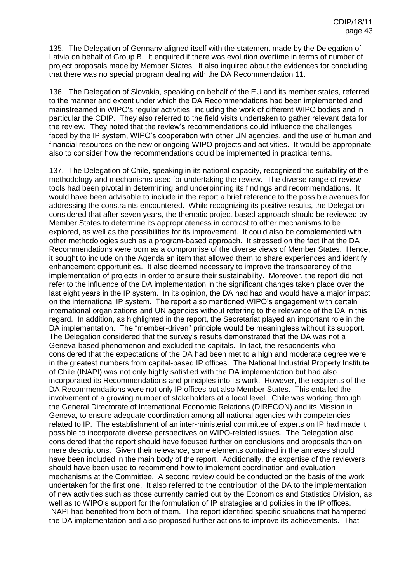135. The Delegation of Germany aligned itself with the statement made by the Delegation of Latvia on behalf of Group B. It enquired if there was evolution overtime in terms of number of project proposals made by Member States. It also inquired about the evidences for concluding that there was no special program dealing with the DA Recommendation 11.

136. The Delegation of Slovakia, speaking on behalf of the EU and its member states, referred to the manner and extent under which the DA Recommendations had been implemented and mainstreamed in WIPO's regular activities, including the work of different WIPO bodies and in particular the CDIP. They also referred to the field visits undertaken to gather relevant data for the review. They noted that the review's recommendations could influence the challenges faced by the IP system, WIPO's cooperation with other UN agencies, and the use of human and financial resources on the new or ongoing WIPO projects and activities. It would be appropriate also to consider how the recommendations could be implemented in practical terms.

137. The Delegation of Chile, speaking in its national capacity, recognized the suitability of the methodology and mechanisms used for undertaking the review. The diverse range of review tools had been pivotal in determining and underpinning its findings and recommendations. It would have been advisable to include in the report a brief reference to the possible avenues for addressing the constraints encountered. While recognizing its positive results, the Delegation considered that after seven years, the thematic project-based approach should be reviewed by Member States to determine its appropriateness in contrast to other mechanisms to be explored, as well as the possibilities for its improvement. It could also be complemented with other methodologies such as a program-based approach. It stressed on the fact that the DA Recommendations were born as a compromise of the diverse views of Member States. Hence, it sought to include on the Agenda an item that allowed them to share experiences and identify enhancement opportunities. It also deemed necessary to improve the transparency of the implementation of projects in order to ensure their sustainability. Moreover, the report did not refer to the influence of the DA implementation in the significant changes taken place over the last eight years in the IP system. In its opinion, the DA had had and would have a major impact on the international IP system. The report also mentioned WIPO's engagement with certain international organizations and UN agencies without referring to the relevance of the DA in this regard. In addition, as highlighted in the report, the Secretariat played an important role in the DA implementation. The "member-driven" principle would be meaningless without its support. The Delegation considered that the survey's results demonstrated that the DA was not a Geneva-based phenomenon and excluded the capitals. In fact, the respondents who considered that the expectations of the DA had been met to a high and moderate degree were in the greatest numbers from capital-based IP offices. The National Industrial Property Institute of Chile (INAPI) was not only highly satisfied with the DA implementation but had also incorporated its Recommendations and principles into its work. However, the recipients of the DA Recommendations were not only IP offices but also Member States. This entailed the involvement of a growing number of stakeholders at a local level. Chile was working through the General Directorate of International Economic Relations (DIRECON) and its Mission in Geneva, to ensure adequate coordination among all national agencies with competencies related to IP. The establishment of an inter-ministerial committee of experts on IP had made it possible to incorporate diverse perspectives on WIPO-related issues. The Delegation also considered that the report should have focused further on conclusions and proposals than on mere descriptions. Given their relevance, some elements contained in the annexes should have been included in the main body of the report. Additionally, the expertise of the reviewers should have been used to recommend how to implement coordination and evaluation mechanisms at the Committee. A second review could be conducted on the basis of the work undertaken for the first one. It also referred to the contribution of the DA to the implementation of new activities such as those currently carried out by the Economics and Statistics Division, as well as to WIPO's support for the formulation of IP strategies and policies in the IP offices. INAPI had benefited from both of them. The report identified specific situations that hampered the DA implementation and also proposed further actions to improve its achievements. That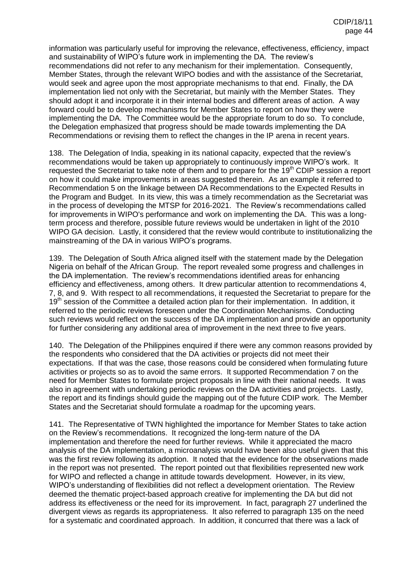information was particularly useful for improving the relevance, effectiveness, efficiency, impact and sustainability of WIPO's future work in implementing the DA. The review's recommendations did not refer to any mechanism for their implementation. Consequently, Member States, through the relevant WIPO bodies and with the assistance of the Secretariat, would seek and agree upon the most appropriate mechanisms to that end. Finally, the DA implementation lied not only with the Secretariat, but mainly with the Member States. They should adopt it and incorporate it in their internal bodies and different areas of action. A way forward could be to develop mechanisms for Member States to report on how they were implementing the DA. The Committee would be the appropriate forum to do so. To conclude, the Delegation emphasized that progress should be made towards implementing the DA Recommendations or revising them to reflect the changes in the IP arena in recent years.

138. The Delegation of India, speaking in its national capacity, expected that the review's recommendations would be taken up appropriately to continuously improve WIPO's work. It requested the Secretariat to take note of them and to prepare for the 19<sup>th</sup> CDIP session a report on how it could make improvements in areas suggested therein. As an example it referred to Recommendation 5 on the linkage between DA Recommendations to the Expected Results in the Program and Budget. In its view, this was a timely recommendation as the Secretariat was in the process of developing the MTSP for 2016-2021. The Review's recommendations called for improvements in WIPO's performance and work on implementing the DA. This was a longterm process and therefore, possible future reviews would be undertaken in light of the 2010 WIPO GA decision. Lastly, it considered that the review would contribute to institutionalizing the mainstreaming of the DA in various WIPO's programs.

139. The Delegation of South Africa aligned itself with the statement made by the Delegation Nigeria on behalf of the African Group. The report revealed some progress and challenges in the DA implementation. The review's recommendations identified areas for enhancing efficiency and effectiveness, among others. It drew particular attention to recommendations 4, 7, 8, and 9. With respect to all recommendations, it requested the Secretariat to prepare for the 19<sup>th</sup> session of the Committee a detailed action plan for their implementation. In addition, it referred to the periodic reviews foreseen under the Coordination Mechanisms. Conducting such reviews would reflect on the success of the DA implementation and provide an opportunity for further considering any additional area of improvement in the next three to five years.

140. The Delegation of the Philippines enquired if there were any common reasons provided by the respondents who considered that the DA activities or projects did not meet their expectations. If that was the case, those reasons could be considered when formulating future activities or projects so as to avoid the same errors. It supported Recommendation 7 on the need for Member States to formulate project proposals in line with their national needs. It was also in agreement with undertaking periodic reviews on the DA activities and projects. Lastly, the report and its findings should guide the mapping out of the future CDIP work. The Member States and the Secretariat should formulate a roadmap for the upcoming years.

141. The Representative of TWN highlighted the importance for Member States to take action on the Review's recommendations. It recognized the long-term nature of the DA implementation and therefore the need for further reviews. While it appreciated the macro analysis of the DA implementation, a microanalysis would have been also useful given that this was the first review following its adoption. It noted that the evidence for the observations made in the report was not presented. The report pointed out that flexibilities represented new work for WIPO and reflected a change in attitude towards development. However, in its view, WIPO's understanding of flexibilities did not reflect a development orientation. The Review deemed the thematic project-based approach creative for implementing the DA but did not address its effectiveness or the need for its improvement. In fact, paragraph 27 underlined the divergent views as regards its appropriateness. It also referred to paragraph 135 on the need for a systematic and coordinated approach. In addition, it concurred that there was a lack of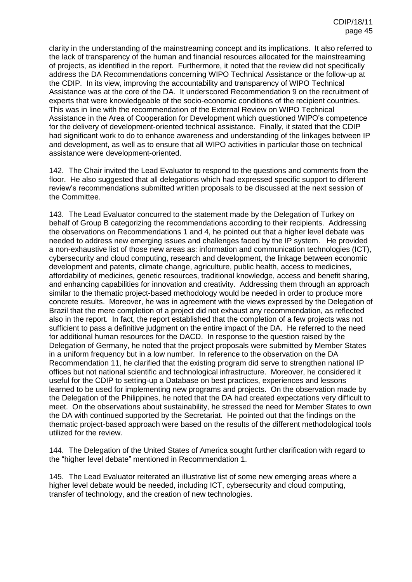clarity in the understanding of the mainstreaming concept and its implications. It also referred to the lack of transparency of the human and financial resources allocated for the mainstreaming of projects, as identified in the report. Furthermore, it noted that the review did not specifically address the DA Recommendations concerning WIPO Technical Assistance or the follow-up at the CDIP. In its view, improving the accountability and transparency of WIPO Technical Assistance was at the core of the DA. It underscored Recommendation 9 on the recruitment of experts that were knowledgeable of the socio-economic conditions of the recipient countries. This was in line with the recommendation of the External Review on WIPO Technical Assistance in the Area of Cooperation for Development which questioned WIPO's competence for the delivery of development-oriented technical assistance. Finally, it stated that the CDIP had significant work to do to enhance awareness and understanding of the linkages between IP and development, as well as to ensure that all WIPO activities in particular those on technical assistance were development-oriented.

142. The Chair invited the Lead Evaluator to respond to the questions and comments from the floor. He also suggested that all delegations which had expressed specific support to different review's recommendations submitted written proposals to be discussed at the next session of the Committee.

143. The Lead Evaluator concurred to the statement made by the Delegation of Turkey on behalf of Group B categorizing the recommendations according to their recipients. Addressing the observations on Recommendations 1 and 4, he pointed out that a higher level debate was needed to address new emerging issues and challenges faced by the IP system. He provided a non-exhaustive list of those new areas as: information and communication technologies (ICT), cybersecurity and cloud computing, research and development, the linkage between economic development and patents, climate change, agriculture, public health, access to medicines, affordability of medicines, genetic resources, traditional knowledge, access and benefit sharing, and enhancing capabilities for innovation and creativity. Addressing them through an approach similar to the thematic project-based methodology would be needed in order to produce more concrete results. Moreover, he was in agreement with the views expressed by the Delegation of Brazil that the mere completion of a project did not exhaust any recommendation, as reflected also in the report. In fact, the report established that the completion of a few projects was not sufficient to pass a definitive judgment on the entire impact of the DA. He referred to the need for additional human resources for the DACD. In response to the question raised by the Delegation of Germany, he noted that the project proposals were submitted by Member States in a uniform frequency but in a low number. In reference to the observation on the DA Recommendation 11, he clarified that the existing program did serve to strengthen national IP offices but not national scientific and technological infrastructure. Moreover, he considered it useful for the CDIP to setting-up a Database on best practices, experiences and lessons learned to be used for implementing new programs and projects. On the observation made by the Delegation of the Philippines, he noted that the DA had created expectations very difficult to meet. On the observations about sustainability, he stressed the need for Member States to own the DA with continued supported by the Secretariat. He pointed out that the findings on the thematic project-based approach were based on the results of the different methodological tools utilized for the review.

144. The Delegation of the United States of America sought further clarification with regard to the "higher level debate" mentioned in Recommendation 1.

145. The Lead Evaluator reiterated an illustrative list of some new emerging areas where a higher level debate would be needed, including ICT, cybersecurity and cloud computing, transfer of technology, and the creation of new technologies.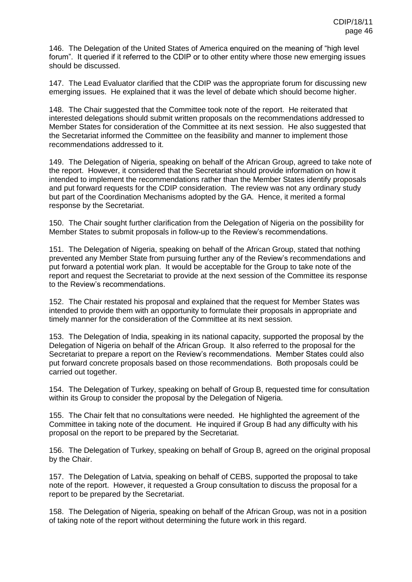146. The Delegation of the United States of America enquired on the meaning of "high level forum". It queried if it referred to the CDIP or to other entity where those new emerging issues should be discussed.

147. The Lead Evaluator clarified that the CDIP was the appropriate forum for discussing new emerging issues. He explained that it was the level of debate which should become higher.

148. The Chair suggested that the Committee took note of the report. He reiterated that interested delegations should submit written proposals on the recommendations addressed to Member States for consideration of the Committee at its next session. He also suggested that the Secretariat informed the Committee on the feasibility and manner to implement those recommendations addressed to it.

149. The Delegation of Nigeria, speaking on behalf of the African Group, agreed to take note of the report. However, it considered that the Secretariat should provide information on how it intended to implement the recommendations rather than the Member States identify proposals and put forward requests for the CDIP consideration. The review was not any ordinary study but part of the Coordination Mechanisms adopted by the GA. Hence, it merited a formal response by the Secretariat.

150. The Chair sought further clarification from the Delegation of Nigeria on the possibility for Member States to submit proposals in follow-up to the Review's recommendations.

151. The Delegation of Nigeria, speaking on behalf of the African Group, stated that nothing prevented any Member State from pursuing further any of the Review's recommendations and put forward a potential work plan. It would be acceptable for the Group to take note of the report and request the Secretariat to provide at the next session of the Committee its response to the Review's recommendations.

152. The Chair restated his proposal and explained that the request for Member States was intended to provide them with an opportunity to formulate their proposals in appropriate and timely manner for the consideration of the Committee at its next session.

153. The Delegation of India, speaking in its national capacity, supported the proposal by the Delegation of Nigeria on behalf of the African Group. It also referred to the proposal for the Secretariat to prepare a report on the Review's recommendations. Member States could also put forward concrete proposals based on those recommendations. Both proposals could be carried out together.

154. The Delegation of Turkey, speaking on behalf of Group B, requested time for consultation within its Group to consider the proposal by the Delegation of Nigeria.

155. The Chair felt that no consultations were needed. He highlighted the agreement of the Committee in taking note of the document. He inquired if Group B had any difficulty with his proposal on the report to be prepared by the Secretariat.

156. The Delegation of Turkey, speaking on behalf of Group B, agreed on the original proposal by the Chair.

157. The Delegation of Latvia, speaking on behalf of CEBS, supported the proposal to take note of the report. However, it requested a Group consultation to discuss the proposal for a report to be prepared by the Secretariat.

158. The Delegation of Nigeria, speaking on behalf of the African Group, was not in a position of taking note of the report without determining the future work in this regard.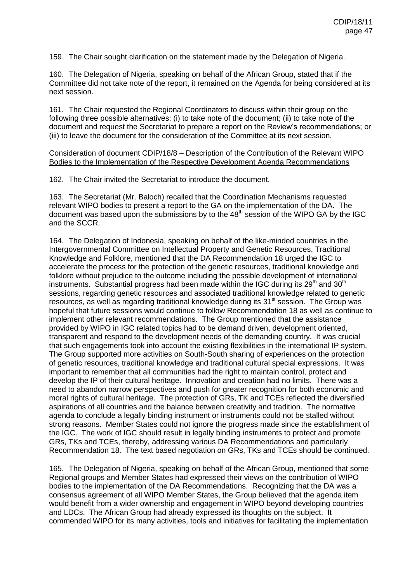159. The Chair sought clarification on the statement made by the Delegation of Nigeria.

160. The Delegation of Nigeria, speaking on behalf of the African Group, stated that if the Committee did not take note of the report, it remained on the Agenda for being considered at its next session.

161. The Chair requested the Regional Coordinators to discuss within their group on the following three possible alternatives: (i) to take note of the document; (ii) to take note of the document and request the Secretariat to prepare a report on the Review's recommendations; or (iii) to leave the document for the consideration of the Committee at its next session.

Consideration of document CDIP/18/8 – Description of the Contribution of the Relevant WIPO Bodies to the Implementation of the Respective Development Agenda Recommendations

162. The Chair invited the Secretariat to introduce the document.

163. The Secretariat (Mr. Baloch) recalled that the Coordination Mechanisms requested relevant WIPO bodies to present a report to the GA on the implementation of the DA. The document was based upon the submissions by to the  $48<sup>th</sup>$  session of the WIPO GA by the IGC and the SCCR.

164. The Delegation of Indonesia, speaking on behalf of the like-minded countries in the Intergovernmental Committee on Intellectual Property and Genetic Resources, Traditional Knowledge and Folklore, mentioned that the DA Recommendation 18 urged the IGC to accelerate the process for the protection of the genetic resources, traditional knowledge and folklore without prejudice to the outcome including the possible development of international instruments. Substantial progress had been made within the IGC during its  $29<sup>th</sup>$  and  $30<sup>th</sup>$ sessions, regarding genetic resources and associated traditional knowledge related to genetic resources, as well as regarding traditional knowledge during its 31<sup>st</sup> session. The Group was hopeful that future sessions would continue to follow Recommendation 18 as well as continue to implement other relevant recommendations. The Group mentioned that the assistance provided by WIPO in IGC related topics had to be demand driven, development oriented, transparent and respond to the development needs of the demanding country. It was crucial that such engagements took into account the existing flexibilities in the international IP system. The Group supported more activities on South-South sharing of experiences on the protection of genetic resources, traditional knowledge and traditional cultural special expressions. It was important to remember that all communities had the right to maintain control, protect and develop the IP of their cultural heritage. Innovation and creation had no limits. There was a need to abandon narrow perspectives and push for greater recognition for both economic and moral rights of cultural heritage. The protection of GRs, TK and TCEs reflected the diversified aspirations of all countries and the balance between creativity and tradition. The normative agenda to conclude a legally binding instrument or instruments could not be stalled without strong reasons. Member States could not ignore the progress made since the establishment of the IGC. The work of IGC should result in legally binding instruments to protect and promote GRs, TKs and TCEs, thereby, addressing various DA Recommendations and particularly Recommendation 18. The text based negotiation on GRs, TKs and TCEs should be continued.

165. The Delegation of Nigeria, speaking on behalf of the African Group, mentioned that some Regional groups and Member States had expressed their views on the contribution of WIPO bodies to the implementation of the DA Recommendations. Recognizing that the DA was a consensus agreement of all WIPO Member States, the Group believed that the agenda item would benefit from a wider ownership and engagement in WIPO beyond developing countries and LDCs. The African Group had already expressed its thoughts on the subject. It commended WIPO for its many activities, tools and initiatives for facilitating the implementation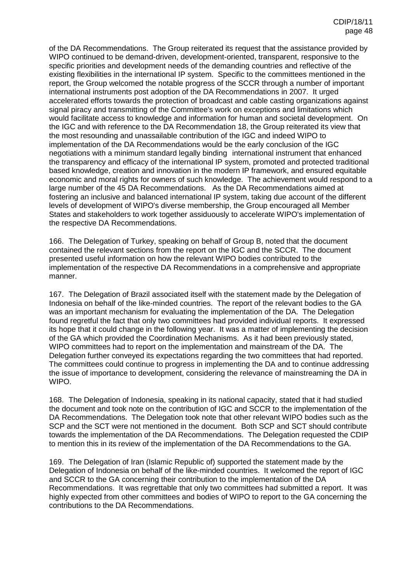of the DA Recommendations. The Group reiterated its request that the assistance provided by WIPO continued to be demand-driven, development-oriented, transparent, responsive to the specific priorities and development needs of the demanding countries and reflective of the existing flexibilities in the international IP system. Specific to the committees mentioned in the report, the Group welcomed the notable progress of the SCCR through a number of important international instruments post adoption of the DA Recommendations in 2007. It urged accelerated efforts towards the protection of broadcast and cable casting organizations against signal piracy and transmitting of the Committee's work on exceptions and limitations which would facilitate access to knowledge and information for human and societal development. On the IGC and with reference to the DA Recommendation 18, the Group reiterated its view that the most resounding and unassailable contribution of the IGC and indeed WIPO to implementation of the DA Recommendations would be the early conclusion of the IGC negotiations with a minimum standard legally binding international instrument that enhanced the transparency and efficacy of the international IP system, promoted and protected traditional based knowledge, creation and innovation in the modern IP framework, and ensured equitable economic and moral rights for owners of such knowledge. The achievement would respond to a large number of the 45 DA Recommendations. As the DA Recommendations aimed at fostering an inclusive and balanced international IP system, taking due account of the different levels of development of WIPO's diverse membership, the Group encouraged all Member States and stakeholders to work together assiduously to accelerate WIPO's implementation of the respective DA Recommendations.

166. The Delegation of Turkey, speaking on behalf of Group B, noted that the document contained the relevant sections from the report on the IGC and the SCCR. The document presented useful information on how the relevant WIPO bodies contributed to the implementation of the respective DA Recommendations in a comprehensive and appropriate manner.

167. The Delegation of Brazil associated itself with the statement made by the Delegation of Indonesia on behalf of the like-minded countries. The report of the relevant bodies to the GA was an important mechanism for evaluating the implementation of the DA. The Delegation found regretful the fact that only two committees had provided individual reports. It expressed its hope that it could change in the following year. It was a matter of implementing the decision of the GA which provided the Coordination Mechanisms. As it had been previously stated, WIPO committees had to report on the implementation and mainstream of the DA. The Delegation further conveyed its expectations regarding the two committees that had reported. The committees could continue to progress in implementing the DA and to continue addressing the issue of importance to development, considering the relevance of mainstreaming the DA in WIPO.

168. The Delegation of Indonesia, speaking in its national capacity, stated that it had studied the document and took note on the contribution of IGC and SCCR to the implementation of the DA Recommendations. The Delegation took note that other relevant WIPO bodies such as the SCP and the SCT were not mentioned in the document. Both SCP and SCT should contribute towards the implementation of the DA Recommendations. The Delegation requested the CDIP to mention this in its review of the implementation of the DA Recommendations to the GA.

169. The Delegation of Iran (Islamic Republic of) supported the statement made by the Delegation of Indonesia on behalf of the like-minded countries. It welcomed the report of IGC and SCCR to the GA concerning their contribution to the implementation of the DA Recommendations. It was regrettable that only two committees had submitted a report. It was highly expected from other committees and bodies of WIPO to report to the GA concerning the contributions to the DA Recommendations.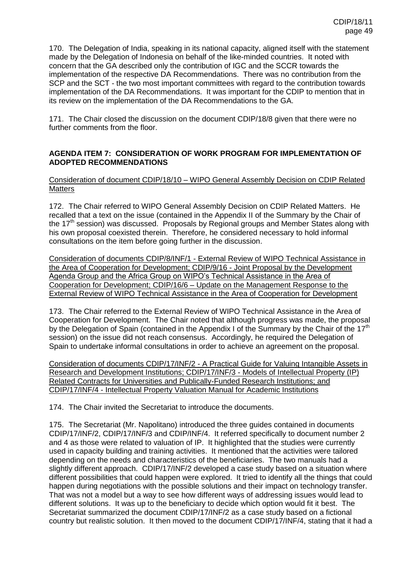170. The Delegation of India, speaking in its national capacity, aligned itself with the statement made by the Delegation of Indonesia on behalf of the like-minded countries. It noted with concern that the GA described only the contribution of IGC and the SCCR towards the implementation of the respective DA Recommendations. There was no contribution from the SCP and the SCT - the two most important committees with regard to the contribution towards implementation of the DA Recommendations. It was important for the CDIP to mention that in its review on the implementation of the DA Recommendations to the GA.

171. The Chair closed the discussion on the document CDIP/18/8 given that there were no further comments from the floor.

# **AGENDA ITEM 7: CONSIDERATION OF WORK PROGRAM FOR IMPLEMENTATION OF ADOPTED RECOMMENDATIONS**

Consideration of document CDIP/18/10 – WIPO General Assembly Decision on CDIP Related **Matters** 

172. The Chair referred to WIPO General Assembly Decision on CDIP Related Matters. He recalled that a text on the issue (contained in the Appendix II of the Summary by the Chair of the 17<sup>th</sup> session) was discussed. Proposals by Regional groups and Member States along with his own proposal coexisted therein. Therefore, he considered necessary to hold informal consultations on the item before going further in the discussion.

Consideration of documents CDIP/8/INF/1 - External Review of WIPO Technical Assistance in the Area of Cooperation for Development; CDIP/9/16 - Joint Proposal by the Development Agenda Group and the Africa Group on WIPO's Technical Assistance in the Area of Cooperation for Development; CDIP/16/6 – Update on the Management Response to the External Review of WIPO Technical Assistance in the Area of Cooperation for Development

173. The Chair referred to the External Review of WIPO Technical Assistance in the Area of Cooperation for Development. The Chair noted that although progress was made, the proposal by the Delegation of Spain (contained in the Appendix I of the Summary by the Chair of the  $17<sup>th</sup>$ session) on the issue did not reach consensus. Accordingly, he required the Delegation of Spain to undertake informal consultations in order to achieve an agreement on the proposal.

Consideration of documents CDIP/17/INF/2 - A Practical Guide for Valuing Intangible Assets in Research and Development Institutions; CDIP/17/INF/3 - Models of Intellectual Property (IP) Related Contracts for Universities and Publically-Funded Research Institutions; and CDIP/17/INF/4 - Intellectual Property Valuation Manual for Academic Institutions

174. The Chair invited the Secretariat to introduce the documents.

175. The Secretariat (Mr. Napolitano) introduced the three guides contained in documents CDIP/17/INF/2, CDIP/17/INF/3 and CDIP/INF/4. It referred specifically to document number 2 and 4 as those were related to valuation of IP. It highlighted that the studies were currently used in capacity building and training activities. It mentioned that the activities were tailored depending on the needs and characteristics of the beneficiaries. The two manuals had a slightly different approach. CDIP/17/INF/2 developed a case study based on a situation where different possibilities that could happen were explored. It tried to identify all the things that could happen during negotiations with the possible solutions and their impact on technology transfer. That was not a model but a way to see how different ways of addressing issues would lead to different solutions. It was up to the beneficiary to decide which option would fit it best. The Secretariat summarized the document CDIP/17/INF/2 as a case study based on a fictional country but realistic solution. It then moved to the document CDIP/17/INF/4, stating that it had a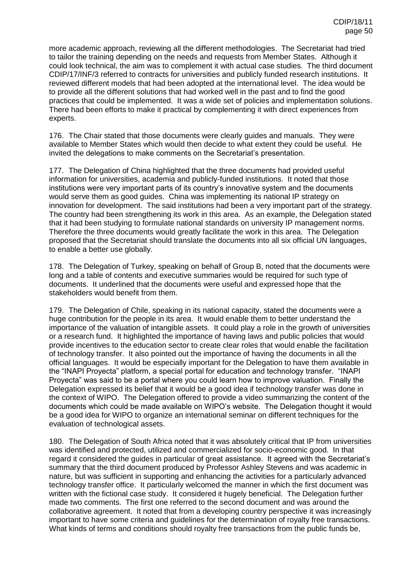more academic approach, reviewing all the different methodologies. The Secretariat had tried to tailor the training depending on the needs and requests from Member States. Although it could look technical, the aim was to complement it with actual case studies. The third document CDIP/17/INF/3 referred to contracts for universities and publicly funded research institutions. It reviewed different models that had been adopted at the international level. The idea would be to provide all the different solutions that had worked well in the past and to find the good practices that could be implemented. It was a wide set of policies and implementation solutions. There had been efforts to make it practical by complementing it with direct experiences from experts.

176. The Chair stated that those documents were clearly guides and manuals. They were available to Member States which would then decide to what extent they could be useful. He invited the delegations to make comments on the Secretariat's presentation.

177. The Delegation of China highlighted that the three documents had provided useful information for universities, academia and publicly-funded institutions. It noted that those institutions were very important parts of its country's innovative system and the documents would serve them as good guides. China was implementing its national IP strategy on innovation for development. The said institutions had been a very important part of the strategy. The country had been strengthening its work in this area. As an example, the Delegation stated that it had been studying to formulate national standards on university IP management norms. Therefore the three documents would greatly facilitate the work in this area. The Delegation proposed that the Secretariat should translate the documents into all six official UN languages, to enable a better use globally.

178. The Delegation of Turkey, speaking on behalf of Group B, noted that the documents were long and a table of contents and executive summaries would be required for such type of documents. It underlined that the documents were useful and expressed hope that the stakeholders would benefit from them.

179. The Delegation of Chile, speaking in its national capacity, stated the documents were a huge contribution for the people in its area. It would enable them to better understand the importance of the valuation of intangible assets. It could play a role in the growth of universities or a research fund. It highlighted the importance of having laws and public policies that would provide incentives to the education sector to create clear roles that would enable the facilitation of technology transfer. It also pointed out the importance of having the documents in all the official languages. It would be especially important for the Delegation to have them available in the "INAPI Proyecta" platform, a special portal for education and technology transfer. "INAPI Proyecta" was said to be a portal where you could learn how to improve valuation. Finally the Delegation expressed its belief that it would be a good idea if technology transfer was done in the context of WIPO. The Delegation offered to provide a video summarizing the content of the documents which could be made available on WIPO's website. The Delegation thought it would be a good idea for WIPO to organize an international seminar on different techniques for the evaluation of technological assets.

180. The Delegation of South Africa noted that it was absolutely critical that IP from universities was identified and protected, utilized and commercialized for socio-economic good. In that regard it considered the guides in particular of great assistance. It agreed with the Secretariat's summary that the third document produced by Professor Ashley Stevens and was academic in nature, but was sufficient in supporting and enhancing the activities for a particularly advanced technology transfer office. It particularly welcomed the manner in which the first document was written with the fictional case study. It considered it hugely beneficial. The Delegation further made two comments. The first one referred to the second document and was around the collaborative agreement. It noted that from a developing country perspective it was increasingly important to have some criteria and guidelines for the determination of royalty free transactions. What kinds of terms and conditions should royalty free transactions from the public funds be,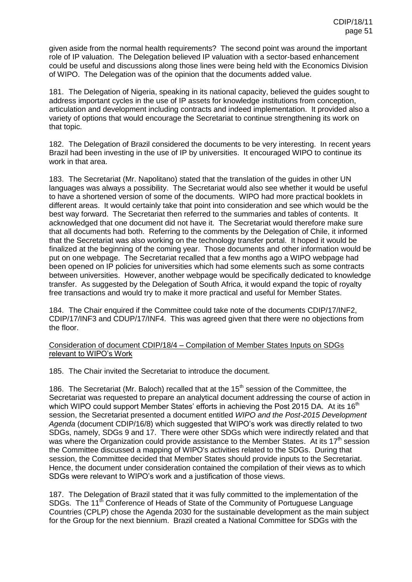given aside from the normal health requirements? The second point was around the important role of IP valuation. The Delegation believed IP valuation with a sector-based enhancement could be useful and discussions along those lines were being held with the Economics Division of WIPO. The Delegation was of the opinion that the documents added value.

181. The Delegation of Nigeria, speaking in its national capacity, believed the guides sought to address important cycles in the use of IP assets for knowledge institutions from conception, articulation and development including contracts and indeed implementation. It provided also a variety of options that would encourage the Secretariat to continue strengthening its work on that topic.

182. The Delegation of Brazil considered the documents to be very interesting. In recent years Brazil had been investing in the use of IP by universities. It encouraged WIPO to continue its work in that area.

183. The Secretariat (Mr. Napolitano) stated that the translation of the guides in other UN languages was always a possibility. The Secretariat would also see whether it would be useful to have a shortened version of some of the documents. WIPO had more practical booklets in different areas. It would certainly take that point into consideration and see which would be the best way forward. The Secretariat then referred to the summaries and tables of contents. It acknowledged that one document did not have it. The Secretariat would therefore make sure that all documents had both. Referring to the comments by the Delegation of Chile, it informed that the Secretariat was also working on the technology transfer portal. It hoped it would be finalized at the beginning of the coming year. Those documents and other information would be put on one webpage. The Secretariat recalled that a few months ago a WIPO webpage had been opened on IP policies for universities which had some elements such as some contracts between universities. However, another webpage would be specifically dedicated to knowledge transfer. As suggested by the Delegation of South Africa, it would expand the topic of royalty free transactions and would try to make it more practical and useful for Member States.

184. The Chair enquired if the Committee could take note of the documents CDIP/17/INF2, CDIP/17/INF3 and CDUP/17/INF4. This was agreed given that there were no objections from the floor.

## Consideration of document CDIP/18/4 – Compilation of Member States Inputs on SDGs relevant to WIPO's Work

185. The Chair invited the Secretariat to introduce the document.

186. The Secretariat (Mr. Baloch) recalled that at the  $15<sup>th</sup>$  session of the Committee, the Secretariat was requested to prepare an analytical document addressing the course of action in which WIPO could support Member States' efforts in achieving the Post 2015 DA. At its 16<sup>th</sup> session, the Secretariat presented a document entitled *WIPO and the Post-2015 Development Agenda* (document CDIP/16/8) which suggested that WIPO's work was directly related to two SDGs, namely, SDGs 9 and 17. There were other SDGs which were indirectly related and that was where the Organization could provide assistance to the Member States. At its 17<sup>th</sup> session the Committee discussed a mapping of WIPO's activities related to the SDGs. During that session, the Committee decided that Member States should provide inputs to the Secretariat. Hence, the document under consideration contained the compilation of their views as to which SDGs were relevant to WIPO's work and a justification of those views.

187. The Delegation of Brazil stated that it was fully committed to the implementation of the SDGs. The 11<sup>th</sup> Conference of Heads of State of the Community of Portuguese Language Countries (CPLP) chose the Agenda 2030 for the sustainable development as the main subject for the Group for the next biennium. Brazil created a National Committee for SDGs with the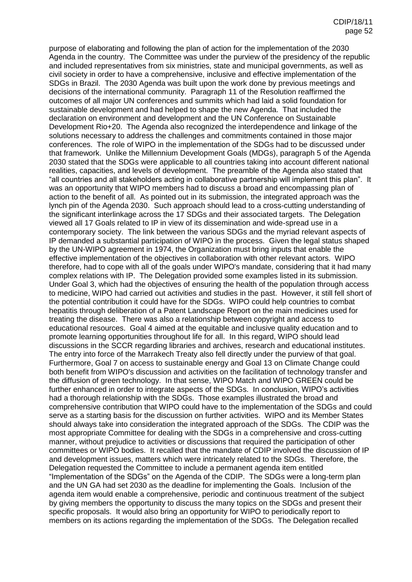purpose of elaborating and following the plan of action for the implementation of the 2030 Agenda in the country. The Committee was under the purview of the presidency of the republic and included representatives from six ministries, state and municipal governments, as well as civil society in order to have a comprehensive, inclusive and effective implementation of the SDGs in Brazil. The 2030 Agenda was built upon the work done by previous meetings and decisions of the international community. Paragraph 11 of the Resolution reaffirmed the outcomes of all major UN conferences and summits which had laid a solid foundation for sustainable development and had helped to shape the new Agenda. That included the declaration on environment and development and the UN Conference on Sustainable Development Rio+20. The Agenda also recognized the interdependence and linkage of the solutions necessary to address the challenges and commitments contained in those major conferences. The role of WIPO in the implementation of the SDGs had to be discussed under that framework. Unlike the Millennium Development Goals (MDGs), paragraph 5 of the Agenda 2030 stated that the SDGs were applicable to all countries taking into account different national realities, capacities, and levels of development. The preamble of the Agenda also stated that "all countries and all stakeholders acting in collaborative partnership will implement this plan". It was an opportunity that WIPO members had to discuss a broad and encompassing plan of action to the benefit of all. As pointed out in its submission, the integrated approach was the lynch pin of the Agenda 2030. Such approach should lead to a cross-cutting understanding of the significant interlinkage across the 17 SDGs and their associated targets. The Delegation viewed all 17 Goals related to IP in view of its dissemination and wide-spread use in a contemporary society. The link between the various SDGs and the myriad relevant aspects of IP demanded a substantial participation of WIPO in the process. Given the legal status shaped by the UN-WIPO agreement in 1974, the Organization must bring inputs that enable the effective implementation of the objectives in collaboration with other relevant actors. WIPO therefore, had to cope with all of the goals under WIPO's mandate, considering that it had many complex relations with IP. The Delegation provided some examples listed in its submission. Under Goal 3, which had the objectives of ensuring the health of the population through access to medicine, WIPO had carried out activities and studies in the past. However, it still fell short of the potential contribution it could have for the SDGs. WIPO could help countries to combat hepatitis through deliberation of a Patent Landscape Report on the main medicines used for treating the disease. There was also a relationship between copyright and access to educational resources. Goal 4 aimed at the equitable and inclusive quality education and to promote learning opportunities throughout life for all. In this regard, WIPO should lead discussions in the SCCR regarding libraries and archives, research and educational institutes. The entry into force of the Marrakech Treaty also fell directly under the purview of that goal. Furthermore, Goal 7 on access to sustainable energy and Goal 13 on Climate Change could both benefit from WIPO's discussion and activities on the facilitation of technology transfer and the diffusion of green technology. In that sense, WIPO Match and WIPO GREEN could be further enhanced in order to integrate aspects of the SDGs. In conclusion, WIPO's activities had a thorough relationship with the SDGs. Those examples illustrated the broad and comprehensive contribution that WIPO could have to the implementation of the SDGs and could serve as a starting basis for the discussion on further activities. WIPO and its Member States should always take into consideration the integrated approach of the SDGs. The CDIP was the most appropriate Committee for dealing with the SDGs in a comprehensive and cross-cutting manner, without prejudice to activities or discussions that required the participation of other committees or WIPO bodies. It recalled that the mandate of CDIP involved the discussion of IP and development issues, matters which were intricately related to the SDGs. Therefore, the Delegation requested the Committee to include a permanent agenda item entitled "Implementation of the SDGs" on the Agenda of the CDIP. The SDGs were a long-term plan and the UN GA had set 2030 as the deadline for implementing the Goals. Inclusion of the agenda item would enable a comprehensive, periodic and continuous treatment of the subject by giving members the opportunity to discuss the many topics on the SDGs and present their specific proposals. It would also bring an opportunity for WIPO to periodically report to members on its actions regarding the implementation of the SDGs. The Delegation recalled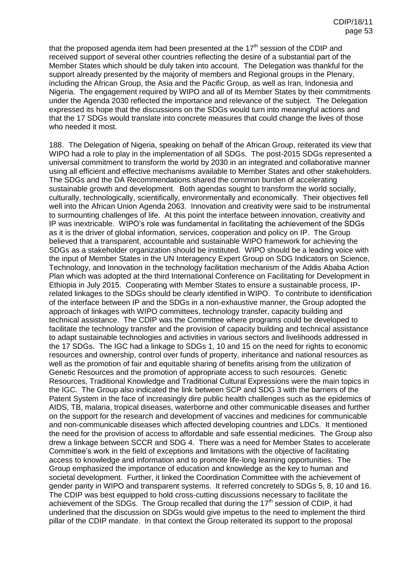that the proposed agenda item had been presented at the  $17<sup>th</sup>$  session of the CDIP and received support of several other countries reflecting the desire of a substantial part of the Member States which should be duly taken into account. The Delegation was thankful for the support already presented by the majority of members and Regional groups in the Plenary, including the African Group, the Asia and the Pacific Group, as well as Iran, Indonesia and Nigeria. The engagement required by WIPO and all of its Member States by their commitments under the Agenda 2030 reflected the importance and relevance of the subject. The Delegation expressed its hope that the discussions on the SDGs would turn into meaningful actions and that the 17 SDGs would translate into concrete measures that could change the lives of those who needed it most.

188. The Delegation of Nigeria, speaking on behalf of the African Group, reiterated its view that WIPO had a role to play in the implementation of all SDGs. The post-2015 SDGs represented a universal commitment to transform the world by 2030 in an integrated and collaborative manner using all efficient and effective mechanisms available to Member States and other stakeholders. The SDGs and the DA Recommendations shared the common burden of accelerating sustainable growth and development. Both agendas sought to transform the world socially, culturally, technologically, scientifically, environmentally and economically. Their objectives fell well into the African Union Agenda 2063. Innovation and creativity were said to be instrumental to surmounting challenges of life. At this point the interface between innovation, creativity and IP was inextricable. WIPO's role was fundamental in facilitating the achievement of the SDGs as it is the driver of global information, services, cooperation and policy on IP. The Group believed that a transparent, accountable and sustainable WIPO framework for achieving the SDGs as a stakeholder organization should be instituted. WIPO should be a leading voice with the input of Member States in the UN Interagency Expert Group on SDG Indicators on Science, Technology, and Innovation in the technology facilitation mechanism of the Addis Ababa Action Plan which was adopted at the third International Conference on Facilitating for Development in Ethiopia in July 2015. Cooperating with Member States to ensure a sustainable process, IPrelated linkages to the SDGs should be clearly identified in WIPO. To contribute to identification of the interface between IP and the SDGs in a non-exhaustive manner, the Group adopted the approach of linkages with WIPO committees, technology transfer, capacity building and technical assistance. The CDIP was the Committee where programs could be developed to facilitate the technology transfer and the provision of capacity building and technical assistance to adapt sustainable technologies and activities in various sectors and livelihoods addressed in the 17 SDGs. The IGC had a linkage to SDGs 1, 10 and 15 on the need for rights to economic resources and ownership, control over funds of property, inheritance and national resources as well as the promotion of fair and equitable sharing of benefits arising from the utilization of Genetic Resources and the promotion of appropriate access to such resources. Genetic Resources, Traditional Knowledge and Traditional Cultural Expressions were the main topics in the IGC. The Group also indicated the link between SCP and SDG 3 with the barriers of the Patent System in the face of increasingly dire public health challenges such as the epidemics of AIDS, TB, malaria, tropical diseases, waterborne and other communicable diseases and further on the support for the research and development of vaccines and medicines for communicable and non-communicable diseases which affected developing countries and LDCs. It mentioned the need for the provision of access to affordable and safe essential medicines. The Group also drew a linkage between SCCR and SDG 4. There was a need for Member States to accelerate Committee's work in the field of exceptions and limitations with the objective of facilitating access to knowledge and information and to promote life-long learning opportunities. The Group emphasized the importance of education and knowledge as the key to human and societal development. Further, it linked the Coordination Committee with the achievement of gender parity in WIPO and transparent systems. It referred concretely to SDGs 5, 8, 10 and 16. The CDIP was best equipped to hold cross-cutting discussions necessary to facilitate the achievement of the SDGs. The Group recalled that during the 17<sup>th</sup> session of CDIP, it had underlined that the discussion on SDGs would give impetus to the need to implement the third pillar of the CDIP mandate. In that context the Group reiterated its support to the proposal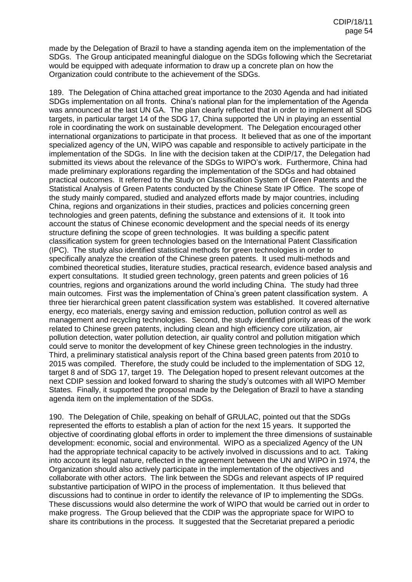made by the Delegation of Brazil to have a standing agenda item on the implementation of the SDGs. The Group anticipated meaningful dialogue on the SDGs following which the Secretariat would be equipped with adequate information to draw up a concrete plan on how the Organization could contribute to the achievement of the SDGs.

189. The Delegation of China attached great importance to the 2030 Agenda and had initiated SDGs implementation on all fronts. China's national plan for the implementation of the Agenda was announced at the last UN GA. The plan clearly reflected that in order to implement all SDG targets, in particular target 14 of the SDG 17, China supported the UN in playing an essential role in coordinating the work on sustainable development. The Delegation encouraged other international organizations to participate in that process. It believed that as one of the important specialized agency of the UN, WIPO was capable and responsible to actively participate in the implementation of the SDGs. In line with the decision taken at the CDIP/17, the Delegation had submitted its views about the relevance of the SDGs to WIPO's work. Furthermore, China had made preliminary explorations regarding the implementation of the SDGs and had obtained practical outcomes. It referred to the Study on Classification System of Green Patents and the Statistical Analysis of Green Patents conducted by the Chinese State IP Office. The scope of the study mainly compared, studied and analyzed efforts made by major countries, including China, regions and organizations in their studies, practices and policies concerning green technologies and green patents, defining the substance and extensions of it. It took into account the status of Chinese economic development and the special needs of its energy structure defining the scope of green technologies. It was building a specific patent classification system for green technologies based on the International Patent Classification (IPC). The study also identified statistical methods for green technologies in order to specifically analyze the creation of the Chinese green patents. It used multi-methods and combined theoretical studies, literature studies, practical research, evidence based analysis and expert consultations. It studied green technology, green patents and green policies of 16 countries, regions and organizations around the world including China. The study had three main outcomes. First was the implementation of China's green patent classification system. A three tier hierarchical green patent classification system was established. It covered alternative energy, eco materials, energy saving and emission reduction, pollution control as well as management and recycling technologies. Second, the study identified priority areas of the work related to Chinese green patents, including clean and high efficiency core utilization, air pollution detection, water pollution detection, air quality control and pollution mitigation which could serve to monitor the development of key Chinese green technologies in the industry. Third, a preliminary statistical analysis report of the China based green patents from 2010 to 2015 was compiled. Therefore, the study could be included to the implementation of SDG 12, target 8 and of SDG 17, target 19. The Delegation hoped to present relevant outcomes at the next CDIP session and looked forward to sharing the study's outcomes with all WIPO Member States. Finally, it supported the proposal made by the Delegation of Brazil to have a standing agenda item on the implementation of the SDGs.

190. The Delegation of Chile, speaking on behalf of GRULAC, pointed out that the SDGs represented the efforts to establish a plan of action for the next 15 years. It supported the objective of coordinating global efforts in order to implement the three dimensions of sustainable development: economic, social and environmental. WIPO as a specialized Agency of the UN had the appropriate technical capacity to be actively involved in discussions and to act. Taking into account its legal nature, reflected in the agreement between the UN and WIPO in 1974, the Organization should also actively participate in the implementation of the objectives and collaborate with other actors. The link between the SDGs and relevant aspects of IP required substantive participation of WIPO in the process of implementation. It thus believed that discussions had to continue in order to identify the relevance of IP to implementing the SDGs. These discussions would also determine the work of WIPO that would be carried out in order to make progress. The Group believed that the CDIP was the appropriate space for WIPO to share its contributions in the process. It suggested that the Secretariat prepared a periodic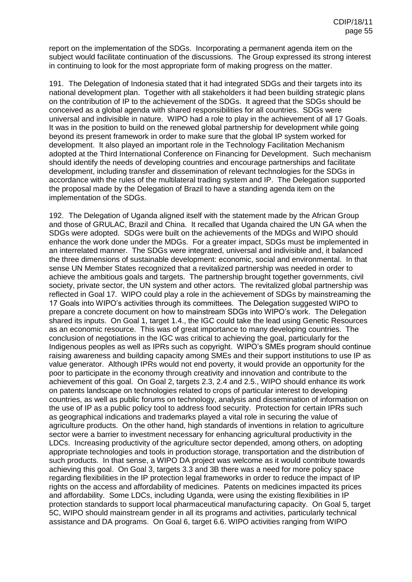report on the implementation of the SDGs. Incorporating a permanent agenda item on the subject would facilitate continuation of the discussions. The Group expressed its strong interest in continuing to look for the most appropriate form of making progress on the matter.

191. The Delegation of Indonesia stated that it had integrated SDGs and their targets into its national development plan. Together with all stakeholders it had been building strategic plans on the contribution of IP to the achievement of the SDGs. It agreed that the SDGs should be conceived as a global agenda with shared responsibilities for all countries. SDGs were universal and indivisible in nature. WIPO had a role to play in the achievement of all 17 Goals. It was in the position to build on the renewed global partnership for development while going beyond its present framework in order to make sure that the global IP system worked for development. It also played an important role in the Technology Facilitation Mechanism adopted at the Third International Conference on Financing for Development. Such mechanism should identify the needs of developing countries and encourage partnerships and facilitate development, including transfer and dissemination of relevant technologies for the SDGs in accordance with the rules of the multilateral trading system and IP. The Delegation supported the proposal made by the Delegation of Brazil to have a standing agenda item on the implementation of the SDGs.

192. The Delegation of Uganda aligned itself with the statement made by the African Group and those of GRULAC, Brazil and China. It recalled that Uganda chaired the UN GA when the SDGs were adopted. SDGs were built on the achievements of the MDGs and WIPO should enhance the work done under the MDGs. For a greater impact, SDGs must be implemented in an interrelated manner. The SDGs were integrated, universal and indivisible and, it balanced the three dimensions of sustainable development: economic, social and environmental. In that sense UN Member States recognized that a revitalized partnership was needed in order to achieve the ambitious goals and targets. The partnership brought together governments, civil society, private sector, the UN system and other actors. The revitalized global partnership was reflected in Goal 17. WIPO could play a role in the achievement of SDGs by mainstreaming the 17 Goals into WIPO's activities through its committees. The Delegation suggested WIPO to prepare a concrete document on how to mainstream SDGs into WIPO's work. The Delegation shared its inputs. On Goal 1, target 1.4., the IGC could take the lead using Genetic Resources as an economic resource. This was of great importance to many developing countries. The conclusion of negotiations in the IGC was critical to achieving the goal, particularly for the Indigenous peoples as well as IPRs such as copyright. WIPO's SMEs program should continue raising awareness and building capacity among SMEs and their support institutions to use IP as value generator. Although IPRs would not end poverty, it would provide an opportunity for the poor to participate in the economy through creativity and innovation and contribute to the achievement of this goal. On Goal 2, targets 2.3, 2.4 and 2.5., WIPO should enhance its work on patents landscape on technologies related to crops of particular interest to developing countries, as well as public forums on technology, analysis and dissemination of information on the use of IP as a public policy tool to address food security. Protection for certain IPRs such as geographical indications and trademarks played a vital role in securing the value of agriculture products. On the other hand, high standards of inventions in relation to agriculture sector were a barrier to investment necessary for enhancing agricultural productivity in the LDCs. Increasing productivity of the agriculture sector depended, among others, on adopting appropriate technologies and tools in production storage, transportation and the distribution of such products. In that sense, a WIPO DA project was welcome as it would contribute towards achieving this goal. On Goal 3, targets 3.3 and 3B there was a need for more policy space regarding flexibilities in the IP protection legal frameworks in order to reduce the impact of IP rights on the access and affordability of medicines. Patents on medicines impacted its prices and affordability. Some LDCs, including Uganda, were using the existing flexibilities in IP protection standards to support local pharmaceutical manufacturing capacity. On Goal 5, target 5C, WIPO should mainstream gender in all its programs and activities, particularly technical assistance and DA programs. On Goal 6, target 6.6. WIPO activities ranging from WIPO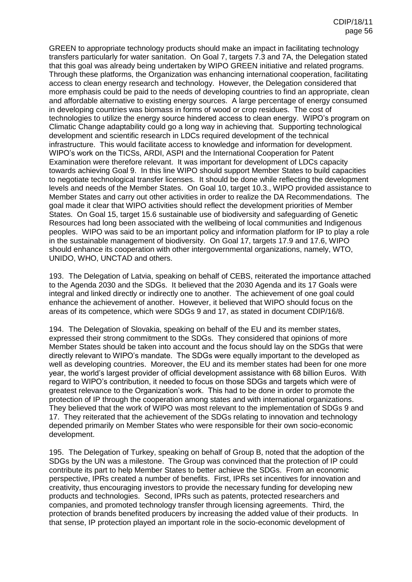GREEN to appropriate technology products should make an impact in facilitating technology transfers particularly for water sanitation. On Goal 7, targets 7.3 and 7A, the Delegation stated that this goal was already being undertaken by WIPO GREEN initiative and related programs. Through these platforms, the Organization was enhancing international cooperation, facilitating access to clean energy research and technology. However, the Delegation considered that more emphasis could be paid to the needs of developing countries to find an appropriate, clean and affordable alternative to existing energy sources. A large percentage of energy consumed in developing countries was biomass in forms of wood or crop residues. The cost of technologies to utilize the energy source hindered access to clean energy. WIPO's program on Climatic Change adaptability could go a long way in achieving that. Supporting technological development and scientific research in LDCs required development of the technical infrastructure. This would facilitate access to knowledge and information for development. WIPO's work on the TICSs, ARDI, ASPI and the International Cooperation for Patent Examination were therefore relevant. It was important for development of LDCs capacity towards achieving Goal 9. In this line WIPO should support Member States to build capacities to negotiate technological transfer licenses. It should be done while reflecting the development levels and needs of the Member States. On Goal 10, target 10.3., WIPO provided assistance to Member States and carry out other activities in order to realize the DA Recommendations. The goal made it clear that WIPO activities should reflect the development priorities of Member States. On Goal 15, target 15.6 sustainable use of biodiversity and safeguarding of Genetic Resources had long been associated with the wellbeing of local communities and Indigenous peoples. WIPO was said to be an important policy and information platform for IP to play a role in the sustainable management of biodiversity. On Goal 17, targets 17.9 and 17.6, WIPO should enhance its cooperation with other intergovernmental organizations, namely, WTO, UNIDO, WHO, UNCTAD and others.

193. The Delegation of Latvia, speaking on behalf of CEBS, reiterated the importance attached to the Agenda 2030 and the SDGs. It believed that the 2030 Agenda and its 17 Goals were integral and linked directly or indirectly one to another. The achievement of one goal could enhance the achievement of another. However, it believed that WIPO should focus on the areas of its competence, which were SDGs 9 and 17, as stated in document CDIP/16/8.

194. The Delegation of Slovakia, speaking on behalf of the EU and its member states, expressed their strong commitment to the SDGs. They considered that opinions of more Member States should be taken into account and the focus should lay on the SDGs that were directly relevant to WIPO's mandate. The SDGs were equally important to the developed as well as developing countries. Moreover, the EU and its member states had been for one more year, the world's largest provider of official development assistance with 68 billion Euros. With regard to WIPO's contribution, it needed to focus on those SDGs and targets which were of greatest relevance to the Organization's work. This had to be done in order to promote the protection of IP through the cooperation among states and with international organizations. They believed that the work of WIPO was most relevant to the implementation of SDGs 9 and 17. They reiterated that the achievement of the SDGs relating to innovation and technology depended primarily on Member States who were responsible for their own socio-economic development.

195. The Delegation of Turkey, speaking on behalf of Group B, noted that the adoption of the SDGs by the UN was a milestone. The Group was convinced that the protection of IP could contribute its part to help Member States to better achieve the SDGs. From an economic perspective, IPRs created a number of benefits. First, IPRs set incentives for innovation and creativity, thus encouraging investors to provide the necessary funding for developing new products and technologies. Second, IPRs such as patents, protected researchers and companies, and promoted technology transfer through licensing agreements. Third, the protection of brands benefited producers by increasing the added value of their products. In that sense, IP protection played an important role in the socio-economic development of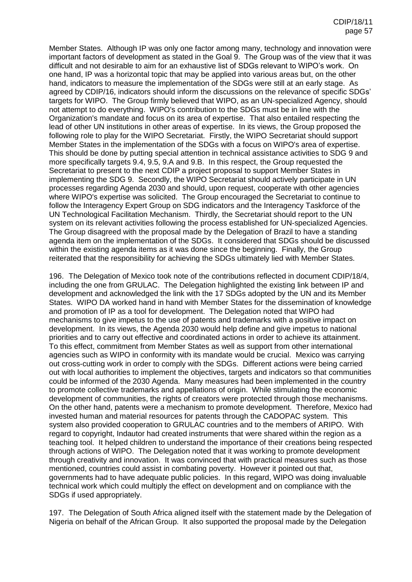Member States. Although IP was only one factor among many, technology and innovation were important factors of development as stated in the Goal 9. The Group was of the view that it was difficult and not desirable to aim for an exhaustive list of SDGs relevant to WIPO's work. On one hand, IP was a horizontal topic that may be applied into various areas but, on the other hand, indicators to measure the implementation of the SDGs were still at an early stage. As agreed by CDIP/16, indicators should inform the discussions on the relevance of specific SDGs' targets for WIPO. The Group firmly believed that WIPO, as an UN-specialized Agency, should not attempt to do everything. WIPO's contribution to the SDGs must be in line with the Organization's mandate and focus on its area of expertise. That also entailed respecting the lead of other UN institutions in other areas of expertise. In its views, the Group proposed the following role to play for the WIPO Secretariat. Firstly, the WIPO Secretariat should support Member States in the implementation of the SDGs with a focus on WIPO's area of expertise. This should be done by putting special attention in technical assistance activities to SDG 9 and more specifically targets 9.4, 9.5, 9.A and 9.B. In this respect, the Group requested the Secretariat to present to the next CDIP a project proposal to support Member States in implementing the SDG 9. Secondly, the WIPO Secretariat should actively participate in UN processes regarding Agenda 2030 and should, upon request, cooperate with other agencies where WIPO's expertise was solicited. The Group encouraged the Secretariat to continue to follow the Interagency Expert Group on SDG indicators and the Interagency Taskforce of the UN Technological Facilitation Mechanism. Thirdly, the Secretariat should report to the UN system on its relevant activities following the process established for UN-specialized Agencies. The Group disagreed with the proposal made by the Delegation of Brazil to have a standing agenda item on the implementation of the SDGs. It considered that SDGs should be discussed within the existing agenda items as it was done since the beginning. Finally, the Group reiterated that the responsibility for achieving the SDGs ultimately lied with Member States.

196. The Delegation of Mexico took note of the contributions reflected in document CDIP/18/4, including the one from GRULAC. The Delegation highlighted the existing link between IP and development and acknowledged the link with the 17 SDGs adopted by the UN and its Member States. WIPO DA worked hand in hand with Member States for the dissemination of knowledge and promotion of IP as a tool for development. The Delegation noted that WIPO had mechanisms to give impetus to the use of patents and trademarks with a positive impact on development. In its views, the Agenda 2030 would help define and give impetus to national priorities and to carry out effective and coordinated actions in order to achieve its attainment. To this effect, commitment from Member States as well as support from other international agencies such as WIPO in conformity with its mandate would be crucial. Mexico was carrying out cross-cutting work in order to comply with the SDGs. Different actions were being carried out with local authorities to implement the objectives, targets and indicators so that communities could be informed of the 2030 Agenda. Many measures had been implemented in the country to promote collective trademarks and appellations of origin. While stimulating the economic development of communities, the rights of creators were protected through those mechanisms. On the other hand, patents were a mechanism to promote development. Therefore, Mexico had invested human and material resources for patents through the CADOPAC system. This system also provided cooperation to GRULAC countries and to the members of ARIPO. With regard to copyright, Indautor had created instruments that were shared within the region as a teaching tool. It helped children to understand the importance of their creations being respected through actions of WIPO. The Delegation noted that it was working to promote development through creativity and innovation. It was convinced that with practical measures such as those mentioned, countries could assist in combating poverty. However it pointed out that, governments had to have adequate public policies. In this regard, WIPO was doing invaluable technical work which could multiply the effect on development and on compliance with the SDGs if used appropriately.

197. The Delegation of South Africa aligned itself with the statement made by the Delegation of Nigeria on behalf of the African Group. It also supported the proposal made by the Delegation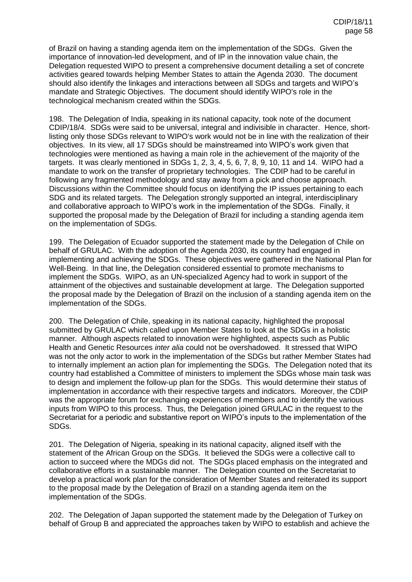of Brazil on having a standing agenda item on the implementation of the SDGs. Given the importance of innovation-led development, and of IP in the innovation value chain, the Delegation requested WIPO to present a comprehensive document detailing a set of concrete activities geared towards helping Member States to attain the Agenda 2030. The document should also identify the linkages and interactions between all SDGs and targets and WIPO's mandate and Strategic Objectives. The document should identify WIPO's role in the technological mechanism created within the SDGs.

198. The Delegation of India, speaking in its national capacity, took note of the document CDIP/18/4. SDGs were said to be universal, integral and indivisible in character. Hence, shortlisting only those SDGs relevant to WIPO's work would not be in line with the realization of their objectives. In its view, all 17 SDGs should be mainstreamed into WIPO's work given that technologies were mentioned as having a main role in the achievement of the majority of the targets. It was clearly mentioned in SDGs 1, 2, 3, 4, 5, 6, 7, 8, 9, 10, 11 and 14. WIPO had a mandate to work on the transfer of proprietary technologies. The CDIP had to be careful in following any fragmented methodology and stay away from a pick and choose approach. Discussions within the Committee should focus on identifying the IP issues pertaining to each SDG and its related targets. The Delegation strongly supported an integral, interdisciplinary and collaborative approach to WIPO's work in the implementation of the SDGs. Finally, it supported the proposal made by the Delegation of Brazil for including a standing agenda item on the implementation of SDGs.

199. The Delegation of Ecuador supported the statement made by the Delegation of Chile on behalf of GRULAC. With the adoption of the Agenda 2030, its country had engaged in implementing and achieving the SDGs. These objectives were gathered in the National Plan for Well-Being. In that line, the Delegation considered essential to promote mechanisms to implement the SDGs. WIPO, as an UN-specialized Agency had to work in support of the attainment of the objectives and sustainable development at large. The Delegation supported the proposal made by the Delegation of Brazil on the inclusion of a standing agenda item on the implementation of the SDGs.

200. The Delegation of Chile, speaking in its national capacity, highlighted the proposal submitted by GRULAC which called upon Member States to look at the SDGs in a holistic manner. Although aspects related to innovation were highlighted, aspects such as Public Health and Genetic Resources *inter alia* could not be overshadowed. It stressed that WIPO was not the only actor to work in the implementation of the SDGs but rather Member States had to internally implement an action plan for implementing the SDGs. The Delegation noted that its country had established a Committee of ministers to implement the SDGs whose main task was to design and implement the follow-up plan for the SDGs. This would determine their status of implementation in accordance with their respective targets and indicators. Moreover, the CDIP was the appropriate forum for exchanging experiences of members and to identify the various inputs from WIPO to this process. Thus, the Delegation joined GRULAC in the request to the Secretariat for a periodic and substantive report on WIPO's inputs to the implementation of the SDGs.

201. The Delegation of Nigeria, speaking in its national capacity, aligned itself with the statement of the African Group on the SDGs. It believed the SDGs were a collective call to action to succeed where the MDGs did not. The SDGs placed emphasis on the integrated and collaborative efforts in a sustainable manner. The Delegation counted on the Secretariat to develop a practical work plan for the consideration of Member States and reiterated its support to the proposal made by the Delegation of Brazil on a standing agenda item on the implementation of the SDGs.

202. The Delegation of Japan supported the statement made by the Delegation of Turkey on behalf of Group B and appreciated the approaches taken by WIPO to establish and achieve the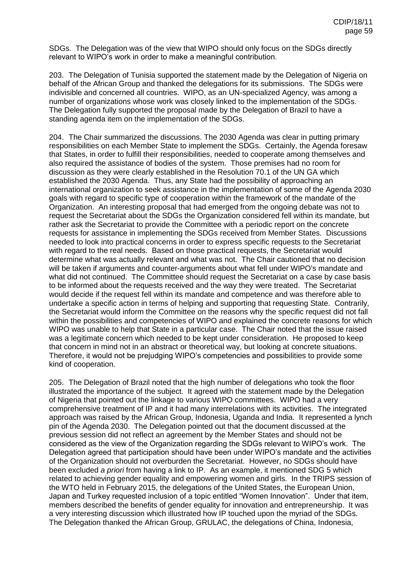SDGs. The Delegation was of the view that WIPO should only focus on the SDGs directly relevant to WIPO's work in order to make a meaningful contribution.

203. The Delegation of Tunisia supported the statement made by the Delegation of Nigeria on behalf of the African Group and thanked the delegations for its submissions. The SDGs were indivisible and concerned all countries. WIPO, as an UN-specialized Agency, was among a number of organizations whose work was closely linked to the implementation of the SDGs. The Delegation fully supported the proposal made by the Delegation of Brazil to have a standing agenda item on the implementation of the SDGs.

204. The Chair summarized the discussions. The 2030 Agenda was clear in putting primary responsibilities on each Member State to implement the SDGs. Certainly, the Agenda foresaw that States, in order to fulfill their responsibilities, needed to cooperate among themselves and also required the assistance of bodies of the system. Those premises had no room for discussion as they were clearly established in the Resolution 70.1 of the UN GA which established the 2030 Agenda. Thus, any State had the possibility of approaching an international organization to seek assistance in the implementation of some of the Agenda 2030 goals with regard to specific type of cooperation within the framework of the mandate of the Organization. An interesting proposal that had emerged from the ongoing debate was not to request the Secretariat about the SDGs the Organization considered fell within its mandate, but rather ask the Secretariat to provide the Committee with a periodic report on the concrete requests for assistance in implementing the SDGs received from Member States. Discussions needed to look into practical concerns in order to express specific requests to the Secretariat with regard to the real needs. Based on those practical requests, the Secretariat would determine what was actually relevant and what was not. The Chair cautioned that no decision will be taken if arguments and counter-arguments about what fell under WIPO's mandate and what did not continued. The Committee should request the Secretariat on a case by case basis to be informed about the requests received and the way they were treated. The Secretariat would decide if the request fell within its mandate and competence and was therefore able to undertake a specific action in terms of helping and supporting that requesting State. Contrarily, the Secretariat would inform the Committee on the reasons why the specific request did not fall within the possibilities and competencies of WIPO and explained the concrete reasons for which WIPO was unable to help that State in a particular case. The Chair noted that the issue raised was a legitimate concern which needed to be kept under consideration. He proposed to keep that concern in mind not in an abstract or theoretical way, but looking at concrete situations. Therefore, it would not be prejudging WIPO's competencies and possibilities to provide some kind of cooperation.

205. The Delegation of Brazil noted that the high number of delegations who took the floor illustrated the importance of the subject. It agreed with the statement made by the Delegation of Nigeria that pointed out the linkage to various WIPO committees. WIPO had a very comprehensive treatment of IP and it had many interrelations with its activities. The integrated approach was raised by the African Group, Indonesia, Uganda and India. It represented a lynch pin of the Agenda 2030. The Delegation pointed out that the document discussed at the previous session did not reflect an agreement by the Member States and should not be considered as the view of the Organization regarding the SDGs relevant to WIPO's work. The Delegation agreed that participation should have been under WIPO's mandate and the activities of the Organization should not overburden the Secretariat. However, no SDGs should have been excluded *a priori* from having a link to IP. As an example, it mentioned SDG 5 which related to achieving gender equality and empowering women and girls. In the TRIPS session of the WTO held in February 2015, the delegations of the United States, the European Union, Japan and Turkey requested inclusion of a topic entitled "Women Innovation". Under that item, members described the benefits of gender equality for innovation and entrepreneurship. It was a very interesting discussion which illustrated how IP touched upon the myriad of the SDGs. The Delegation thanked the African Group, GRULAC, the delegations of China, Indonesia,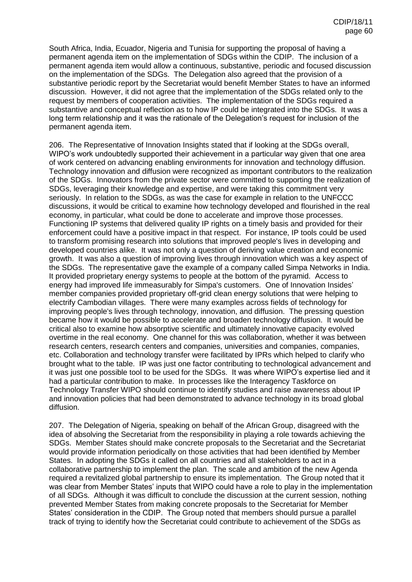South Africa, India, Ecuador, Nigeria and Tunisia for supporting the proposal of having a permanent agenda item on the implementation of SDGs within the CDIP. The inclusion of a permanent agenda item would allow a continuous, substantive, periodic and focused discussion on the implementation of the SDGs. The Delegation also agreed that the provision of a substantive periodic report by the Secretariat would benefit Member States to have an informed discussion. However, it did not agree that the implementation of the SDGs related only to the request by members of cooperation activities. The implementation of the SDGs required a substantive and conceptual reflection as to how IP could be integrated into the SDGs. It was a long term relationship and it was the rationale of the Delegation's request for inclusion of the permanent agenda item.

206. The Representative of Innovation Insights stated that if looking at the SDGs overall, WIPO's work undoubtedly supported their achievement in a particular way given that one area of work centered on advancing enabling environments for innovation and technology diffusion. Technology innovation and diffusion were recognized as important contributors to the realization of the SDGs. Innovators from the private sector were committed to supporting the realization of SDGs, leveraging their knowledge and expertise, and were taking this commitment very seriously. In relation to the SDGs, as was the case for example in relation to the UNFCCC discussions, it would be critical to examine how technology developed and flourished in the real economy, in particular, what could be done to accelerate and improve those processes. Functioning IP systems that delivered quality IP rights on a timely basis and provided for their enforcement could have a positive impact in that respect. For instance, IP tools could be used to transform promising research into solutions that improved people's lives in developing and developed countries alike. It was not only a question of deriving value creation and economic growth. It was also a question of improving lives through innovation which was a key aspect of the SDGs. The representative gave the example of a company called Simpa Networks in India. It provided proprietary energy systems to people at the bottom of the pyramid. Access to energy had improved life immeasurably for Simpa's customers. One of Innovation Insides' member companies provided proprietary off-grid clean energy solutions that were helping to electrify Cambodian villages. There were many examples across fields of technology for improving people's lives through technology, innovation, and diffusion. The pressing question became how it would be possible to accelerate and broaden technology diffusion. It would be critical also to examine how absorptive scientific and ultimately innovative capacity evolved overtime in the real economy. One channel for this was collaboration, whether it was between research centers, research centers and companies, universities and companies, companies, etc. Collaboration and technology transfer were facilitated by IPRs which helped to clarify who brought what to the table. IP was just one factor contributing to technological advancement and it was just one possible tool to be used for the SDGs. It was where WIPO's expertise lied and it had a particular contribution to make. In processes like the Interagency Taskforce on Technology Transfer WIPO should continue to identify studies and raise awareness about IP and innovation policies that had been demonstrated to advance technology in its broad global diffusion.

207. The Delegation of Nigeria, speaking on behalf of the African Group, disagreed with the idea of absolving the Secretariat from the responsibility in playing a role towards achieving the SDGs. Member States should make concrete proposals to the Secretariat and the Secretariat would provide information periodically on those activities that had been identified by Member States. In adopting the SDGs it called on all countries and all stakeholders to act in a collaborative partnership to implement the plan. The scale and ambition of the new Agenda required a revitalized global partnership to ensure its implementation. The Group noted that it was clear from Member States' inputs that WIPO could have a role to play in the implementation of all SDGs. Although it was difficult to conclude the discussion at the current session, nothing prevented Member States from making concrete proposals to the Secretariat for Member States' consideration in the CDIP. The Group noted that members should pursue a parallel track of trying to identify how the Secretariat could contribute to achievement of the SDGs as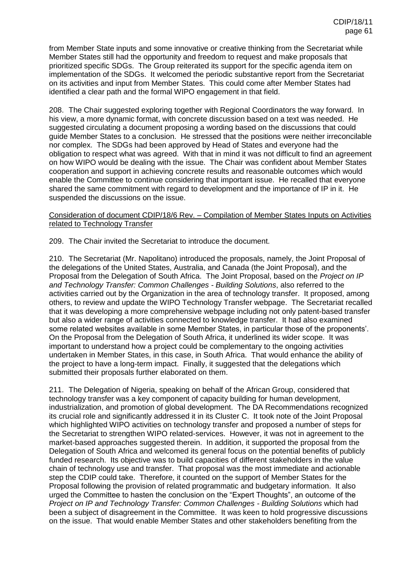from Member State inputs and some innovative or creative thinking from the Secretariat while Member States still had the opportunity and freedom to request and make proposals that prioritized specific SDGs. The Group reiterated its support for the specific agenda item on implementation of the SDGs. It welcomed the periodic substantive report from the Secretariat on its activities and input from Member States. This could come after Member States had identified a clear path and the formal WIPO engagement in that field.

208. The Chair suggested exploring together with Regional Coordinators the way forward. In his view, a more dynamic format, with concrete discussion based on a text was needed. He suggested circulating a document proposing a wording based on the discussions that could guide Member States to a conclusion. He stressed that the positions were neither irreconcilable nor complex. The SDGs had been approved by Head of States and everyone had the obligation to respect what was agreed. With that in mind it was not difficult to find an agreement on how WIPO would be dealing with the issue. The Chair was confident about Member States cooperation and support in achieving concrete results and reasonable outcomes which would enable the Committee to continue considering that important issue. He recalled that everyone shared the same commitment with regard to development and the importance of IP in it. He suspended the discussions on the issue.

# Consideration of document CDIP/18/6 Rev. – Compilation of Member States Inputs on Activities related to Technology Transfer

209. The Chair invited the Secretariat to introduce the document.

210. The Secretariat (Mr. Napolitano) introduced the proposals, namely, the Joint Proposal of the delegations of the United States, Australia, and Canada (the Joint Proposal), and the Proposal from the Delegation of South Africa. The Joint Proposal, based on the *Project on IP and Technology Transfer: Common Challenges - Building Solutions*, also referred to the activities carried out by the Organization in the area of technology transfer. It proposed, among others, to review and update the WIPO Technology Transfer webpage. The Secretariat recalled that it was developing a more comprehensive webpage including not only patent-based transfer but also a wider range of activities connected to knowledge transfer. It had also examined some related websites available in some Member States, in particular those of the proponents'. On the Proposal from the Delegation of South Africa, it underlined its wider scope. It was important to understand how a project could be complementary to the ongoing activities undertaken in Member States, in this case, in South Africa. That would enhance the ability of the project to have a long-term impact. Finally, it suggested that the delegations which submitted their proposals further elaborated on them.

211. The Delegation of Nigeria, speaking on behalf of the African Group, considered that technology transfer was a key component of capacity building for human development, industrialization, and promotion of global development. The DA Recommendations recognized its crucial role and significantly addressed it in its Cluster C. It took note of the Joint Proposal which highlighted WIPO activities on technology transfer and proposed a number of steps for the Secretariat to strengthen WIPO related-services. However, it was not in agreement to the market-based approaches suggested therein. In addition, it supported the proposal from the Delegation of South Africa and welcomed its general focus on the potential benefits of publicly funded research. Its objective was to build capacities of different stakeholders in the value chain of technology use and transfer. That proposal was the most immediate and actionable step the CDIP could take. Therefore, it counted on the support of Member States for the Proposal following the provision of related programmatic and budgetary information. It also urged the Committee to hasten the conclusion on the "Expert Thoughts", an outcome of the *Project on IP and Technology Transfer: Common Challenges - Building Solutions* which had been a subject of disagreement in the Committee. It was keen to hold progressive discussions on the issue. That would enable Member States and other stakeholders benefiting from the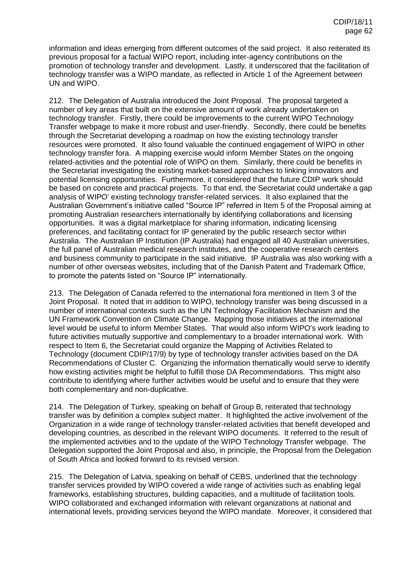information and ideas emerging from different outcomes of the said project. It also reiterated its previous proposal for a factual WIPO report, including inter-agency contributions on the promotion of technology transfer and development. Lastly, it underscored that the facilitation of technology transfer was a WIPO mandate, as reflected in Article 1 of the Agreement between UN and WIPO.

212. The Delegation of Australia introduced the Joint Proposal. The proposal targeted a number of key areas that built on the extensive amount of work already undertaken on technology transfer. Firstly, there could be improvements to the current WIPO Technology Transfer webpage to make it more robust and user-friendly. Secondly, there could be benefits through the Secretariat developing a roadmap on how the existing technology transfer resources were promoted. It also found valuable the continued engagement of WIPO in other technology transfer fora. A mapping exercise would inform Member States on the ongoing related-activities and the potential role of WIPO on them. Similarly, there could be benefits in the Secretariat investigating the existing market-based approaches to linking innovators and potential licensing opportunities. Furthermore, it considered that the future CDIP work should be based on concrete and practical projects. To that end, the Secretariat could undertake a gap analysis of WIPO' existing technology transfer-related services. It also explained that the Australian Government's initiative called "Source IP" referred in Item 5 of the Proposal aiming at promoting Australian researchers internationally by identifying collaborations and licensing opportunities. It was a digital marketplace for sharing information, indicating licensing preferences, and facilitating contact for IP generated by the public research sector within Australia. The Australian IP Institution (IP Australia) had engaged all 40 Australian universities, the full panel of Australian medical research institutes, and the cooperative research centers and business community to participate in the said initiative. IP Australia was also working with a number of other overseas websites, including that of the Danish Patent and Trademark Office, to promote the patents listed on "Source IP" internationally.

213. The Delegation of Canada referred to the international fora mentioned in Item 3 of the Joint Proposal. It noted that in addition to WIPO, technology transfer was being discussed in a number of international contexts such as the UN Technology Facilitation Mechanism and the UN Framework Convention on Climate Change. Mapping those initiatives at the international level would be useful to inform Member States. That would also inform WIPO's work leading to future activities mutually supportive and complementary to a broader international work. With respect to Item 6, the Secretariat could organize the Mapping of Activities Related to Technology (document CDIP/17/9) by type of technology transfer activities based on the DA Recommendations of Cluster C. Organizing the information thematically would serve to identify how existing activities might be helpful to fulfill those DA Recommendations. This might also contribute to identifying where further activities would be useful and to ensure that they were both complementary and non-duplicative.

214. The Delegation of Turkey, speaking on behalf of Group B, reiterated that technology transfer was by definition a complex subject matter. It highlighted the active involvement of the Organization in a wide range of technology transfer-related activities that benefit developed and developing countries, as described in the relevant WIPO documents. It referred to the result of the implemented activities and to the update of the WIPO Technology Transfer webpage. The Delegation supported the Joint Proposal and also, in principle, the Proposal from the Delegation of South Africa and looked forward to its revised version.

215. The Delegation of Latvia, speaking on behalf of CEBS, underlined that the technology transfer services provided by WIPO covered a wide range of activities such as enabling legal frameworks, establishing structures, building capacities, and a multitude of facilitation tools. WIPO collaborated and exchanged information with relevant organizations at national and international levels, providing services beyond the WIPO mandate. Moreover, it considered that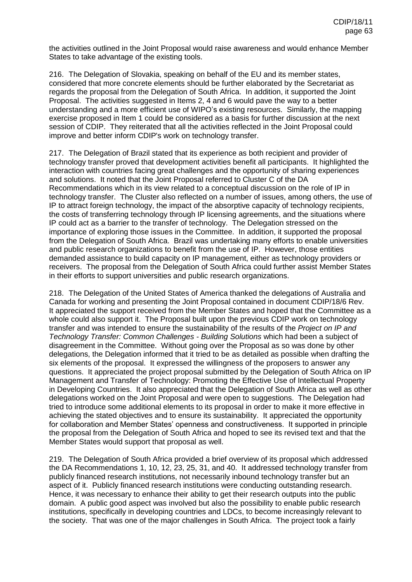the activities outlined in the Joint Proposal would raise awareness and would enhance Member States to take advantage of the existing tools.

216. The Delegation of Slovakia, speaking on behalf of the EU and its member states, considered that more concrete elements should be further elaborated by the Secretariat as regards the proposal from the Delegation of South Africa. In addition, it supported the Joint Proposal. The activities suggested in Items 2, 4 and 6 would pave the way to a better understanding and a more efficient use of WIPO's existing resources. Similarly, the mapping exercise proposed in Item 1 could be considered as a basis for further discussion at the next session of CDIP. They reiterated that all the activities reflected in the Joint Proposal could improve and better inform CDIP's work on technology transfer.

217. The Delegation of Brazil stated that its experience as both recipient and provider of technology transfer proved that development activities benefit all participants. It highlighted the interaction with countries facing great challenges and the opportunity of sharing experiences and solutions. It noted that the Joint Proposal referred to Cluster C of the DA Recommendations which in its view related to a conceptual discussion on the role of IP in technology transfer. The Cluster also reflected on a number of issues, among others, the use of IP to attract foreign technology, the impact of the absorptive capacity of technology recipients, the costs of transferring technology through IP licensing agreements, and the situations where IP could act as a barrier to the transfer of technology. The Delegation stressed on the importance of exploring those issues in the Committee. In addition, it supported the proposal from the Delegation of South Africa. Brazil was undertaking many efforts to enable universities and public research organizations to benefit from the use of IP. However, those entities demanded assistance to build capacity on IP management, either as technology providers or receivers. The proposal from the Delegation of South Africa could further assist Member States in their efforts to support universities and public research organizations.

218. The Delegation of the United States of America thanked the delegations of Australia and Canada for working and presenting the Joint Proposal contained in document CDIP/18/6 Rev. It appreciated the support received from the Member States and hoped that the Committee as a whole could also support it. The Proposal built upon the previous CDIP work on technology transfer and was intended to ensure the sustainability of the results of the *Project on IP and Technology Transfer: Common Challenges - Building Solutions* which had been a subject of disagreement in the Committee. Without going over the Proposal as so was done by other delegations, the Delegation informed that it tried to be as detailed as possible when drafting the six elements of the proposal. It expressed the willingness of the proposers to answer any questions. It appreciated the project proposal submitted by the Delegation of South Africa on IP Management and Transfer of Technology: Promoting the Effective Use of Intellectual Property in Developing Countries. It also appreciated that the Delegation of South Africa as well as other delegations worked on the Joint Proposal and were open to suggestions. The Delegation had tried to introduce some additional elements to its proposal in order to make it more effective in achieving the stated objectives and to ensure its sustainability. It appreciated the opportunity for collaboration and Member States' openness and constructiveness. It supported in principle the proposal from the Delegation of South Africa and hoped to see its revised text and that the Member States would support that proposal as well.

219. The Delegation of South Africa provided a brief overview of its proposal which addressed the DA Recommendations 1, 10, 12, 23, 25, 31, and 40. It addressed technology transfer from publicly financed research institutions, not necessarily inbound technology transfer but an aspect of it. Publicly financed research institutions were conducting outstanding research. Hence, it was necessary to enhance their ability to get their research outputs into the public domain. A public good aspect was involved but also the possibility to enable public research institutions, specifically in developing countries and LDCs, to become increasingly relevant to the society. That was one of the major challenges in South Africa. The project took a fairly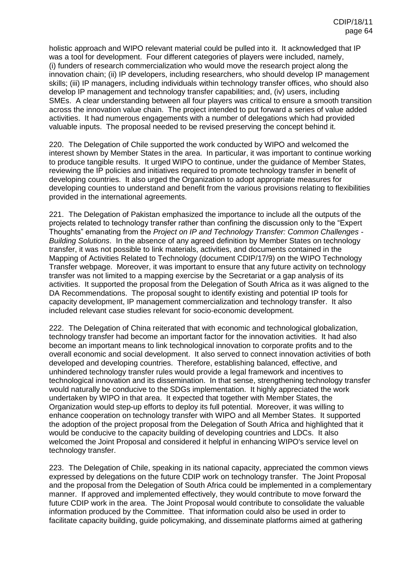holistic approach and WIPO relevant material could be pulled into it. It acknowledged that IP was a tool for development. Four different categories of players were included, namely, (i) funders of research commercialization who would move the research project along the innovation chain; (ii) IP developers, including researchers, who should develop IP management skills; (iii) IP managers, including individuals within technology transfer offices, who should also develop IP management and technology transfer capabilities; and, (iv) users, including SMEs. A clear understanding between all four players was critical to ensure a smooth transition across the innovation value chain. The project intended to put forward a series of value added activities. It had numerous engagements with a number of delegations which had provided valuable inputs. The proposal needed to be revised preserving the concept behind it.

220. The Delegation of Chile supported the work conducted by WIPO and welcomed the interest shown by Member States in the area. In particular, it was important to continue working to produce tangible results. It urged WIPO to continue, under the guidance of Member States, reviewing the IP policies and initiatives required to promote technology transfer in benefit of developing countries. It also urged the Organization to adopt appropriate measures for developing counties to understand and benefit from the various provisions relating to flexibilities provided in the international agreements.

221. The Delegation of Pakistan emphasized the importance to include all the outputs of the projects related to technology transfer rather than confining the discussion only to the "Expert Thoughts" emanating from the *Project on IP and Technology Transfer: Common Challenges - Building Solutions*. In the absence of any agreed definition by Member States on technology transfer, it was not possible to link materials, activities, and documents contained in the Mapping of Activities Related to Technology (document CDIP/17/9) on the WIPO Technology Transfer webpage. Moreover, it was important to ensure that any future activity on technology transfer was not limited to a mapping exercise by the Secretariat or a gap analysis of its activities. It supported the proposal from the Delegation of South Africa as it was aligned to the DA Recommendations. The proposal sought to identify existing and potential IP tools for capacity development, IP management commercialization and technology transfer. It also included relevant case studies relevant for socio-economic development.

222. The Delegation of China reiterated that with economic and technological globalization, technology transfer had become an important factor for the innovation activities. It had also become an important means to link technological innovation to corporate profits and to the overall economic and social development. It also served to connect innovation activities of both developed and developing countries. Therefore, establishing balanced, effective, and unhindered technology transfer rules would provide a legal framework and incentives to technological innovation and its dissemination. In that sense, strengthening technology transfer would naturally be conducive to the SDGs implementation. It highly appreciated the work undertaken by WIPO in that area. It expected that together with Member States, the Organization would step-up efforts to deploy its full potential. Moreover, it was willing to enhance cooperation on technology transfer with WIPO and all Member States. It supported the adoption of the project proposal from the Delegation of South Africa and highlighted that it would be conducive to the capacity building of developing countries and LDCs. It also welcomed the Joint Proposal and considered it helpful in enhancing WIPO's service level on technology transfer.

223. The Delegation of Chile, speaking in its national capacity, appreciated the common views expressed by delegations on the future CDIP work on technology transfer. The Joint Proposal and the proposal from the Delegation of South Africa could be implemented in a complementary manner. If approved and implemented effectively, they would contribute to move forward the future CDIP work in the area. The Joint Proposal would contribute to consolidate the valuable information produced by the Committee. That information could also be used in order to facilitate capacity building, guide policymaking, and disseminate platforms aimed at gathering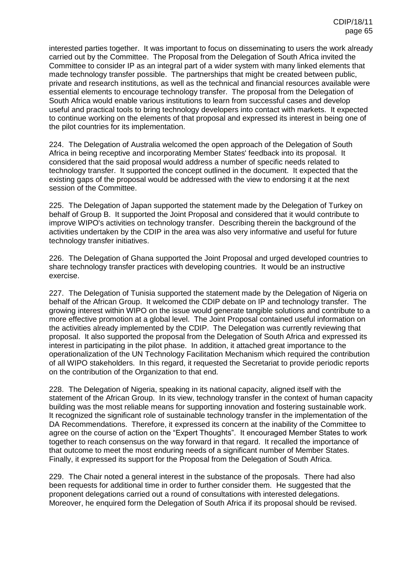interested parties together. It was important to focus on disseminating to users the work already carried out by the Committee. The Proposal from the Delegation of South Africa invited the Committee to consider IP as an integral part of a wider system with many linked elements that made technology transfer possible. The partnerships that might be created between public, private and research institutions, as well as the technical and financial resources available were essential elements to encourage technology transfer. The proposal from the Delegation of South Africa would enable various institutions to learn from successful cases and develop useful and practical tools to bring technology developers into contact with markets. It expected to continue working on the elements of that proposal and expressed its interest in being one of the pilot countries for its implementation.

224. The Delegation of Australia welcomed the open approach of the Delegation of South Africa in being receptive and incorporating Member States' feedback into its proposal. It considered that the said proposal would address a number of specific needs related to technology transfer. It supported the concept outlined in the document. It expected that the existing gaps of the proposal would be addressed with the view to endorsing it at the next session of the Committee.

225. The Delegation of Japan supported the statement made by the Delegation of Turkey on behalf of Group B. It supported the Joint Proposal and considered that it would contribute to improve WIPO's activities on technology transfer. Describing therein the background of the activities undertaken by the CDIP in the area was also very informative and useful for future technology transfer initiatives.

226. The Delegation of Ghana supported the Joint Proposal and urged developed countries to share technology transfer practices with developing countries. It would be an instructive exercise.

227. The Delegation of Tunisia supported the statement made by the Delegation of Nigeria on behalf of the African Group. It welcomed the CDIP debate on IP and technology transfer. The growing interest within WIPO on the issue would generate tangible solutions and contribute to a more effective promotion at a global level. The Joint Proposal contained useful information on the activities already implemented by the CDIP. The Delegation was currently reviewing that proposal. It also supported the proposal from the Delegation of South Africa and expressed its interest in participating in the pilot phase. In addition, it attached great importance to the operationalization of the UN Technology Facilitation Mechanism which required the contribution of all WIPO stakeholders. In this regard, it requested the Secretariat to provide periodic reports on the contribution of the Organization to that end.

228. The Delegation of Nigeria, speaking in its national capacity, aligned itself with the statement of the African Group. In its view, technology transfer in the context of human capacity building was the most reliable means for supporting innovation and fostering sustainable work. It recognized the significant role of sustainable technology transfer in the implementation of the DA Recommendations. Therefore, it expressed its concern at the inability of the Committee to agree on the course of action on the "Expert Thoughts". It encouraged Member States to work together to reach consensus on the way forward in that regard. It recalled the importance of that outcome to meet the most enduring needs of a significant number of Member States. Finally, it expressed its support for the Proposal from the Delegation of South Africa.

229. The Chair noted a general interest in the substance of the proposals. There had also been requests for additional time in order to further consider them. He suggested that the proponent delegations carried out a round of consultations with interested delegations. Moreover, he enquired form the Delegation of South Africa if its proposal should be revised.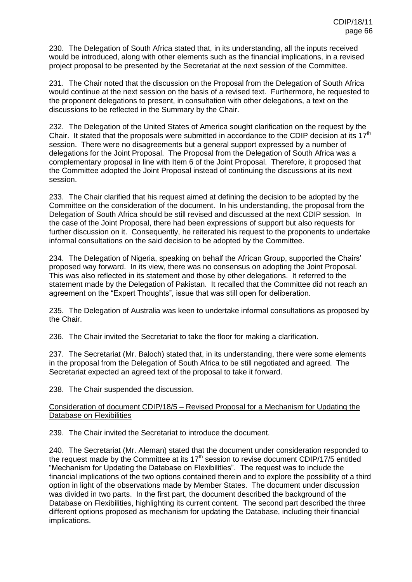230. The Delegation of South Africa stated that, in its understanding, all the inputs received would be introduced, along with other elements such as the financial implications, in a revised project proposal to be presented by the Secretariat at the next session of the Committee.

231. The Chair noted that the discussion on the Proposal from the Delegation of South Africa would continue at the next session on the basis of a revised text. Furthermore, he requested to the proponent delegations to present, in consultation with other delegations, a text on the discussions to be reflected in the Summary by the Chair.

232. The Delegation of the United States of America sought clarification on the request by the Chair. It stated that the proposals were submitted in accordance to the CDIP decision at its  $17<sup>th</sup>$ session. There were no disagreements but a general support expressed by a number of delegations for the Joint Proposal. The Proposal from the Delegation of South Africa was a complementary proposal in line with Item 6 of the Joint Proposal. Therefore, it proposed that the Committee adopted the Joint Proposal instead of continuing the discussions at its next session.

233. The Chair clarified that his request aimed at defining the decision to be adopted by the Committee on the consideration of the document. In his understanding, the proposal from the Delegation of South Africa should be still revised and discussed at the next CDIP session. In the case of the Joint Proposal, there had been expressions of support but also requests for further discussion on it. Consequently, he reiterated his request to the proponents to undertake informal consultations on the said decision to be adopted by the Committee.

234. The Delegation of Nigeria, speaking on behalf the African Group, supported the Chairs' proposed way forward. In its view, there was no consensus on adopting the Joint Proposal. This was also reflected in its statement and those by other delegations. It referred to the statement made by the Delegation of Pakistan. It recalled that the Committee did not reach an agreement on the "Expert Thoughts", issue that was still open for deliberation.

235. The Delegation of Australia was keen to undertake informal consultations as proposed by the Chair.

236. The Chair invited the Secretariat to take the floor for making a clarification.

237. The Secretariat (Mr. Baloch) stated that, in its understanding, there were some elements in the proposal from the Delegation of South Africa to be still negotiated and agreed. The Secretariat expected an agreed text of the proposal to take it forward.

238. The Chair suspended the discussion.

## Consideration of document CDIP/18/5 – Revised Proposal for a Mechanism for Updating the Database on Flexibilities

239. The Chair invited the Secretariat to introduce the document.

240. The Secretariat (Mr. Aleman) stated that the document under consideration responded to the request made by the Committee at its  $17<sup>th</sup>$  session to revise document CDIP/17/5 entitled "Mechanism for Updating the Database on Flexibilities". The request was to include the financial implications of the two options contained therein and to explore the possibility of a third option in light of the observations made by Member States. The document under discussion was divided in two parts. In the first part, the document described the background of the Database on Flexibilities, highlighting its current content. The second part described the three different options proposed as mechanism for updating the Database, including their financial implications.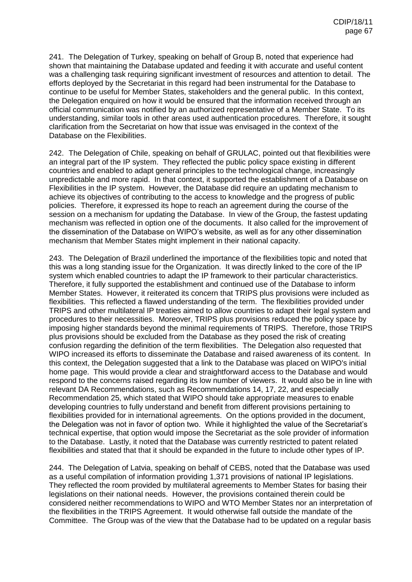241. The Delegation of Turkey, speaking on behalf of Group B, noted that experience had shown that maintaining the Database updated and feeding it with accurate and useful content was a challenging task requiring significant investment of resources and attention to detail. The efforts deployed by the Secretariat in this regard had been instrumental for the Database to continue to be useful for Member States, stakeholders and the general public. In this context, the Delegation enquired on how it would be ensured that the information received through an official communication was notified by an authorized representative of a Member State. To its understanding, similar tools in other areas used authentication procedures. Therefore, it sought clarification from the Secretariat on how that issue was envisaged in the context of the Database on the Flexibilities.

242. The Delegation of Chile, speaking on behalf of GRULAC, pointed out that flexibilities were an integral part of the IP system. They reflected the public policy space existing in different countries and enabled to adapt general principles to the technological change, increasingly unpredictable and more rapid. In that context, it supported the establishment of a Database on Flexibilities in the IP system. However, the Database did require an updating mechanism to achieve its objectives of contributing to the access to knowledge and the progress of public policies. Therefore, it expressed its hope to reach an agreement during the course of the session on a mechanism for updating the Database. In view of the Group, the fastest updating mechanism was reflected in option one of the documents. It also called for the improvement of the dissemination of the Database on WIPO's website, as well as for any other dissemination mechanism that Member States might implement in their national capacity.

243. The Delegation of Brazil underlined the importance of the flexibilities topic and noted that this was a long standing issue for the Organization. It was directly linked to the core of the IP system which enabled countries to adapt the IP framework to their particular characteristics. Therefore, it fully supported the establishment and continued use of the Database to inform Member States. However, it reiterated its concern that TRIPS plus provisions were included as flexibilities. This reflected a flawed understanding of the term. The flexibilities provided under TRIPS and other multilateral IP treaties aimed to allow countries to adapt their legal system and procedures to their necessities. Moreover, TRIPS plus provisions reduced the policy space by imposing higher standards beyond the minimal requirements of TRIPS. Therefore, those TRIPS plus provisions should be excluded from the Database as they posed the risk of creating confusion regarding the definition of the term flexibilities. The Delegation also requested that WIPO increased its efforts to disseminate the Database and raised awareness of its content. In this context, the Delegation suggested that a link to the Database was placed on WIPO's initial home page. This would provide a clear and straightforward access to the Database and would respond to the concerns raised regarding its low number of viewers. It would also be in line with relevant DA Recommendations, such as Recommendations 14, 17, 22, and especially Recommendation 25, which stated that WIPO should take appropriate measures to enable developing countries to fully understand and benefit from different provisions pertaining to flexibilities provided for in international agreements. On the options provided in the document, the Delegation was not in favor of option two. While it highlighted the value of the Secretariat's technical expertise, that option would impose the Secretariat as the sole provider of information to the Database. Lastly, it noted that the Database was currently restricted to patent related flexibilities and stated that that it should be expanded in the future to include other types of IP.

244. The Delegation of Latvia, speaking on behalf of CEBS, noted that the Database was used as a useful compilation of information providing 1,371 provisions of national IP legislations. They reflected the room provided by multilateral agreements to Member States for basing their legislations on their national needs. However, the provisions contained therein could be considered neither recommendations to WIPO and WTO Member States nor an interpretation of the flexibilities in the TRIPS Agreement. It would otherwise fall outside the mandate of the Committee. The Group was of the view that the Database had to be updated on a regular basis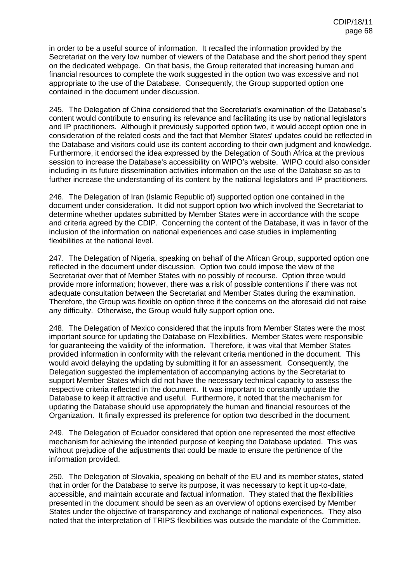in order to be a useful source of information. It recalled the information provided by the Secretariat on the very low number of viewers of the Database and the short period they spent on the dedicated webpage. On that basis, the Group reiterated that increasing human and financial resources to complete the work suggested in the option two was excessive and not appropriate to the use of the Database. Consequently, the Group supported option one contained in the document under discussion.

245. The Delegation of China considered that the Secretariat's examination of the Database's content would contribute to ensuring its relevance and facilitating its use by national legislators and IP practitioners. Although it previously supported option two, it would accept option one in consideration of the related costs and the fact that Member States' updates could be reflected in the Database and visitors could use its content according to their own judgment and knowledge. Furthermore, it endorsed the idea expressed by the Delegation of South Africa at the previous session to increase the Database's accessibility on WIPO's website. WIPO could also consider including in its future dissemination activities information on the use of the Database so as to further increase the understanding of its content by the national legislators and IP practitioners.

246. The Delegation of Iran (Islamic Republic of) supported option one contained in the document under consideration. It did not support option two which involved the Secretariat to determine whether updates submitted by Member States were in accordance with the scope and criteria agreed by the CDIP. Concerning the content of the Database, it was in favor of the inclusion of the information on national experiences and case studies in implementing flexibilities at the national level.

247. The Delegation of Nigeria, speaking on behalf of the African Group, supported option one reflected in the document under discussion. Option two could impose the view of the Secretariat over that of Member States with no possibly of recourse. Option three would provide more information; however, there was a risk of possible contentions if there was not adequate consultation between the Secretariat and Member States during the examination. Therefore, the Group was flexible on option three if the concerns on the aforesaid did not raise any difficulty. Otherwise, the Group would fully support option one.

248. The Delegation of Mexico considered that the inputs from Member States were the most important source for updating the Database on Flexibilities. Member States were responsible for guaranteeing the validity of the information. Therefore, it was vital that Member States provided information in conformity with the relevant criteria mentioned in the document. This would avoid delaying the updating by submitting it for an assessment. Consequently, the Delegation suggested the implementation of accompanying actions by the Secretariat to support Member States which did not have the necessary technical capacity to assess the respective criteria reflected in the document. It was important to constantly update the Database to keep it attractive and useful. Furthermore, it noted that the mechanism for updating the Database should use appropriately the human and financial resources of the Organization. It finally expressed its preference for option two described in the document.

249. The Delegation of Ecuador considered that option one represented the most effective mechanism for achieving the intended purpose of keeping the Database updated. This was without prejudice of the adjustments that could be made to ensure the pertinence of the information provided.

250. The Delegation of Slovakia, speaking on behalf of the EU and its member states, stated that in order for the Database to serve its purpose, it was necessary to kept it up-to-date, accessible, and maintain accurate and factual information. They stated that the flexibilities presented in the document should be seen as an overview of options exercised by Member States under the objective of transparency and exchange of national experiences. They also noted that the interpretation of TRIPS flexibilities was outside the mandate of the Committee.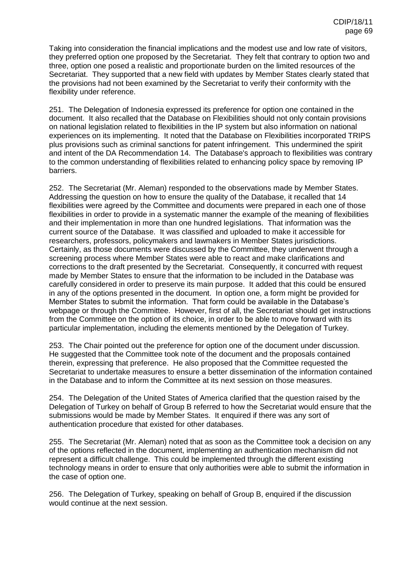Taking into consideration the financial implications and the modest use and low rate of visitors, they preferred option one proposed by the Secretariat. They felt that contrary to option two and three, option one posed a realistic and proportionate burden on the limited resources of the Secretariat. They supported that a new field with updates by Member States clearly stated that the provisions had not been examined by the Secretariat to verify their conformity with the flexibility under reference.

251. The Delegation of Indonesia expressed its preference for option one contained in the document. It also recalled that the Database on Flexibilities should not only contain provisions on national legislation related to flexibilities in the IP system but also information on national experiences on its implementing. It noted that the Database on Flexibilities incorporated TRIPS plus provisions such as criminal sanctions for patent infringement. This undermined the spirit and intent of the DA Recommendation 14. The Database's approach to flexibilities was contrary to the common understanding of flexibilities related to enhancing policy space by removing IP barriers.

252. The Secretariat (Mr. Aleman) responded to the observations made by Member States. Addressing the question on how to ensure the quality of the Database, it recalled that 14 flexibilities were agreed by the Committee and documents were prepared in each one of those flexibilities in order to provide in a systematic manner the example of the meaning of flexibilities and their implementation in more than one hundred legislations. That information was the current source of the Database. It was classified and uploaded to make it accessible for researchers, professors, policymakers and lawmakers in Member States jurisdictions. Certainly, as those documents were discussed by the Committee, they underwent through a screening process where Member States were able to react and make clarifications and corrections to the draft presented by the Secretariat. Consequently, it concurred with request made by Member States to ensure that the information to be included in the Database was carefully considered in order to preserve its main purpose. It added that this could be ensured in any of the options presented in the document. In option one, a form might be provided for Member States to submit the information. That form could be available in the Database's webpage or through the Committee. However, first of all, the Secretariat should get instructions from the Committee on the option of its choice, in order to be able to move forward with its particular implementation, including the elements mentioned by the Delegation of Turkey.

253. The Chair pointed out the preference for option one of the document under discussion. He suggested that the Committee took note of the document and the proposals contained therein, expressing that preference. He also proposed that the Committee requested the Secretariat to undertake measures to ensure a better dissemination of the information contained in the Database and to inform the Committee at its next session on those measures.

254. The Delegation of the United States of America clarified that the question raised by the Delegation of Turkey on behalf of Group B referred to how the Secretariat would ensure that the submissions would be made by Member States. It enquired if there was any sort of authentication procedure that existed for other databases.

255. The Secretariat (Mr. Aleman) noted that as soon as the Committee took a decision on any of the options reflected in the document, implementing an authentication mechanism did not represent a difficult challenge. This could be implemented through the different existing technology means in order to ensure that only authorities were able to submit the information in the case of option one.

256. The Delegation of Turkey, speaking on behalf of Group B, enquired if the discussion would continue at the next session.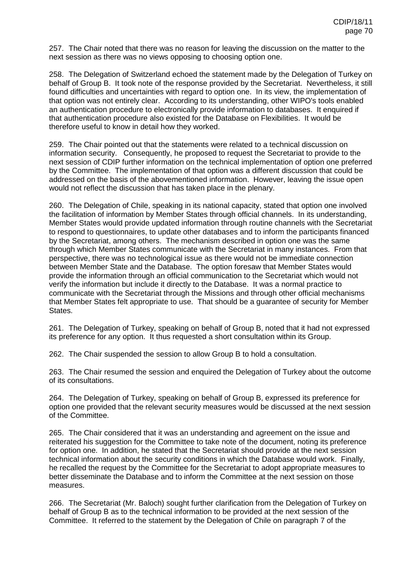257. The Chair noted that there was no reason for leaving the discussion on the matter to the next session as there was no views opposing to choosing option one.

258. The Delegation of Switzerland echoed the statement made by the Delegation of Turkey on behalf of Group B. It took note of the response provided by the Secretariat. Nevertheless, it still found difficulties and uncertainties with regard to option one. In its view, the implementation of that option was not entirely clear. According to its understanding, other WIPO's tools enabled an authentication procedure to electronically provide information to databases. It enquired if that authentication procedure also existed for the Database on Flexibilities. It would be therefore useful to know in detail how they worked.

259. The Chair pointed out that the statements were related to a technical discussion on information security. Consequently, he proposed to request the Secretariat to provide to the next session of CDIP further information on the technical implementation of option one preferred by the Committee. The implementation of that option was a different discussion that could be addressed on the basis of the abovementioned information. However, leaving the issue open would not reflect the discussion that has taken place in the plenary.

260. The Delegation of Chile, speaking in its national capacity, stated that option one involved the facilitation of information by Member States through official channels. In its understanding, Member States would provide updated information through routine channels with the Secretariat to respond to questionnaires, to update other databases and to inform the participants financed by the Secretariat, among others. The mechanism described in option one was the same through which Member States communicate with the Secretariat in many instances. From that perspective, there was no technological issue as there would not be immediate connection between Member State and the Database. The option foresaw that Member States would provide the information through an official communication to the Secretariat which would not verify the information but include it directly to the Database. It was a normal practice to communicate with the Secretariat through the Missions and through other official mechanisms that Member States felt appropriate to use. That should be a guarantee of security for Member States.

261. The Delegation of Turkey, speaking on behalf of Group B, noted that it had not expressed its preference for any option. It thus requested a short consultation within its Group.

262. The Chair suspended the session to allow Group B to hold a consultation.

263. The Chair resumed the session and enquired the Delegation of Turkey about the outcome of its consultations.

264. The Delegation of Turkey, speaking on behalf of Group B, expressed its preference for option one provided that the relevant security measures would be discussed at the next session of the Committee.

265. The Chair considered that it was an understanding and agreement on the issue and reiterated his suggestion for the Committee to take note of the document, noting its preference for option one. In addition, he stated that the Secretariat should provide at the next session technical information about the security conditions in which the Database would work. Finally, he recalled the request by the Committee for the Secretariat to adopt appropriate measures to better disseminate the Database and to inform the Committee at the next session on those measures.

266. The Secretariat (Mr. Baloch) sought further clarification from the Delegation of Turkey on behalf of Group B as to the technical information to be provided at the next session of the Committee. It referred to the statement by the Delegation of Chile on paragraph 7 of the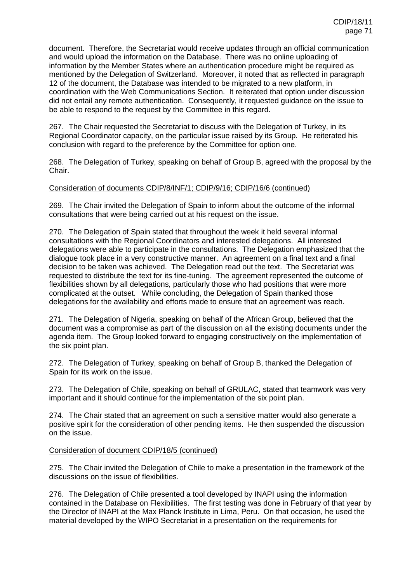document. Therefore, the Secretariat would receive updates through an official communication and would upload the information on the Database. There was no online uploading of information by the Member States where an authentication procedure might be required as mentioned by the Delegation of Switzerland. Moreover, it noted that as reflected in paragraph 12 of the document, the Database was intended to be migrated to a new platform, in coordination with the Web Communications Section. It reiterated that option under discussion did not entail any remote authentication. Consequently, it requested guidance on the issue to be able to respond to the request by the Committee in this regard.

267. The Chair requested the Secretariat to discuss with the Delegation of Turkey, in its Regional Coordinator capacity, on the particular issue raised by its Group. He reiterated his conclusion with regard to the preference by the Committee for option one.

268. The Delegation of Turkey, speaking on behalf of Group B, agreed with the proposal by the Chair.

### Consideration of documents CDIP/8/INF/1; CDIP/9/16; CDIP/16/6 (continued)

269. The Chair invited the Delegation of Spain to inform about the outcome of the informal consultations that were being carried out at his request on the issue.

270. The Delegation of Spain stated that throughout the week it held several informal consultations with the Regional Coordinators and interested delegations. All interested delegations were able to participate in the consultations. The Delegation emphasized that the dialogue took place in a very constructive manner. An agreement on a final text and a final decision to be taken was achieved. The Delegation read out the text. The Secretariat was requested to distribute the text for its fine-tuning. The agreement represented the outcome of flexibilities shown by all delegations, particularly those who had positions that were more complicated at the outset. While concluding, the Delegation of Spain thanked those delegations for the availability and efforts made to ensure that an agreement was reach.

271. The Delegation of Nigeria, speaking on behalf of the African Group, believed that the document was a compromise as part of the discussion on all the existing documents under the agenda item. The Group looked forward to engaging constructively on the implementation of the six point plan.

272. The Delegation of Turkey, speaking on behalf of Group B, thanked the Delegation of Spain for its work on the issue.

273. The Delegation of Chile, speaking on behalf of GRULAC, stated that teamwork was very important and it should continue for the implementation of the six point plan.

274. The Chair stated that an agreement on such a sensitive matter would also generate a positive spirit for the consideration of other pending items. He then suspended the discussion on the issue.

#### Consideration of document CDIP/18/5 (continued)

275. The Chair invited the Delegation of Chile to make a presentation in the framework of the discussions on the issue of flexibilities.

276. The Delegation of Chile presented a tool developed by INAPI using the information contained in the Database on Flexibilities. The first testing was done in February of that year by the Director of INAPI at the Max Planck Institute in Lima, Peru. On that occasion, he used the material developed by the WIPO Secretariat in a presentation on the requirements for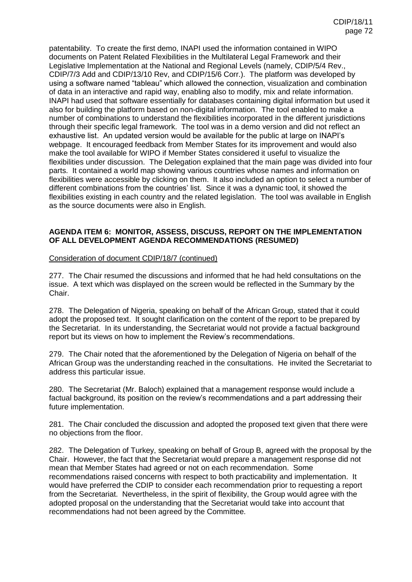patentability. To create the first demo, INAPI used the information contained in WIPO documents on Patent Related Flexibilities in the Multilateral Legal Framework and their Legislative Implementation at the National and Regional Levels (namely, CDIP/5/4 Rev., CDIP/7/3 Add and CDIP/13/10 Rev, and CDIP/15/6 Corr.). The platform was developed by using a software named "tableau" which allowed the connection, visualization and combination of data in an interactive and rapid way, enabling also to modify, mix and relate information. INAPI had used that software essentially for databases containing digital information but used it also for building the platform based on non-digital information. The tool enabled to make a number of combinations to understand the flexibilities incorporated in the different jurisdictions through their specific legal framework. The tool was in a demo version and did not reflect an exhaustive list. An updated version would be available for the public at large on INAPI's webpage. It encouraged feedback from Member States for its improvement and would also make the tool available for WIPO if Member States considered it useful to visualize the flexibilities under discussion. The Delegation explained that the main page was divided into four parts. It contained a world map showing various countries whose names and information on flexibilities were accessible by clicking on them. It also included an option to select a number of different combinations from the countries' list. Since it was a dynamic tool, it showed the flexibilities existing in each country and the related legislation. The tool was available in English as the source documents were also in English.

### **AGENDA ITEM 6: MONITOR, ASSESS, DISCUSS, REPORT ON THE IMPLEMENTATION OF ALL DEVELOPMENT AGENDA RECOMMENDATIONS (RESUMED)**

#### Consideration of document CDIP/18/7 (continued)

277. The Chair resumed the discussions and informed that he had held consultations on the issue. A text which was displayed on the screen would be reflected in the Summary by the Chair.

278. The Delegation of Nigeria, speaking on behalf of the African Group, stated that it could adopt the proposed text. It sought clarification on the content of the report to be prepared by the Secretariat. In its understanding, the Secretariat would not provide a factual background report but its views on how to implement the Review's recommendations.

279. The Chair noted that the aforementioned by the Delegation of Nigeria on behalf of the African Group was the understanding reached in the consultations. He invited the Secretariat to address this particular issue.

280. The Secretariat (Mr. Baloch) explained that a management response would include a factual background, its position on the review's recommendations and a part addressing their future implementation.

281. The Chair concluded the discussion and adopted the proposed text given that there were no objections from the floor.

282. The Delegation of Turkey, speaking on behalf of Group B, agreed with the proposal by the Chair. However, the fact that the Secretariat would prepare a management response did not mean that Member States had agreed or not on each recommendation. Some recommendations raised concerns with respect to both practicability and implementation. It would have preferred the CDIP to consider each recommendation prior to requesting a report from the Secretariat. Nevertheless, in the spirit of flexibility, the Group would agree with the adopted proposal on the understanding that the Secretariat would take into account that recommendations had not been agreed by the Committee.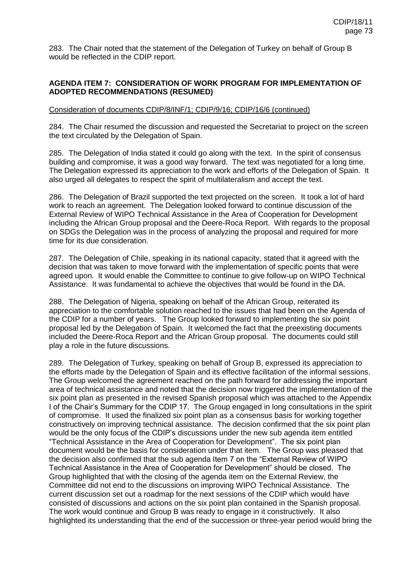283. The Chair noted that the statement of the Delegation of Turkey on behalf of Group B would be reflected in the CDIP report.

### **AGENDA ITEM 7: CONSIDERATION OF WORK PROGRAM FOR IMPLEMENTATION OF ADOPTED RECOMMENDATIONS (RESUMED)**

#### Consideration of documents CDIP/8/INF/1; CDIP/9/16; CDIP/16/6 (continued)

284. The Chair resumed the discussion and requested the Secretariat to project on the screen the text circulated by the Delegation of Spain.

285. The Delegation of India stated it could go along with the text. In the spirit of consensus building and compromise, it was a good way forward. The text was negotiated for a long time. The Delegation expressed its appreciation to the work and efforts of the Delegation of Spain. It also urged all delegates to respect the spirit of multilateralism and accept the text.

286. The Delegation of Brazil supported the text projected on the screen. It took a lot of hard work to reach an agreement. The Delegation looked forward to continue discussion of the External Review of WIPO Technical Assistance in the Area of Cooperation for Development including the African Group proposal and the Deere-Roca Report. With regards to the proposal on SDGs the Delegation was in the process of analyzing the proposal and required for more time for its due consideration.

287. The Delegation of Chile, speaking in its national capacity, stated that it agreed with the decision that was taken to move forward with the implementation of specific points that were agreed upon. It would enable the Committee to continue to give follow-up on WIPO Technical Assistance. It was fundamental to achieve the objectives that would be found in the DA.

288. The Delegation of Nigeria, speaking on behalf of the African Group, reiterated its appreciation to the comfortable solution reached to the issues that had been on the Agenda of the CDIP for a number of years. The Group looked forward to implementing the six point proposal led by the Delegation of Spain. It welcomed the fact that the preexisting documents included the Deere-Roca Report and the African Group proposal. The documents could still play a role in the future discussions.

289. The Delegation of Turkey, speaking on behalf of Group B, expressed its appreciation to the efforts made by the Delegation of Spain and its effective facilitation of the informal sessions. The Group welcomed the agreement reached on the path forward for addressing the important area of technical assistance and noted that the decision now triggered the implementation of the six point plan as presented in the revised Spanish proposal which was attached to the Appendix I of the Chair's Summary for the CDIP 17. The Group engaged in long consultations in the spirit of compromise. It used the finalized six point plan as a consensus basis for working together constructively on improving technical assistance. The decision confirmed that the six point plan would be the only focus of the CDIP's discussions under the new sub agenda item entitled "Technical Assistance in the Area of Cooperation for Development". The six point plan document would be the basis for consideration under that item. The Group was pleased that the decision also confirmed that the sub agenda Item 7 on the "External Review of WIPO Technical Assistance in the Area of Cooperation for Development" should be closed. The Group highlighted that with the closing of the agenda item on the External Review, the Committee did not end to the discussions on improving WIPO Technical Assistance. The current discussion set out a roadmap for the next sessions of the CDIP which would have consisted of discussions and actions on the six point plan contained in the Spanish proposal. The work would continue and Group B was ready to engage in it constructively. It also highlighted its understanding that the end of the succession or three-year period would bring the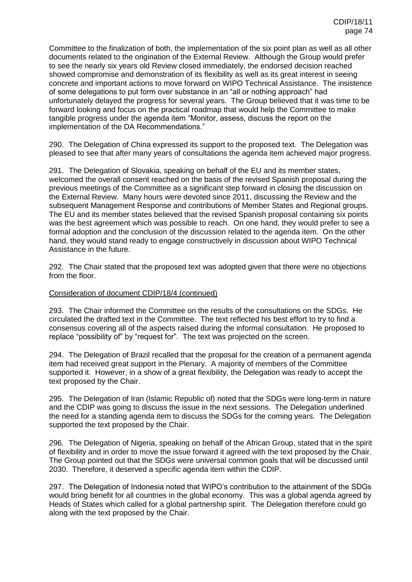Committee to the finalization of both, the implementation of the six point plan as well as all other documents related to the origination of the External Review. Although the Group would prefer to see the nearly six years old Review closed immediately, the endorsed decision reached showed compromise and demonstration of its flexibility as well as its great interest in seeing concrete and important actions to move forward on WIPO Technical Assistance. The insistence of some delegations to put form over substance in an "all or nothing approach" had unfortunately delayed the progress for several years. The Group believed that it was time to be forward looking and focus on the practical roadmap that would help the Committee to make tangible progress under the agenda item "Monitor, assess, discuss the report on the implementation of the DA Recommendations."

290. The Delegation of China expressed its support to the proposed text. The Delegation was pleased to see that after many years of consultations the agenda item achieved major progress.

291. The Delegation of Slovakia, speaking on behalf of the EU and its member states, welcomed the overall consent reached on the basis of the revised Spanish proposal during the previous meetings of the Committee as a significant step forward in closing the discussion on the External Review. Many hours were devoted since 2011, discussing the Review and the subsequent Management Response and contributions of Member States and Regional groups. The EU and its member states believed that the revised Spanish proposal containing six points was the best agreement which was possible to reach. On one hand, they would prefer to see a formal adoption and the conclusion of the discussion related to the agenda item. On the other hand, they would stand ready to engage constructively in discussion about WIPO Technical Assistance in the future.

292. The Chair stated that the proposed text was adopted given that there were no objections from the floor.

#### Consideration of document CDIP/18/4 (continued)

293. The Chair informed the Committee on the results of the consultations on the SDGs. He circulated the drafted text in the Committee. The text reflected his best effort to try to find a consensus covering all of the aspects raised during the informal consultation. He proposed to replace "possibility of" by "request for". The text was projected on the screen.

294. The Delegation of Brazil recalled that the proposal for the creation of a permanent agenda item had received great support in the Plenary. A majority of members of the Committee supported it. However, in a show of a great flexibility, the Delegation was ready to accept the text proposed by the Chair.

295. The Delegation of Iran (Islamic Republic of) noted that the SDGs were long-term in nature and the CDIP was going to discuss the issue in the next sessions. The Delegation underlined the need for a standing agenda item to discuss the SDGs for the coming years. The Delegation supported the text proposed by the Chair.

296. The Delegation of Nigeria, speaking on behalf of the African Group, stated that in the spirit of flexibility and in order to move the issue forward it agreed with the text proposed by the Chair. The Group pointed out that the SDGs were universal common goals that will be discussed until 2030. Therefore, it deserved a specific agenda item within the CDIP.

297. The Delegation of Indonesia noted that WIPO's contribution to the attainment of the SDGs would bring benefit for all countries in the global economy. This was a global agenda agreed by Heads of States which called for a global partnership spirit. The Delegation therefore could go along with the text proposed by the Chair.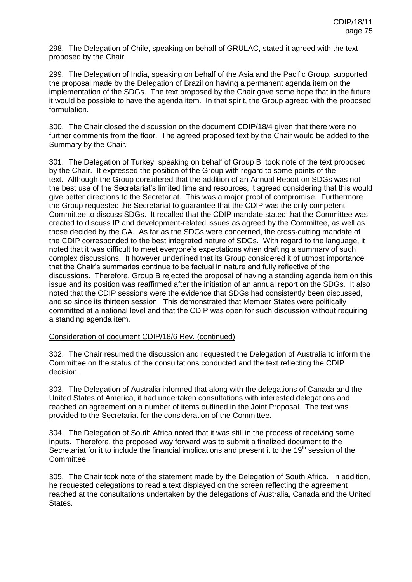298. The Delegation of Chile, speaking on behalf of GRULAC, stated it agreed with the text proposed by the Chair.

299. The Delegation of India, speaking on behalf of the Asia and the Pacific Group, supported the proposal made by the Delegation of Brazil on having a permanent agenda item on the implementation of the SDGs. The text proposed by the Chair gave some hope that in the future it would be possible to have the agenda item. In that spirit, the Group agreed with the proposed formulation.

300. The Chair closed the discussion on the document CDIP/18/4 given that there were no further comments from the floor. The agreed proposed text by the Chair would be added to the Summary by the Chair.

301. The Delegation of Turkey, speaking on behalf of Group B, took note of the text proposed by the Chair. It expressed the position of the Group with regard to some points of the text. Although the Group considered that the addition of an Annual Report on SDGs was not the best use of the Secretariat's limited time and resources, it agreed considering that this would give better directions to the Secretariat. This was a major proof of compromise. Furthermore the Group requested the Secretariat to guarantee that the CDIP was the only competent Committee to discuss SDGs. It recalled that the CDIP mandate stated that the Committee was created to discuss IP and development-related issues as agreed by the Committee, as well as those decided by the GA. As far as the SDGs were concerned, the cross-cutting mandate of the CDIP corresponded to the best integrated nature of SDGs. With regard to the language, it noted that it was difficult to meet everyone's expectations when drafting a summary of such complex discussions. It however underlined that its Group considered it of utmost importance that the Chair's summaries continue to be factual in nature and fully reflective of the discussions. Therefore, Group B rejected the proposal of having a standing agenda item on this issue and its position was reaffirmed after the initiation of an annual report on the SDGs. It also noted that the CDIP sessions were the evidence that SDGs had consistently been discussed, and so since its thirteen session. This demonstrated that Member States were politically committed at a national level and that the CDIP was open for such discussion without requiring a standing agenda item.

### Consideration of document CDIP/18/6 Rev. (continued)

302. The Chair resumed the discussion and requested the Delegation of Australia to inform the Committee on the status of the consultations conducted and the text reflecting the CDIP decision.

303. The Delegation of Australia informed that along with the delegations of Canada and the United States of America, it had undertaken consultations with interested delegations and reached an agreement on a number of items outlined in the Joint Proposal. The text was provided to the Secretariat for the consideration of the Committee.

304. The Delegation of South Africa noted that it was still in the process of receiving some inputs. Therefore, the proposed way forward was to submit a finalized document to the Secretariat for it to include the financial implications and present it to the 19<sup>th</sup> session of the Committee.

305. The Chair took note of the statement made by the Delegation of South Africa. In addition, he requested delegations to read a text displayed on the screen reflecting the agreement reached at the consultations undertaken by the delegations of Australia, Canada and the United States.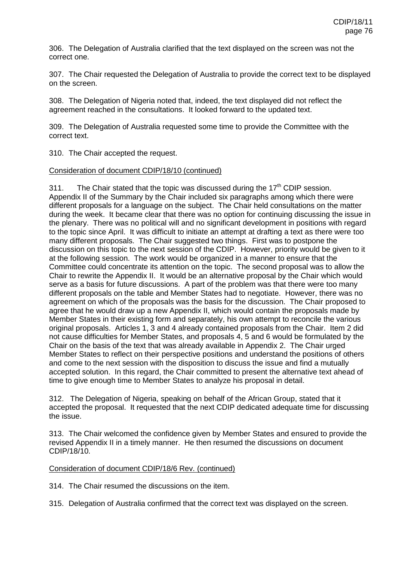306. The Delegation of Australia clarified that the text displayed on the screen was not the correct one.

307. The Chair requested the Delegation of Australia to provide the correct text to be displayed on the screen.

308. The Delegation of Nigeria noted that, indeed, the text displayed did not reflect the agreement reached in the consultations. It looked forward to the updated text.

309. The Delegation of Australia requested some time to provide the Committee with the correct text.

310. The Chair accepted the request.

### Consideration of document CDIP/18/10 (continued)

311. The Chair stated that the topic was discussed during the  $17<sup>th</sup>$  CDIP session. Appendix II of the Summary by the Chair included six paragraphs among which there were different proposals for a language on the subject. The Chair held consultations on the matter during the week. It became clear that there was no option for continuing discussing the issue in the plenary. There was no political will and no significant development in positions with regard to the topic since April. It was difficult to initiate an attempt at drafting a text as there were too many different proposals. The Chair suggested two things. First was to postpone the discussion on this topic to the next session of the CDIP. However, priority would be given to it at the following session. The work would be organized in a manner to ensure that the Committee could concentrate its attention on the topic. The second proposal was to allow the Chair to rewrite the Appendix II. It would be an alternative proposal by the Chair which would serve as a basis for future discussions. A part of the problem was that there were too many different proposals on the table and Member States had to negotiate. However, there was no agreement on which of the proposals was the basis for the discussion. The Chair proposed to agree that he would draw up a new Appendix II, which would contain the proposals made by Member States in their existing form and separately, his own attempt to reconcile the various original proposals. Articles 1, 3 and 4 already contained proposals from the Chair. Item 2 did not cause difficulties for Member States, and proposals 4, 5 and 6 would be formulated by the Chair on the basis of the text that was already available in Appendix 2. The Chair urged Member States to reflect on their perspective positions and understand the positions of others and come to the next session with the disposition to discuss the issue and find a mutually accepted solution. In this regard, the Chair committed to present the alternative text ahead of time to give enough time to Member States to analyze his proposal in detail.

312. The Delegation of Nigeria, speaking on behalf of the African Group, stated that it accepted the proposal. It requested that the next CDIP dedicated adequate time for discussing the issue.

313. The Chair welcomed the confidence given by Member States and ensured to provide the revised Appendix II in a timely manner. He then resumed the discussions on document CDIP/18/10.

#### Consideration of document CDIP/18/6 Rev. (continued)

314. The Chair resumed the discussions on the item.

315. Delegation of Australia confirmed that the correct text was displayed on the screen.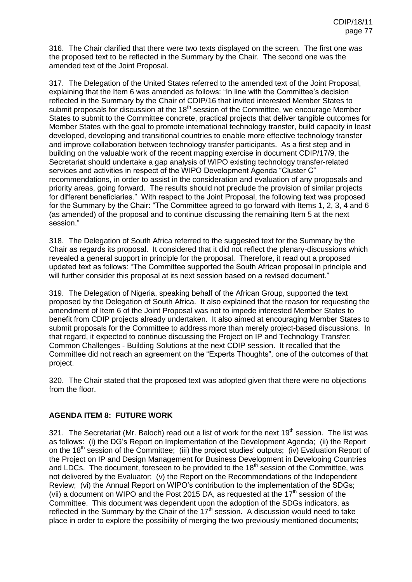316. The Chair clarified that there were two texts displayed on the screen. The first one was the proposed text to be reflected in the Summary by the Chair. The second one was the amended text of the Joint Proposal.

317. The Delegation of the United States referred to the amended text of the Joint Proposal, explaining that the Item 6 was amended as follows: "In line with the Committee's decision reflected in the Summary by the Chair of CDIP/16 that invited interested Member States to submit proposals for discussion at the  $18<sup>th</sup>$  session of the Committee, we encourage Member States to submit to the Committee concrete, practical projects that deliver tangible outcomes for Member States with the goal to promote international technology transfer, build capacity in least developed, developing and transitional countries to enable more effective technology transfer and improve collaboration between technology transfer participants. As a first step and in building on the valuable work of the recent mapping exercise in document CDIP/17/9, the Secretariat should undertake a gap analysis of WIPO existing technology transfer-related services and activities in respect of the WIPO Development Agenda "Cluster C" recommendations, in order to assist in the consideration and evaluation of any proposals and priority areas, going forward. The results should not preclude the provision of similar projects for different beneficiaries." With respect to the Joint Proposal, the following text was proposed for the Summary by the Chair: "The Committee agreed to go forward with Items 1, 2, 3, 4 and 6 (as amended) of the proposal and to continue discussing the remaining Item 5 at the next session."

318. The Delegation of South Africa referred to the suggested text for the Summary by the Chair as regards its proposal. It considered that it did not reflect the plenary-discussions which revealed a general support in principle for the proposal. Therefore, it read out a proposed updated text as follows: "The Committee supported the South African proposal in principle and will further consider this proposal at its next session based on a revised document."

319. The Delegation of Nigeria, speaking behalf of the African Group, supported the text proposed by the Delegation of South Africa. It also explained that the reason for requesting the amendment of Item 6 of the Joint Proposal was not to impede interested Member States to benefit from CDIP projects already undertaken. It also aimed at encouraging Member States to submit proposals for the Committee to address more than merely project-based discussions. In that regard, it expected to continue discussing the Project on IP and Technology Transfer: Common Challenges - Building Solutions at the next CDIP session. It recalled that the Committee did not reach an agreement on the "Experts Thoughts", one of the outcomes of that project.

320. The Chair stated that the proposed text was adopted given that there were no objections from the floor.

## **AGENDA ITEM 8: FUTURE WORK**

321. The Secretariat (Mr. Baloch) read out a list of work for the next  $19<sup>th</sup>$  session. The list was as follows: (i) the DG's Report on Implementation of the Development Agenda; (ii) the Report on the 18<sup>th</sup> session of the Committee; (iii) the project studies' outputs; (iv) Evaluation Report of the Project on IP and Design Management for Business Development in Developing Countries and LDCs. The document, foreseen to be provided to the  $18<sup>th</sup>$  session of the Committee, was not delivered by the Evaluator; (v) the Report on the Recommendations of the Independent Review; (vi) the Annual Report on WIPO's contribution to the implementation of the SDGs; (vii) a document on WIPO and the Post 2015 DA, as requested at the  $17<sup>th</sup>$  session of the Committee. This document was dependent upon the adoption of the SDGs indicators, as reflected in the Summary by the Chair of the  $17<sup>th</sup>$  session. A discussion would need to take place in order to explore the possibility of merging the two previously mentioned documents;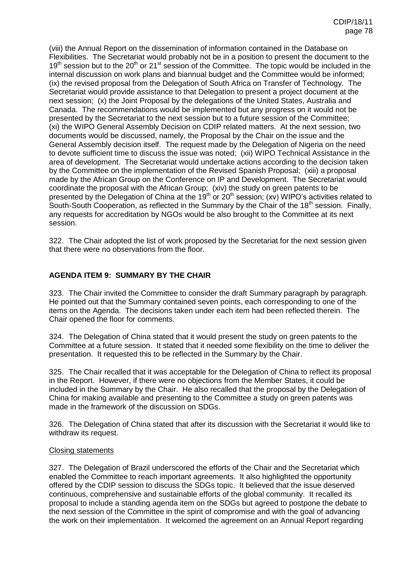(viii) the Annual Report on the dissemination of information contained in the Database on Flexibilities. The Secretariat would probably not be in a position to present the document to the  $19<sup>th</sup>$  session but to the  $20<sup>th</sup>$  or  $21<sup>st</sup>$  session of the Committee. The topic would be included in the internal discussion on work plans and biannual budget and the Committee would be informed; (ix) the revised proposal from the Delegation of South Africa on Transfer of Technology. The Secretariat would provide assistance to that Delegation to present a project document at the next session; (x) the Joint Proposal by the delegations of the United States, Australia and Canada. The recommendations would be implemented but any progress on it would not be presented by the Secretariat to the next session but to a future session of the Committee; (xi) the WIPO General Assembly Decision on CDIP related matters. At the next session, two documents would be discussed, namely, the Proposal by the Chair on the issue and the General Assembly decision itself. The request made by the Delegation of Nigeria on the need to devote sufficient time to discuss the issue was noted; (xii) WIPO Technical Assistance in the area of development. The Secretariat would undertake actions according to the decision taken by the Committee on the implementation of the Revised Spanish Proposal; (xiii) a proposal made by the African Group on the Conference on IP and Development. The Secretariat would coordinate the proposal with the African Group; (xiv) the study on green patents to be presented by the Delegation of China at the 19<sup>th</sup> or 20<sup>th</sup> session; (xv) WIPO's activities related to South-South Cooperation, as reflected in the Summary by the Chair of the  $18<sup>th</sup>$  session. Finally, any requests for accreditation by NGOs would be also brought to the Committee at its next session.

322. The Chair adopted the list of work proposed by the Secretariat for the next session given that there were no observations from the floor.

## **AGENDA ITEM 9: SUMMARY BY THE CHAIR**

323. The Chair invited the Committee to consider the draft Summary paragraph by paragraph. He pointed out that the Summary contained seven points, each corresponding to one of the items on the Agenda. The decisions taken under each item had been reflected therein. The Chair opened the floor for comments.

324. The Delegation of China stated that it would present the study on green patents to the Committee at a future session. It stated that it needed some flexibility on the time to deliver the presentation. It requested this to be reflected in the Summary by the Chair.

325. The Chair recalled that it was acceptable for the Delegation of China to reflect its proposal in the Report. However, if there were no objections from the Member States, it could be included in the Summary by the Chair. He also recalled that the proposal by the Delegation of China for making available and presenting to the Committee a study on green patents was made in the framework of the discussion on SDGs.

326. The Delegation of China stated that after its discussion with the Secretariat it would like to withdraw its request.

#### Closing statements

327. The Delegation of Brazil underscored the efforts of the Chair and the Secretariat which enabled the Committee to reach important agreements. It also highlighted the opportunity offered by the CDIP session to discuss the SDGs topic. It believed that the issue deserved continuous, comprehensive and sustainable efforts of the global community. It recalled its proposal to include a standing agenda item on the SDGs but agreed to postpone the debate to the next session of the Committee in the spirit of compromise and with the goal of advancing the work on their implementation. It welcomed the agreement on an Annual Report regarding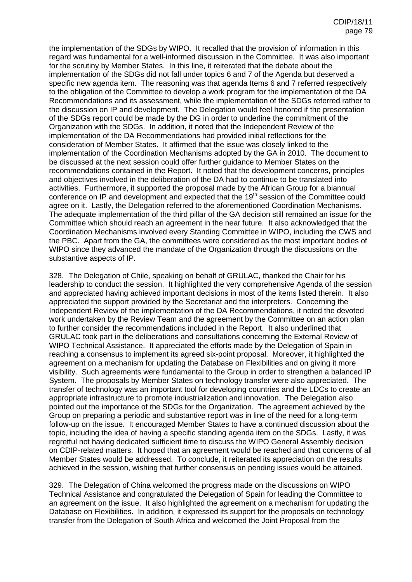the implementation of the SDGs by WIPO. It recalled that the provision of information in this regard was fundamental for a well-informed discussion in the Committee. It was also important for the scrutiny by Member States. In this line, it reiterated that the debate about the implementation of the SDGs did not fall under topics 6 and 7 of the Agenda but deserved a specific new agenda item. The reasoning was that agenda Items 6 and 7 referred respectively to the obligation of the Committee to develop a work program for the implementation of the DA Recommendations and its assessment, while the implementation of the SDGs referred rather to the discussion on IP and development. The Delegation would feel honored if the presentation of the SDGs report could be made by the DG in order to underline the commitment of the Organization with the SDGs. In addition, it noted that the Independent Review of the implementation of the DA Recommendations had provided initial reflections for the consideration of Member States. It affirmed that the issue was closely linked to the implementation of the Coordination Mechanisms adopted by the GA in 2010. The document to be discussed at the next session could offer further guidance to Member States on the recommendations contained in the Report. It noted that the development concerns, principles and objectives involved in the deliberation of the DA had to continue to be translated into activities. Furthermore, it supported the proposal made by the African Group for a biannual conference on IP and development and expected that the 19<sup>th</sup> session of the Committee could agree on it. Lastly, the Delegation referred to the aforementioned Coordination Mechanisms. The adequate implementation of the third pillar of the GA decision still remained an issue for the Committee which should reach an agreement in the near future. It also acknowledged that the Coordination Mechanisms involved every Standing Committee in WIPO, including the CWS and the PBC. Apart from the GA, the committees were considered as the most important bodies of WIPO since they advanced the mandate of the Organization through the discussions on the substantive aspects of IP.

328. The Delegation of Chile, speaking on behalf of GRULAC, thanked the Chair for his leadership to conduct the session. It highlighted the very comprehensive Agenda of the session and appreciated having achieved important decisions in most of the items listed therein. It also appreciated the support provided by the Secretariat and the interpreters. Concerning the Independent Review of the implementation of the DA Recommendations, it noted the devoted work undertaken by the Review Team and the agreement by the Committee on an action plan to further consider the recommendations included in the Report. It also underlined that GRULAC took part in the deliberations and consultations concerning the External Review of WIPO Technical Assistance. It appreciated the efforts made by the Delegation of Spain in reaching a consensus to implement its agreed six-point proposal. Moreover, it highlighted the agreement on a mechanism for updating the Database on Flexibilities and on giving it more visibility. Such agreements were fundamental to the Group in order to strengthen a balanced IP System. The proposals by Member States on technology transfer were also appreciated. The transfer of technology was an important tool for developing countries and the LDCs to create an appropriate infrastructure to promote industrialization and innovation. The Delegation also pointed out the importance of the SDGs for the Organization. The agreement achieved by the Group on preparing a periodic and substantive report was in line of the need for a long-term follow-up on the issue. It encouraged Member States to have a continued discussion about the topic, including the idea of having a specific standing agenda item on the SDGs. Lastly, it was regretful not having dedicated sufficient time to discuss the WIPO General Assembly decision on CDIP-related matters. It hoped that an agreement would be reached and that concerns of all Member States would be addressed. To conclude, it reiterated its appreciation on the results achieved in the session, wishing that further consensus on pending issues would be attained.

329. The Delegation of China welcomed the progress made on the discussions on WIPO Technical Assistance and congratulated the Delegation of Spain for leading the Committee to an agreement on the issue. It also highlighted the agreement on a mechanism for updating the Database on Flexibilities. In addition, it expressed its support for the proposals on technology transfer from the Delegation of South Africa and welcomed the Joint Proposal from the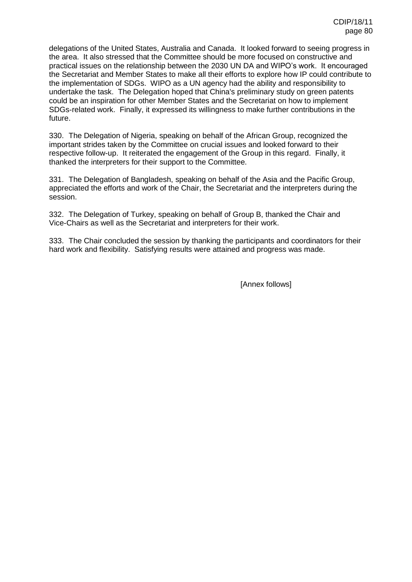delegations of the United States, Australia and Canada. It looked forward to seeing progress in the area. It also stressed that the Committee should be more focused on constructive and practical issues on the relationship between the 2030 UN DA and WIPO's work. It encouraged the Secretariat and Member States to make all their efforts to explore how IP could contribute to the implementation of SDGs. WIPO as a UN agency had the ability and responsibility to undertake the task. The Delegation hoped that China's preliminary study on green patents could be an inspiration for other Member States and the Secretariat on how to implement SDGs-related work. Finally, it expressed its willingness to make further contributions in the future.

330. The Delegation of Nigeria, speaking on behalf of the African Group, recognized the important strides taken by the Committee on crucial issues and looked forward to their respective follow-up. It reiterated the engagement of the Group in this regard. Finally, it thanked the interpreters for their support to the Committee.

331. The Delegation of Bangladesh, speaking on behalf of the Asia and the Pacific Group, appreciated the efforts and work of the Chair, the Secretariat and the interpreters during the session.

332. The Delegation of Turkey, speaking on behalf of Group B, thanked the Chair and Vice-Chairs as well as the Secretariat and interpreters for their work.

333. The Chair concluded the session by thanking the participants and coordinators for their hard work and flexibility. Satisfying results were attained and progress was made.

[Annex follows]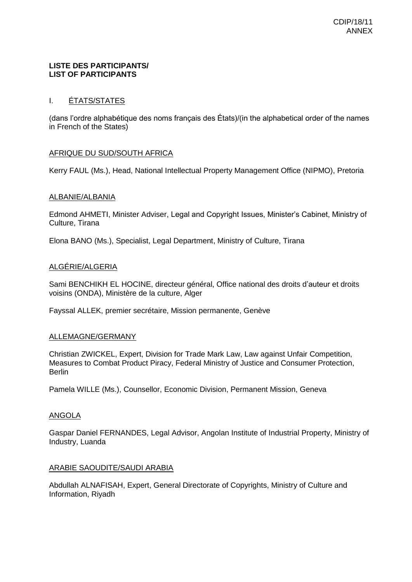### **LISTE DES PARTICIPANTS/ LIST OF PARTICIPANTS**

# I. ÉTATS/STATES

(dans l'ordre alphabétique des noms français des États)/(in the alphabetical order of the names in French of the States)

## AFRIQUE DU SUD/SOUTH AFRICA

Kerry FAUL (Ms.), Head, National Intellectual Property Management Office (NIPMO), Pretoria

### ALBANIE/ALBANIA

Edmond AHMETI, Minister Adviser, Legal and Copyright Issues, Minister's Cabinet, Ministry of Culture, Tirana

Elona BANO (Ms.), Specialist, Legal Department, Ministry of Culture, Tirana

## ALGÉRIE/ALGERIA

Sami BENCHIKH EL HOCINE, directeur général, Office national des droits d'auteur et droits voisins (ONDA), Ministère de la culture, Alger

Fayssal ALLEK, premier secrétaire, Mission permanente, Genève

### ALLEMAGNE/GERMANY

Christian ZWICKEL, Expert, Division for Trade Mark Law, Law against Unfair Competition, Measures to Combat Product Piracy, Federal Ministry of Justice and Consumer Protection, **Berlin** 

Pamela WILLE (Ms.), Counsellor, Economic Division, Permanent Mission, Geneva

## ANGOLA

Gaspar Daniel FERNANDES, Legal Advisor, Angolan Institute of Industrial Property, Ministry of Industry, Luanda

#### ARABIE SAOUDITE/SAUDI ARABIA

Abdullah ALNAFISAH, Expert, General Directorate of Copyrights, Ministry of Culture and Information, Riyadh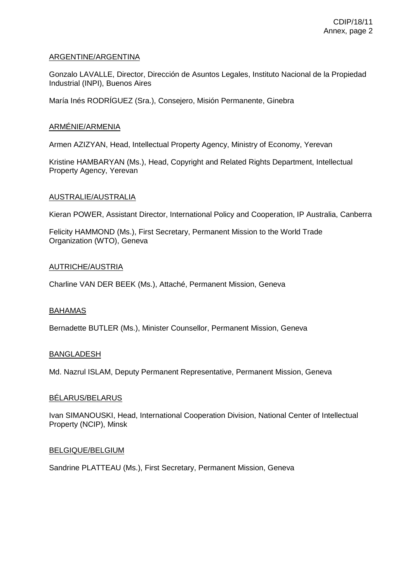## ARGENTINE/ARGENTINA

Gonzalo LAVALLE, Director, Dirección de Asuntos Legales, Instituto Nacional de la Propiedad Industrial (INPI), Buenos Aires

María Inés RODRÍGUEZ (Sra.), Consejero, Misión Permanente, Ginebra

### ARMÉNIE/ARMENIA

Armen AZIZYAN, Head, Intellectual Property Agency, Ministry of Economy, Yerevan

Kristine HAMBARYAN (Ms.), Head, Copyright and Related Rights Department, Intellectual Property Agency, Yerevan

#### AUSTRALIE/AUSTRALIA

Kieran POWER, Assistant Director, International Policy and Cooperation, IP Australia, Canberra

Felicity HAMMOND (Ms.), First Secretary, Permanent Mission to the World Trade Organization (WTO), Geneva

#### AUTRICHE/AUSTRIA

Charline VAN DER BEEK (Ms.), Attaché, Permanent Mission, Geneva

#### BAHAMAS

Bernadette BUTLER (Ms.), Minister Counsellor, Permanent Mission, Geneva

## BANGLADESH

Md. Nazrul ISLAM, Deputy Permanent Representative, Permanent Mission, Geneva

#### BÉLARUS/BELARUS

Ivan SIMANOUSKI, Head, International Cooperation Division, National Center of Intellectual Property (NCIP), Minsk

#### BELGIQUE/BELGIUM

Sandrine PLATTEAU (Ms.), First Secretary, Permanent Mission, Geneva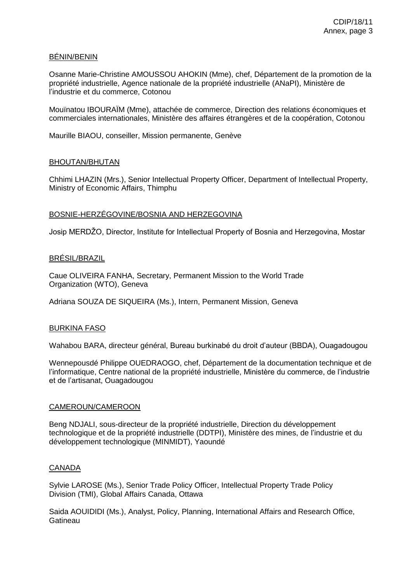# BÉNIN/BENIN

Osanne Marie-Christine AMOUSSOU AHOKIN (Mme), chef, Département de la promotion de la propriété industrielle, Agence nationale de la propriété industrielle (ANaPI), Ministère de l'industrie et du commerce, Cotonou

Mouïnatou IBOURAÏM (Mme), attachée de commerce, Direction des relations économiques et commerciales internationales, Ministère des affaires étrangères et de la coopération, Cotonou

Maurille BIAOU, conseiller, Mission permanente, Genève

### BHOUTAN/BHUTAN

Chhimi LHAZIN (Mrs.), Senior Intellectual Property Officer, Department of Intellectual Property, Ministry of Economic Affairs, Thimphu

### BOSNIE-HERZÉGOVINE/BOSNIA AND HERZEGOVINA

Josip MERDŽO, Director, Institute for Intellectual Property of Bosnia and Herzegovina, Mostar

### BRÉSIL/BRAZIL

Caue OLIVEIRA FANHA, Secretary, Permanent Mission to the World Trade Organization (WTO), Geneva

Adriana SOUZA DE SIQUEIRA (Ms.), Intern, Permanent Mission, Geneva

#### BURKINA FASO

Wahabou BARA, directeur général, Bureau burkinabé du droit d'auteur (BBDA), Ouagadougou

Wennepousdé Philippe OUEDRAOGO, chef, Département de la documentation technique et de l'informatique, Centre national de la propriété industrielle, Ministère du commerce, de l'industrie et de l'artisanat, Ouagadougou

#### CAMEROUN/CAMEROON

Beng NDJALI, sous-directeur de la propriété industrielle, Direction du développement technologique et de la propriété industrielle (DDTPI), Ministère des mines, de l'industrie et du développement technologique (MINMIDT), Yaoundé

## CANADA

Sylvie LAROSE (Ms.), Senior Trade Policy Officer, Intellectual Property Trade Policy Division (TMI), Global Affairs Canada, Ottawa

Saida AOUIDIDI (Ms.), Analyst, Policy, Planning, International Affairs and Research Office, **Gatineau**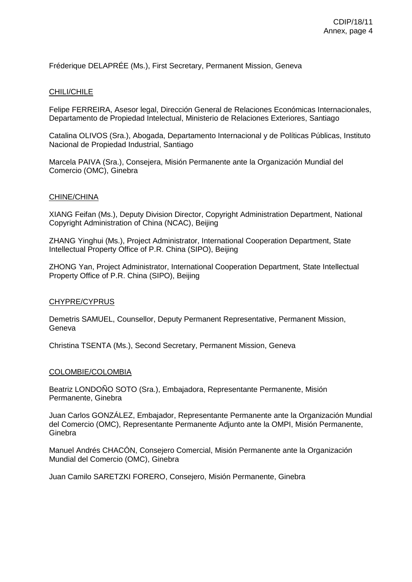Fréderique DELAPRÉE (Ms.), First Secretary, Permanent Mission, Geneva

### CHILI/CHILE

Felipe FERREIRA, Asesor legal, Dirección General de Relaciones Económicas Internacionales, Departamento de Propiedad Intelectual, Ministerio de Relaciones Exteriores, Santiago

Catalina OLIVOS (Sra.), Abogada, Departamento Internacional y de Políticas Públicas, Instituto Nacional de Propiedad Industrial, Santiago

Marcela PAIVA (Sra.), Consejera, Misión Permanente ante la Organización Mundial del Comercio (OMC), Ginebra

#### CHINE/CHINA

XIANG Feifan (Ms.), Deputy Division Director, Copyright Administration Department, National Copyright Administration of China (NCAC), Beijing

ZHANG Yinghui (Ms.), Project Administrator, International Cooperation Department, State Intellectual Property Office of P.R. China (SIPO), Beijing

ZHONG Yan, Project Administrator, International Cooperation Department, State Intellectual Property Office of P.R. China (SIPO), Beijing

#### CHYPRE/CYPRUS

Demetris SAMUEL, Counsellor, Deputy Permanent Representative, Permanent Mission, **Geneva** 

Christina TSENTA (Ms.), Second Secretary, Permanent Mission, Geneva

#### COLOMBIE/COLOMBIA

Beatriz LONDOÑO SOTO (Sra.), Embajadora, Representante Permanente, Misión Permanente, Ginebra

Juan Carlos GONZÁLEZ, Embajador, Representante Permanente ante la Organización Mundial del Comercio (OMC), Representante Permanente Adjunto ante la OMPI, Misión Permanente, **Ginebra** 

Manuel Andrés CHACÓN, Consejero Comercial, Misión Permanente ante la Organización Mundial del Comercio (OMC), Ginebra

Juan Camilo SARETZKI FORERO, Consejero, Misión Permanente, Ginebra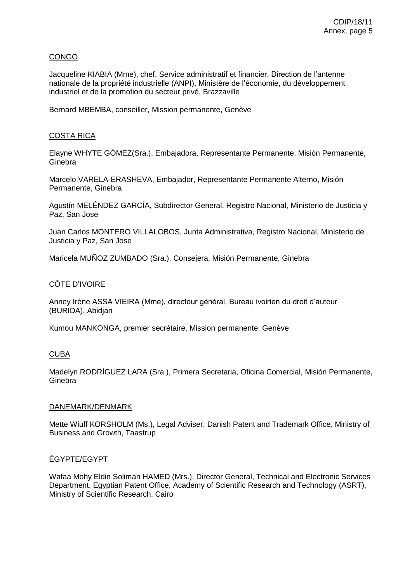# CONGO

Jacqueline KIABIA (Mme), chef, Service administratif et financier, Direction de l'antenne nationale de la propriété industrielle (ANPI), Ministère de l'économie, du développement industriel et de la promotion du secteur privé, Brazzaville

Bernard MBEMBA, conseiller, Mission permanente, Genève

# COSTA RICA

Elayne WHYTE GÓMEZ(Sra.), Embajadora, Representante Permanente, Misión Permanente, Ginebra

Marcelo VARELA-ERASHEVA, Embajador, Representante Permanente Alterno, Misión Permanente, Ginebra

Agustín MELÉNDEZ GARCÍA, Subdirector General, Registro Nacional, Ministerio de Justicia y Paz, San Jose

Juan Carlos MONTERO VILLALOBOS, Junta Administrativa, Registro Nacional, Ministerio de Justicia y Paz, San Jose

Maricela MUÑOZ ZUMBADO (Sra.), Consejera, Misión Permanente, Ginebra

## CÔTE D'IVOIRE

Anney Irène ASSA VIEIRA (Mme), directeur général, Bureau ivoirien du droit d'auteur (BURIDA), Abidjan

Kumou MANKONGA, premier secrétaire, Mission permanente, Genève

## CUBA

Madelyn RODRÍGUEZ LARA (Sra.), Primera Secretaria, Oficina Comercial, Misión Permanente, **Ginebra** 

#### DANEMARK/DENMARK

Mette Wiuff KORSHOLM (Ms.), Legal Adviser, Danish Patent and Trademark Office, Ministry of Business and Growth, Taastrup

## ÉGYPTE/EGYPT

Wafaa Mohy Eldin Soliman HAMED (Mrs.), Director General, Technical and Electronic Services Department, Egyptian Patent Office, Academy of Scientific Research and Technology (ASRT), Ministry of Scientific Research, Cairo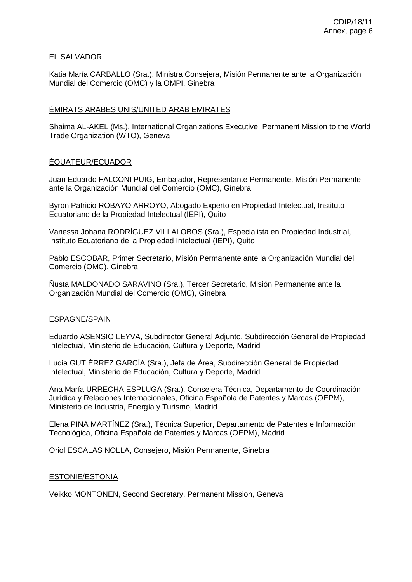## EL SALVADOR

Katia María CARBALLO (Sra.), Ministra Consejera, Misión Permanente ante la Organización Mundial del Comercio (OMC) y la OMPI, Ginebra

# ÉMIRATS ARABES UNIS/UNITED ARAB EMIRATES

Shaima AL-AKEL (Ms.), International Organizations Executive, Permanent Mission to the World Trade Organization (WTO), Geneva

## ÉQUATEUR/ECUADOR

Juan Eduardo FALCONI PUIG, Embajador, Representante Permanente, Misión Permanente ante la Organización Mundial del Comercio (OMC), Ginebra

Byron Patricio ROBAYO ARROYO, Abogado Experto en Propiedad Intelectual, Instituto Ecuatoriano de la Propiedad Intelectual (IEPI), Quito

Vanessa Johana RODRÍGUEZ VILLALOBOS (Sra.), Especialista en Propiedad Industrial, Instituto Ecuatoriano de la Propiedad Intelectual (IEPI), Quito

Pablo ESCOBAR, Primer Secretario, Misión Permanente ante la Organización Mundial del Comercio (OMC), Ginebra

Ñusta MALDONADO SARAVINO (Sra.), Tercer Secretario, Misión Permanente ante la Organización Mundial del Comercio (OMC), Ginebra

## ESPAGNE/SPAIN

Eduardo ASENSIO LEYVA, Subdirector General Adjunto, Subdirección General de Propiedad Intelectual, Ministerio de Educación, Cultura y Deporte, Madrid

Lucía GUTIÉRREZ GARCÍA (Sra.), Jefa de Área, Subdirección General de Propiedad Intelectual, Ministerio de Educación, Cultura y Deporte, Madrid

Ana María URRECHA ESPLUGA (Sra.), Consejera Técnica, Departamento de Coordinación Jurídica y Relaciones Internacionales, Oficina Española de Patentes y Marcas (OEPM), Ministerio de Industria, Energía y Turismo, Madrid

Elena PINA MARTÍNEZ (Sra.), Técnica Superior, Departamento de Patentes e Información Tecnológica, Oficina Española de Patentes y Marcas (OEPM), Madrid

Oriol ESCALAS NOLLA, Consejero, Misión Permanente, Ginebra

## ESTONIE/ESTONIA

Veikko MONTONEN, Second Secretary, Permanent Mission, Geneva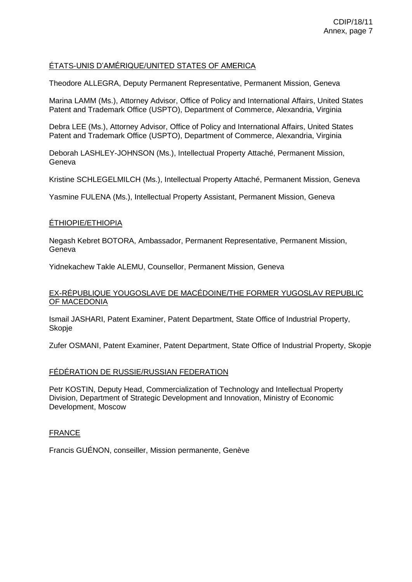# ÉTATS-UNIS D'AMÉRIQUE/UNITED STATES OF AMERICA

Theodore ALLEGRA, Deputy Permanent Representative, Permanent Mission, Geneva

Marina LAMM (Ms.), Attorney Advisor, Office of Policy and International Affairs, United States Patent and Trademark Office (USPTO), Department of Commerce, Alexandria, Virginia

Debra LEE (Ms.), Attorney Advisor, Office of Policy and International Affairs, United States Patent and Trademark Office (USPTO), Department of Commerce, Alexandria, Virginia

Deborah LASHLEY-JOHNSON (Ms.), Intellectual Property Attaché, Permanent Mission, **Geneva** 

Kristine SCHLEGELMILCH (Ms.), Intellectual Property Attaché, Permanent Mission, Geneva

Yasmine FULENA (Ms.), Intellectual Property Assistant, Permanent Mission, Geneva

## ÉTHIOPIE/ETHIOPIA

Negash Kebret BOTORA, Ambassador, Permanent Representative, Permanent Mission, Geneva

Yidnekachew Takle ALEMU, Counsellor, Permanent Mission, Geneva

### EX-RÉPUBLIQUE YOUGOSLAVE DE MACÉDOINE/THE FORMER YUGOSLAV REPUBLIC OF MACEDONIA

Ismail JASHARI, Patent Examiner, Patent Department, State Office of Industrial Property, Skopje

Zufer OSMANI, Patent Examiner, Patent Department, State Office of Industrial Property, Skopje

## FÉDÉRATION DE RUSSIE/RUSSIAN FEDERATION

Petr KOSTIN, Deputy Head, Commercialization of Technology and Intellectual Property Division, Department of Strategic Development and Innovation, Ministry of Economic Development, Moscow

#### **FRANCE**

Francis GUÉNON, conseiller, Mission permanente, Genève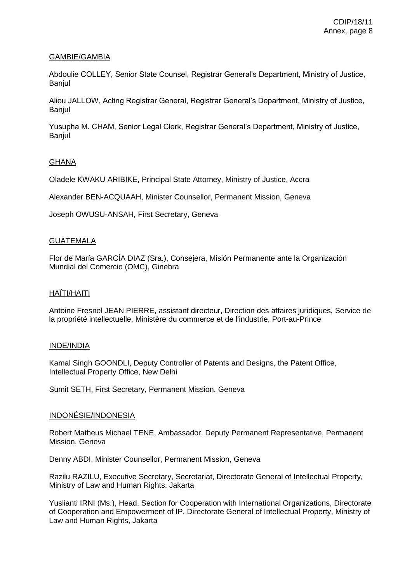# GAMBIE/GAMBIA

Abdoulie COLLEY, Senior State Counsel, Registrar General's Department, Ministry of Justice, Banjul

Alieu JALLOW, Acting Registrar General, Registrar General's Department, Ministry of Justice, Banjul

Yusupha M. CHAM, Senior Legal Clerk, Registrar General's Department, Ministry of Justice, **Banjul** 

# GHANA

Oladele KWAKU ARIBIKE, Principal State Attorney, Ministry of Justice, Accra

Alexander BEN-ACQUAAH, Minister Counsellor, Permanent Mission, Geneva

Joseph OWUSU-ANSAH, First Secretary, Geneva

### GUATEMALA

Flor de María GARCÍA DIAZ (Sra.), Consejera, Misión Permanente ante la Organización Mundial del Comercio (OMC), Ginebra

### HAÏTI/HAITI

Antoine Fresnel JEAN PIERRE, assistant directeur, Direction des affaires juridiques, Service de la propriété intellectuelle, Ministère du commerce et de l'industrie, Port-au-Prince

## INDE/INDIA

Kamal Singh GOONDLI, Deputy Controller of Patents and Designs, the Patent Office, Intellectual Property Office, New Delhi

Sumit SETH, First Secretary, Permanent Mission, Geneva

## INDONÉSIE/INDONESIA

Robert Matheus Michael TENE, Ambassador, Deputy Permanent Representative, Permanent Mission, Geneva

Denny ABDI, Minister Counsellor, Permanent Mission, Geneva

Razilu RAZILU, Executive Secretary, Secretariat, Directorate General of Intellectual Property, Ministry of Law and Human Rights, Jakarta

Yuslianti IRNI (Ms.), Head, Section for Cooperation with International Organizations, Directorate of Cooperation and Empowerment of IP, Directorate General of Intellectual Property, Ministry of Law and Human Rights, Jakarta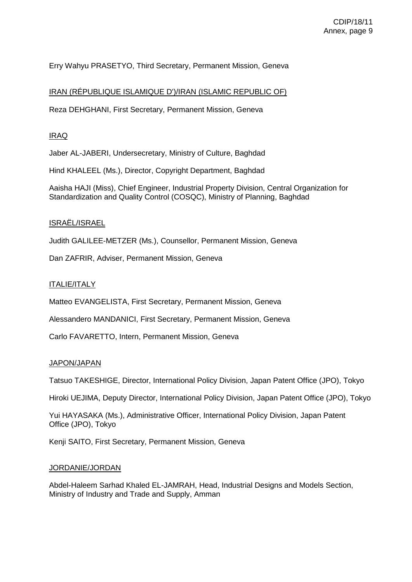# Erry Wahyu PRASETYO, Third Secretary, Permanent Mission, Geneva

## IRAN (RÉPUBLIQUE ISLAMIQUE D')/IRAN (ISLAMIC REPUBLIC OF)

Reza DEHGHANI, First Secretary, Permanent Mission, Geneva

## IRAQ

Jaber AL-JABERI, Undersecretary, Ministry of Culture, Baghdad

Hind KHALEEL (Ms.), Director, Copyright Department, Baghdad

Aaisha HAJI (Miss), Chief Engineer, Industrial Property Division, Central Organization for Standardization and Quality Control (COSQC), Ministry of Planning, Baghdad

# ISRAËL/ISRAEL

Judith GALILEE-METZER (Ms.), Counsellor, Permanent Mission, Geneva

Dan ZAFRIR, Adviser, Permanent Mission, Geneva

## ITALIE/ITALY

Matteo EVANGELISTA, First Secretary, Permanent Mission, Geneva

Alessandero MANDANICI, First Secretary, Permanent Mission, Geneva

Carlo FAVARETTO, Intern, Permanent Mission, Geneva

#### JAPON/JAPAN

Tatsuo TAKESHIGE, Director, International Policy Division, Japan Patent Office (JPO), Tokyo

Hiroki UEJIMA, Deputy Director, International Policy Division, Japan Patent Office (JPO), Tokyo

Yui HAYASAKA (Ms.), Administrative Officer, International Policy Division, Japan Patent Office (JPO), Tokyo

Kenji SAITO, First Secretary, Permanent Mission, Geneva

### JORDANIE/JORDAN

Abdel-Haleem Sarhad Khaled EL-JAMRAH, Head, Industrial Designs and Models Section, Ministry of Industry and Trade and Supply, Amman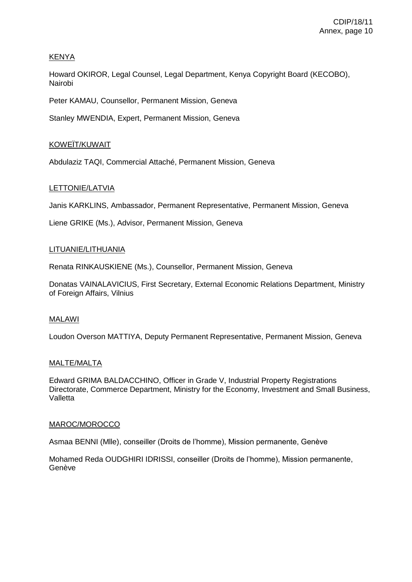# KENYA

Howard OKIROR, Legal Counsel, Legal Department, Kenya Copyright Board (KECOBO), Nairobi

Peter KAMAU, Counsellor, Permanent Mission, Geneva

Stanley MWENDIA, Expert, Permanent Mission, Geneva

# KOWEÏT/KUWAIT

Abdulaziz TAQI, Commercial Attaché, Permanent Mission, Geneva

# LETTONIE/LATVIA

Janis KARKLINS, Ambassador, Permanent Representative, Permanent Mission, Geneva

Liene GRIKE (Ms.), Advisor, Permanent Mission, Geneva

### LITUANIE/LITHUANIA

Renata RINKAUSKIENE (Ms.), Counsellor, Permanent Mission, Geneva

Donatas VAINALAVICIUS, First Secretary, External Economic Relations Department, Ministry of Foreign Affairs, Vilnius

## MALAWI

Loudon Overson MATTIYA, Deputy Permanent Representative, Permanent Mission, Geneva

## MALTE/MALTA

Edward GRIMA BALDACCHINO, Officer in Grade V, Industrial Property Registrations Directorate, Commerce Department, Ministry for the Economy, Investment and Small Business, Valletta

## MAROC/MOROCCO

Asmaa BENNI (Mlle), conseiller (Droits de l'homme), Mission permanente, Genève

Mohamed Reda OUDGHIRI IDRISSI, conseiller (Droits de l'homme), Mission permanente, Genève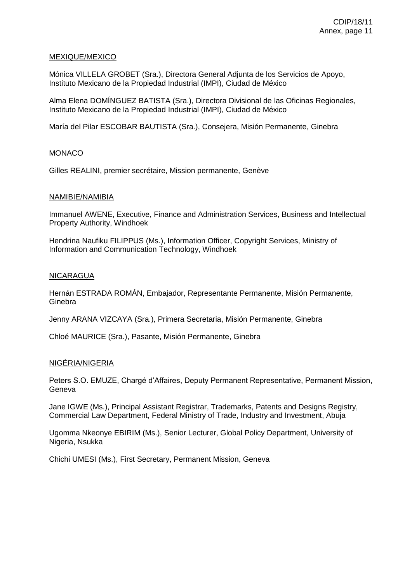### MEXIQUE/MEXICO

Mónica VILLELA GROBET (Sra.), Directora General Adjunta de los Servicios de Apoyo, Instituto Mexicano de la Propiedad Industrial (IMPI), Ciudad de México

Alma Elena DOMÍNGUEZ BATISTA (Sra.), Directora Divisional de las Oficinas Regionales, Instituto Mexicano de la Propiedad Industrial (IMPI), Ciudad de México

María del Pilar ESCOBAR BAUTISTA (Sra.), Consejera, Misión Permanente, Ginebra

## MONACO

Gilles REALINI, premier secrétaire, Mission permanente, Genève

#### NAMIBIE/NAMIBIA

Immanuel AWENE, Executive, Finance and Administration Services, Business and Intellectual Property Authority, Windhoek

Hendrina Naufiku FILIPPUS (Ms.), Information Officer, Copyright Services, Ministry of Information and Communication Technology, Windhoek

#### NICARAGUA

Hernán ESTRADA ROMÁN, Embajador, Representante Permanente, Misión Permanente, **Ginebra** 

Jenny ARANA VIZCAYA (Sra.), Primera Secretaria, Misión Permanente, Ginebra

Chloé MAURICE (Sra.), Pasante, Misión Permanente, Ginebra

# NIGÉRIA/NIGERIA

Peters S.O. EMUZE, Chargé d'Affaires, Deputy Permanent Representative, Permanent Mission, Geneva

Jane IGWE (Ms.), Principal Assistant Registrar, Trademarks, Patents and Designs Registry, Commercial Law Department, Federal Ministry of Trade, Industry and Investment, Abuja

Ugomma Nkeonye EBIRIM (Ms.), Senior Lecturer, Global Policy Department, University of Nigeria, Nsukka

Chichi UMESI (Ms.), First Secretary, Permanent Mission, Geneva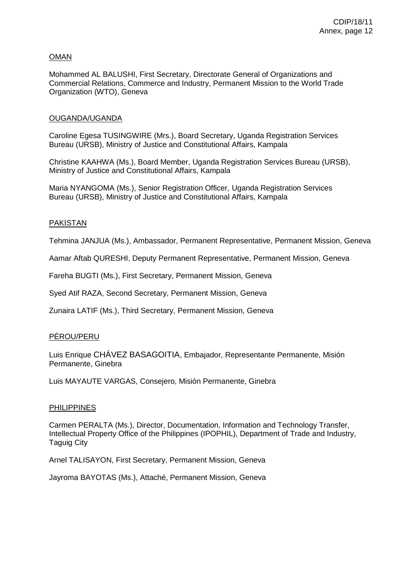# OMAN

Mohammed AL BALUSHI, First Secretary, Directorate General of Organizations and Commercial Relations, Commerce and Industry, Permanent Mission to the World Trade Organization (WTO), Geneva

### OUGANDA/UGANDA

Caroline Egesa TUSINGWIRE (Mrs.), Board Secretary, Uganda Registration Services Bureau (URSB), Ministry of Justice and Constitutional Affairs, Kampala

Christine KAAHWA (Ms.), Board Member, Uganda Registration Services Bureau (URSB), Ministry of Justice and Constitutional Affairs, Kampala

Maria NYANGOMA (Ms.), Senior Registration Officer, Uganda Registration Services Bureau (URSB), Ministry of Justice and Constitutional Affairs, Kampala

### PAKISTAN

Tehmina JANJUA (Ms.), Ambassador, Permanent Representative, Permanent Mission, Geneva

Aamar Aftab QURESHI, Deputy Permanent Representative, Permanent Mission, Geneva

Fareha BUGTI (Ms.), First Secretary, Permanent Mission, Geneva

Syed Atif RAZA, Second Secretary, Permanent Mission, Geneva

Zunaira LATIF (Ms.), Third Secretary, Permanent Mission, Geneva

## PÉROU/PERU

Luis Enrique CHÁVEZ BASAGOITIA, Embajador, Representante Permanente, Misión Permanente, Ginebra

Luis MAYAUTE VARGAS, Consejero, Misión Permanente, Ginebra

#### PHILIPPINES

Carmen PERALTA (Ms.), Director, Documentation, Information and Technology Transfer, Intellectual Property Office of the Philippines (IPOPHIL), Department of Trade and Industry, Taguig City

Arnel TALISAYON, First Secretary, Permanent Mission, Geneva

Jayroma BAYOTAS (Ms.), Attaché, Permanent Mission, Geneva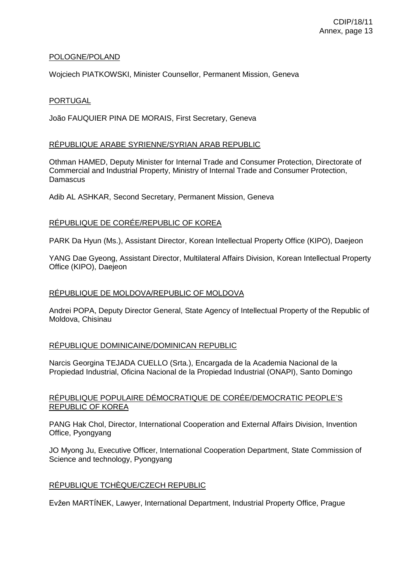## POLOGNE/POLAND

Wojciech PIATKOWSKI, Minister Counsellor, Permanent Mission, Geneva

## PORTUGAL

João FAUQUIER PINA DE MORAIS, First Secretary, Geneva

### RÉPUBLIQUE ARABE SYRIENNE/SYRIAN ARAB REPUBLIC

Othman HAMED, Deputy Minister for Internal Trade and Consumer Protection, Directorate of Commercial and Industrial Property, Ministry of Internal Trade and Consumer Protection, **Damascus** 

Adib AL ASHKAR, Second Secretary, Permanent Mission, Geneva

## RÉPUBLIQUE DE CORÉE/REPUBLIC OF KOREA

PARK Da Hyun (Ms.), Assistant Director, Korean Intellectual Property Office (KIPO), Daejeon

YANG Dae Gyeong, Assistant Director, Multilateral Affairs Division, Korean Intellectual Property Office (KIPO), Daejeon

### RÉPUBLIQUE DE MOLDOVA/REPUBLIC OF MOLDOVA

Andrei POPA, Deputy Director General, State Agency of Intellectual Property of the Republic of Moldova, Chisinau

## RÉPUBLIQUE DOMINICAINE/DOMINICAN REPUBLIC

Narcis Georgina TEJADA CUELLO (Srta.), Encargada de la Academia Nacional de la Propiedad Industrial, Oficina Nacional de la Propiedad Industrial (ONAPI), Santo Domingo

### RÉPUBLIQUE POPULAIRE DÉMOCRATIQUE DE CORÉE/DEMOCRATIC PEOPLE'S REPUBLIC OF KOREA

PANG Hak Chol, Director, International Cooperation and External Affairs Division, Invention Office, Pyongyang

JO Myong Ju, Executive Officer, International Cooperation Department, State Commission of Science and technology, Pyongyang

## RÉPUBLIQUE TCHÈQUE/CZECH REPUBLIC

Evžen MARTÍNEK, Lawyer, International Department, Industrial Property Office, Prague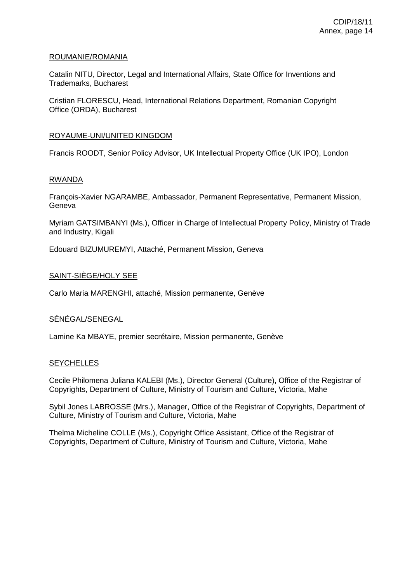### ROUMANIE/ROMANIA

Catalin NITU, Director, Legal and International Affairs, State Office for Inventions and Trademarks, Bucharest

Cristian FLORESCU, Head, International Relations Department, Romanian Copyright Office (ORDA), Bucharest

### ROYAUME-UNI/UNITED KINGDOM

Francis ROODT, Senior Policy Advisor, UK Intellectual Property Office (UK IPO), London

### RWANDA

François-Xavier NGARAMBE, Ambassador, Permanent Representative, Permanent Mission, **Geneva** 

Myriam GATSIMBANYI (Ms.), Officer in Charge of Intellectual Property Policy, Ministry of Trade and Industry, Kigali

Edouard BIZUMUREMYI, Attaché, Permanent Mission, Geneva

## SAINT-SIÈGE/HOLY SEE

Carlo Maria MARENGHI, attaché, Mission permanente, Genève

## SÉNÉGAL/SENEGAL

Lamine Ka MBAYE, premier secrétaire, Mission permanente, Genève

## **SEYCHELLES**

Cecile Philomena Juliana KALEBI (Ms.), Director General (Culture), Office of the Registrar of Copyrights, Department of Culture, Ministry of Tourism and Culture, Victoria, Mahe

Sybil Jones LABROSSE (Mrs.), Manager, Office of the Registrar of Copyrights, Department of Culture, Ministry of Tourism and Culture, Victoria, Mahe

Thelma Micheline COLLE (Ms.), Copyright Office Assistant, Office of the Registrar of Copyrights, Department of Culture, Ministry of Tourism and Culture, Victoria, Mahe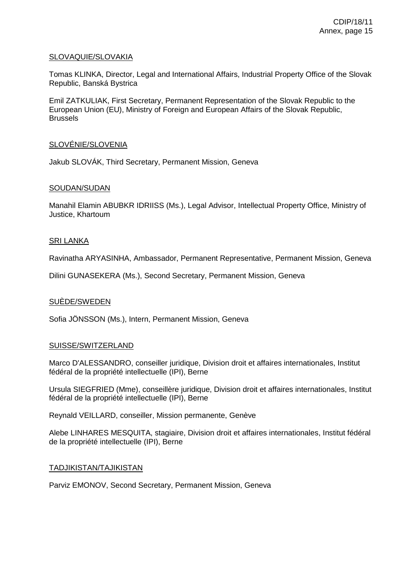## SLOVAQUIE/SLOVAKIA

Tomas KLINKA, Director, Legal and International Affairs, Industrial Property Office of the Slovak Republic, Banská Bystrica

Emil ZATKULIAK, First Secretary, Permanent Representation of the Slovak Republic to the European Union (EU), Ministry of Foreign and European Affairs of the Slovak Republic, **Brussels** 

### SLOVÉNIE/SLOVENIA

Jakub SLOVÁK, Third Secretary, Permanent Mission, Geneva

### SOUDAN/SUDAN

Manahil Elamin ABUBKR IDRIISS (Ms.), Legal Advisor, Intellectual Property Office, Ministry of Justice, Khartoum

### SRI LANKA

Ravinatha ARYASINHA, Ambassador, Permanent Representative, Permanent Mission, Geneva

Dilini GUNASEKERA (Ms.), Second Secretary, Permanent Mission, Geneva

#### SUÈDE/SWEDEN

Sofia JÖNSSON (Ms.), Intern, Permanent Mission, Geneva

#### SUISSE/SWITZERLAND

Marco D'ALESSANDRO, conseiller juridique, Division droit et affaires internationales, Institut fédéral de la propriété intellectuelle (IPI), Berne

Ursula SIEGFRIED (Mme), conseillère juridique, Division droit et affaires internationales, Institut fédéral de la propriété intellectuelle (IPI), Berne

Reynald VEILLARD, conseiller, Mission permanente, Genève

Alebe LINHARES MESQUITA, stagiaire, Division droit et affaires internationales, Institut fédéral de la propriété intellectuelle (IPI), Berne

## TADJIKISTAN/TAJIKISTAN

Parviz EMONOV, Second Secretary, Permanent Mission, Geneva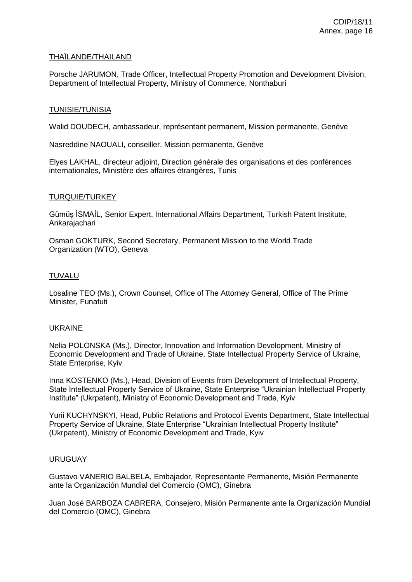## THAÏLANDE/THAILAND

Porsche JARUMON, Trade Officer, Intellectual Property Promotion and Development Division, Department of Intellectual Property, Ministry of Commerce, Nonthaburi

#### TUNISIE/TUNISIA

Walid DOUDECH, ambassadeur, représentant permanent, Mission permanente, Genève

Nasreddine NAOUALI, conseiller, Mission permanente, Genève

Elyes LAKHAL, directeur adjoint, Direction générale des organisations et des conférences internationales, Ministère des affaires étrangères, Tunis

### TURQUIE/TURKEY

Gümüş İSMAİL, Senior Expert, International Affairs Department, Turkish Patent Institute, Ankarajachari

Osman GOKTURK, Second Secretary, Permanent Mission to the World Trade Organization (WTO), Geneva

### TUVALU

Losaline TEO (Ms.), Crown Counsel, Office of The Attorney General, Office of The Prime Minister, Funafuti

#### UKRAINE

Nelia POLONSKA (Ms.), Director, Innovation and Information Development, Ministry of Economic Development and Trade of Ukraine, State Intellectual Property Service of Ukraine, State Enterprise, Kyiv

Inna KOSTENKO (Ms.), Head, Division of Events from Development of Intellectual Property, State Intellectual Property Service of Ukraine, State Enterprise "Ukrainian Intellectual Property Institute" (Ukrpatent), Ministry of Economic Development and Trade, Kyiv

Yurii KUCHYNSKYI, Head, Public Relations and Protocol Events Department, State Intellectual Property Service of Ukraine, State Enterprise "Ukrainian Intellectual Property Institute" (Ukrpatent), Ministry of Economic Development and Trade, Kyiv

#### URUGUAY

Gustavo VANERIO BALBELA, Embajador, Representante Permanente, Misión Permanente ante la Organización Mundial del Comercio (OMC), Ginebra

Juan José BARBOZA CABRERA, Consejero, Misión Permanente ante la Organización Mundial del Comercio (OMC), Ginebra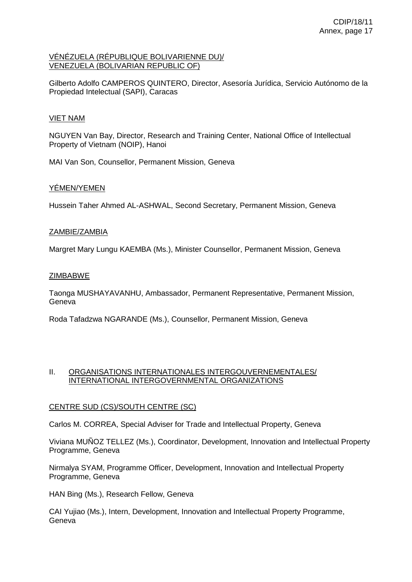### VÉNÉZUELA (RÉPUBLIQUE BOLIVARIENNE DU)/ VENEZUELA (BOLIVARIAN REPUBLIC OF)

Gilberto Adolfo CAMPEROS QUINTERO, Director, Asesoría Jurídica, Servicio Autónomo de la Propiedad Intelectual (SAPI), Caracas

# VIET NAM

NGUYEN Van Bay, Director, Research and Training Center, National Office of Intellectual Property of Vietnam (NOIP), Hanoi

MAI Van Son, Counsellor, Permanent Mission, Geneva

# YÉMEN/YEMEN

Hussein Taher Ahmed AL-ASHWAL, Second Secretary, Permanent Mission, Geneva

## ZAMBIE/ZAMBIA

Margret Mary Lungu KAEMBA (Ms.), Minister Counsellor, Permanent Mission, Geneva

## **ZIMBABWE**

Taonga MUSHAYAVANHU, Ambassador, Permanent Representative, Permanent Mission, Geneva

Roda Tafadzwa NGARANDE (Ms.), Counsellor, Permanent Mission, Geneva

### II. ORGANISATIONS INTERNATIONALES INTERGOUVERNEMENTALES/ INTERNATIONAL INTERGOVERNMENTAL ORGANIZATIONS

## CENTRE SUD (CS)/SOUTH CENTRE (SC)

Carlos M. CORREA, Special Adviser for Trade and Intellectual Property, Geneva

Viviana MUÑOZ TELLEZ (Ms.), Coordinator, Development, Innovation and Intellectual Property Programme, Geneva

Nirmalya SYAM, Programme Officer, Development, Innovation and Intellectual Property Programme, Geneva

HAN Bing (Ms.), Research Fellow, Geneva

CAI Yujiao (Ms.), Intern, Development, Innovation and Intellectual Property Programme, Geneva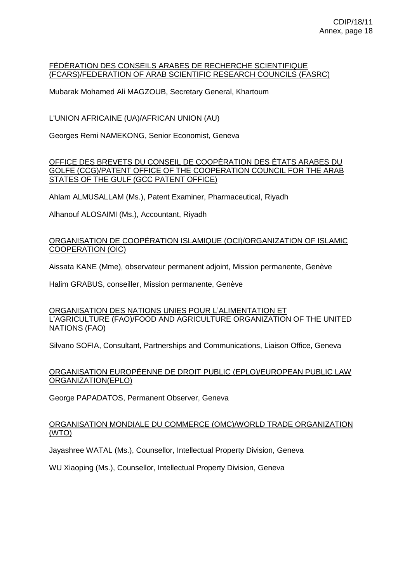#### FÉDÉRATION DES CONSEILS ARABES DE RECHERCHE SCIENTIFIQUE (FCARS)/FEDERATION OF ARAB SCIENTIFIC RESEARCH COUNCILS (FASRC)

Mubarak Mohamed Ali MAGZOUB, Secretary General, Khartoum

# L'UNION AFRICAINE (UA)/AFRICAN UNION (AU)

Georges Remi NAMEKONG, Senior Economist, Geneva

OFFICE DES BREVETS DU CONSEIL DE COOPÉRATION DES ÉTATS ARABES DU GOLFE (CCG)/PATENT OFFICE OF THE COOPERATION COUNCIL FOR THE ARAB STATES OF THE GULF (GCC PATENT OFFICE)

Ahlam ALMUSALLAM (Ms.), Patent Examiner, Pharmaceutical, Riyadh

Alhanouf ALOSAIMI (Ms.), Accountant, Riyadh

## ORGANISATION DE COOPÉRATION ISLAMIQUE (OCI)/ORGANIZATION OF ISLAMIC COOPERATION (OIC)

Aissata KANE (Mme), observateur permanent adjoint, Mission permanente, Genève

Halim GRABUS, conseiller, Mission permanente, Genève

## ORGANISATION DES NATIONS UNIES POUR L'ALIMENTATION ET L'AGRICULTURE (FAO)/FOOD AND AGRICULTURE ORGANIZATION OF THE UNITED NATIONS (FAO)

Silvano SOFIA, Consultant, Partnerships and Communications, Liaison Office, Geneva

# ORGANISATION EUROPÉENNE DE DROIT PUBLIC (EPLO)/EUROPEAN PUBLIC LAW ORGANIZATION(EPLO)

George PAPADATOS, Permanent Observer, Geneva

# ORGANISATION MONDIALE DU COMMERCE (OMC)/WORLD TRADE ORGANIZATION (WTO)

Jayashree WATAL (Ms.), Counsellor, Intellectual Property Division, Geneva

WU Xiaoping (Ms.), Counsellor, Intellectual Property Division, Geneva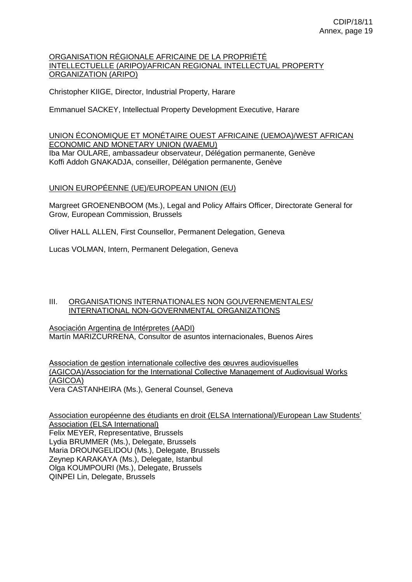### ORGANISATION RÉGIONALE AFRICAINE DE LA PROPRIÉTÉ INTELLECTUELLE (ARIPO)/AFRICAN REGIONAL INTELLECTUAL PROPERTY ORGANIZATION (ARIPO)

Christopher KIIGE, Director, Industrial Property, Harare

Emmanuel SACKEY, Intellectual Property Development Executive, Harare

# UNION ÉCONOMIQUE ET MONÉTAIRE OUEST AFRICAINE (UEMOA)/WEST AFRICAN ECONOMIC AND MONETARY UNION (WAEMU) Iba Mar OULARE, ambassadeur observateur, Délégation permanente, Genève

Koffi Addoh GNAKADJA, conseiller, Délégation permanente, Genève

## UNION EUROPÉENNE (UE)/EUROPEAN UNION (EU)

Margreet GROENENBOOM (Ms.), Legal and Policy Affairs Officer, Directorate General for Grow, European Commission, Brussels

Oliver HALL ALLEN, First Counsellor, Permanent Delegation, Geneva

Lucas VOLMAN, Intern, Permanent Delegation, Geneva

### III. ORGANISATIONS INTERNATIONALES NON GOUVERNEMENTALES/ INTERNATIONAL NON-GOVERNMENTAL ORGANIZATIONS

Asociación Argentina de Intérpretes (AADI) Martín MARIZCURRENA, Consultor de asuntos internacionales, Buenos Aires

Association de gestion internationale collective des œuvres audiovisuelles (AGICOA)/Association for the International Collective Management of Audiovisual Works (AGICOA) Vera CASTANHEIRA (Ms.), General Counsel, Geneva

Association européenne des étudiants en droit (ELSA International)/European Law Students' Association (ELSA International) Felix MEYER, Representative, Brussels Lydia BRUMMER (Ms.), Delegate, Brussels Maria DROUNGELIDOU (Ms.), Delegate, Brussels Zeynep KARAKAYA (Ms.), Delegate, Istanbul Olga KOUMPOURI (Ms.), Delegate, Brussels QINPEI Lin, Delegate, Brussels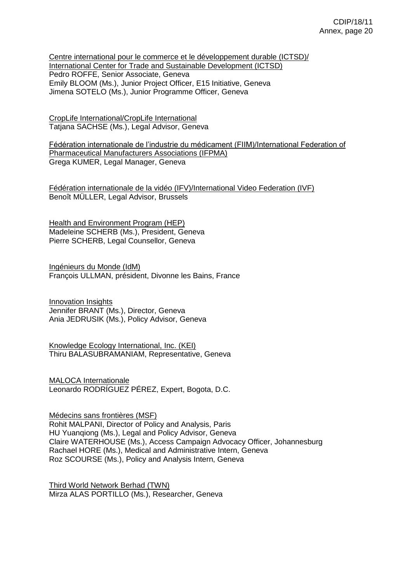Centre international pour le commerce et le développement durable (ICTSD)/ International Center for Trade and Sustainable Development (ICTSD) Pedro ROFFE, Senior Associate, Geneva Emily BLOOM (Ms.), Junior Project Officer, E15 Initiative, Geneva Jimena SOTELO (Ms.), Junior Programme Officer, Geneva

CropLife International/CropLife International Tatjana SACHSE (Ms.), Legal Advisor, Geneva

Fédération internationale de l'industrie du médicament (FIIM)/International Federation of Pharmaceutical Manufacturers Associations (IFPMA) Grega KUMER, Legal Manager, Geneva

Fédération internationale de la vidéo (IFV)/International Video Federation (IVF) Benoît MÜLLER, Legal Advisor, Brussels

Health and Environment Program (HEP) Madeleine SCHERB (Ms.), President, Geneva Pierre SCHERB, Legal Counsellor, Geneva

Ingénieurs du Monde (IdM) François ULLMAN, président, Divonne les Bains, France

Innovation Insights Jennifer BRANT (Ms.), Director, Geneva Ania JEDRUSIK (Ms.), Policy Advisor, Geneva

Knowledge Ecology International, Inc. (KEI) Thiru BALASUBRAMANIAM, Representative, Geneva

MALOCA Internationale Leonardo RODRÍGUEZ PÉREZ, Expert, Bogota, D.C.

Médecins sans frontières (MSF) Rohit MALPANI, Director of Policy and Analysis, Paris HU Yuanqiong (Ms.), Legal and Policy Advisor, Geneva Claire WATERHOUSE (Ms.), Access Campaign Advocacy Officer, Johannesburg Rachael HORE (Ms.), Medical and Administrative Intern, Geneva Roz SCOURSE (Ms.), Policy and Analysis Intern, Geneva

Third World Network Berhad (TWN) Mirza ALAS PORTILLO (Ms.), Researcher, Geneva